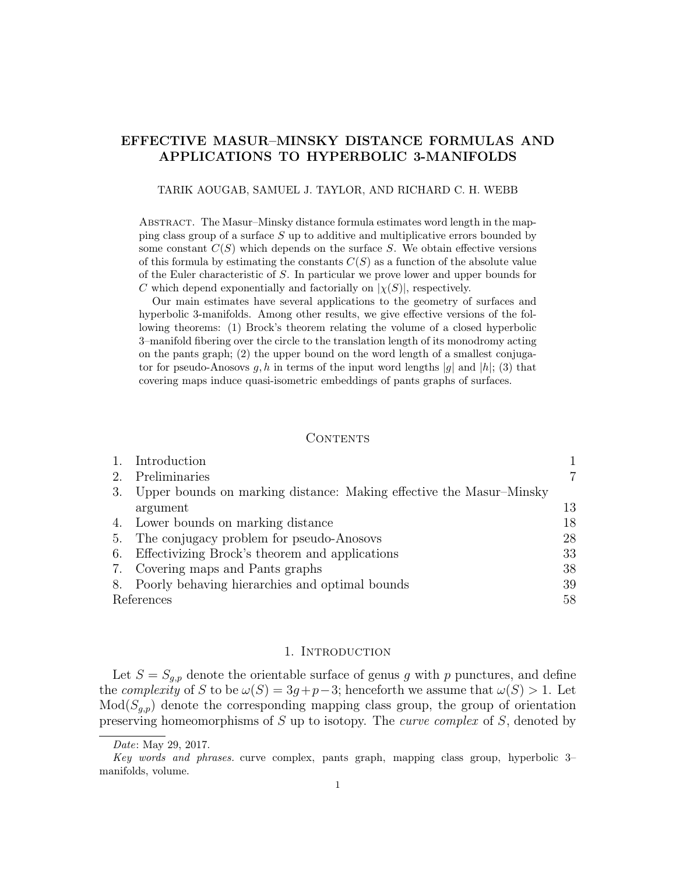# EFFECTIVE MASUR–MINSKY DISTANCE FORMULAS AND APPLICATIONS TO HYPERBOLIC 3-MANIFOLDS

#### TARIK AOUGAB, SAMUEL J. TAYLOR, AND RICHARD C. H. WEBB

Abstract. The Masur–Minsky distance formula estimates word length in the mapping class group of a surface S up to additive and multiplicative errors bounded by some constant  $C(S)$  which depends on the surface S. We obtain effective versions of this formula by estimating the constants  $C(S)$  as a function of the absolute value of the Euler characteristic of S. In particular we prove lower and upper bounds for C which depend exponentially and factorially on  $|\chi(S)|$ , respectively.

Our main estimates have several applications to the geometry of surfaces and hyperbolic 3-manifolds. Among other results, we give effective versions of the following theorems: (1) Brock's theorem relating the volume of a closed hyperbolic 3–manifold fibering over the circle to the translation length of its monodromy acting on the pants graph; (2) the upper bound on the word length of a smallest conjugator for pseudo-Anosovs g, h in terms of the input word lengths |g| and |h|; (3) that covering maps induce quasi-isometric embeddings of pants graphs of surfaces.

## CONTENTS

| Introduction                                                           |    |
|------------------------------------------------------------------------|----|
| 2. Preliminaries                                                       | 7  |
| 3. Upper bounds on marking distance: Making effective the Masur–Minsky |    |
| argument                                                               | 13 |
| 4. Lower bounds on marking distance                                    | 18 |
| 5. The conjugacy problem for pseudo-Anosovs                            | 28 |
| 6. Effectivizing Brock's theorem and applications                      | 33 |
| 7. Covering maps and Pants graphs                                      | 38 |
| 8. Poorly behaving hierarchies and optimal bounds                      | 39 |
| References                                                             |    |

### 1. INTRODUCTION

Let  $S = S_{g,p}$  denote the orientable surface of genus g with p punctures, and define the *complexity* of S to be  $\omega(S) = 3g + p - 3$ ; henceforth we assume that  $\omega(S) > 1$ . Let  $Mod(S_{q,p})$  denote the corresponding mapping class group, the group of orientation preserving homeomorphisms of  $S$  up to isotopy. The *curve complex* of  $S$ , denoted by

Date: May 29, 2017.

Key words and phrases. curve complex, pants graph, mapping class group, hyperbolic 3– manifolds, volume.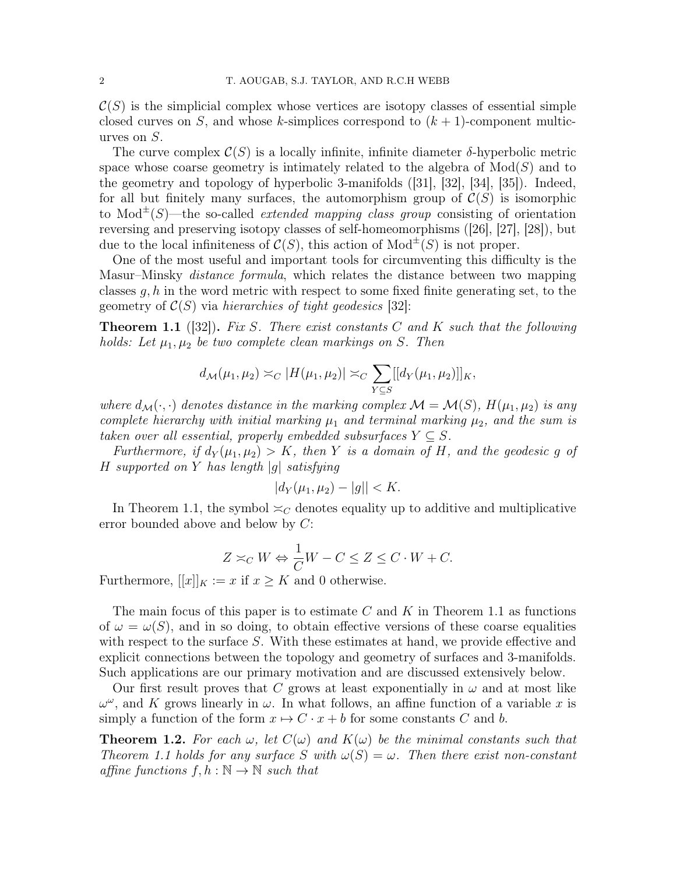$\mathcal{C}(S)$  is the simplicial complex whose vertices are isotopy classes of essential simple closed curves on S, and whose k-simplices correspond to  $(k + 1)$ -component multicurves on S.

The curve complex  $\mathcal{C}(S)$  is a locally infinite, infinite diameter  $\delta$ -hyperbolic metric space whose coarse geometry is intimately related to the algebra of  $Mod(S)$  and to the geometry and topology of hyperbolic 3-manifolds ([31], [32], [34], [35]). Indeed, for all but finitely many surfaces, the automorphism group of  $\mathcal{C}(S)$  is isomorphic to Mod<sup> $\pm$ </sup>(S)—the so-called *extended mapping class group* consisting of orientation reversing and preserving isotopy classes of self-homeomorphisms ([26], [27], [28]), but due to the local infiniteness of  $\mathcal{C}(S)$ , this action of  $\text{Mod}^{\pm}(S)$  is not proper.

One of the most useful and important tools for circumventing this difficulty is the Masur–Minsky distance formula, which relates the distance between two mapping classes  $q, h$  in the word metric with respect to some fixed finite generating set, to the geometry of  $C(S)$  via hierarchies of tight geodesics [32]:

**Theorem 1.1** ([32]). Fix S. There exist constants C and K such that the following holds: Let  $\mu_1, \mu_2$  be two complete clean markings on S. Then

$$
d_{\mathcal{M}}(\mu_1, \mu_2) \asymp_C |H(\mu_1, \mu_2)| \asymp_C \sum_{Y \subseteq S} [[d_Y(\mu_1, \mu_2)]]_K,
$$

where  $d_{\mathcal{M}}(\cdot, \cdot)$  denotes distance in the marking complex  $\mathcal{M} = \mathcal{M}(S)$ ,  $H(\mu_1, \mu_2)$  is any complete hierarchy with initial marking  $\mu_1$  and terminal marking  $\mu_2$ , and the sum is taken over all essential, properly embedded subsurfaces  $Y \subseteq S$ .

Furthermore, if  $d_Y(\mu_1, \mu_2) > K$ , then Y is a domain of H, and the geodesic q of  $H$  supported on Y has length  $|g|$  satisfying

$$
|d_Y(\mu_1, \mu_2) - |g|| < K.
$$

In Theorem 1.1, the symbol  $\leq_C$  denotes equality up to additive and multiplicative error bounded above and below by C:

$$
Z \asymp_C W \Leftrightarrow \frac{1}{C}W - C \le Z \le C \cdot W + C.
$$

Furthermore,  $[[x]]_K := x$  if  $x \geq K$  and 0 otherwise.

The main focus of this paper is to estimate C and K in Theorem 1.1 as functions of  $\omega = \omega(S)$ , and in so doing, to obtain effective versions of these coarse equalities with respect to the surface S. With these estimates at hand, we provide effective and explicit connections between the topology and geometry of surfaces and 3-manifolds. Such applications are our primary motivation and are discussed extensively below.

Our first result proves that C grows at least exponentially in  $\omega$  and at most like  $\omega^{\omega}$ , and K grows linearly in  $\omega$ . In what follows, an affine function of a variable x is simply a function of the form  $x \mapsto C \cdot x + b$  for some constants C and b.

**Theorem 1.2.** For each  $\omega$ , let  $C(\omega)$  and  $K(\omega)$  be the minimal constants such that Theorem 1.1 holds for any surface S with  $\omega(S) = \omega$ . Then there exist non-constant affine functions  $f, h : \mathbb{N} \to \mathbb{N}$  such that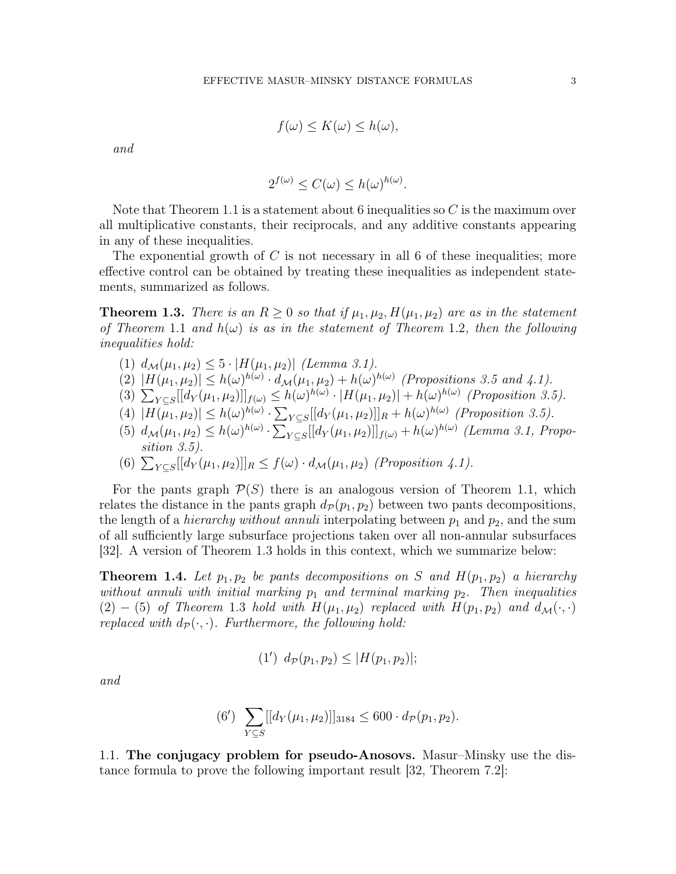$$
f(\omega) \le K(\omega) \le h(\omega),
$$

and

$$
2^{f(\omega)} \le C(\omega) \le h(\omega)^{h(\omega)}.
$$

Note that Theorem 1.1 is a statement about 6 inequalities so  $C$  is the maximum over all multiplicative constants, their reciprocals, and any additive constants appearing in any of these inequalities.

The exponential growth of  $C$  is not necessary in all 6 of these inequalities; more effective control can be obtained by treating these inequalities as independent statements, summarized as follows.

**Theorem 1.3.** There is an  $R \geq 0$  so that if  $\mu_1, \mu_2, H(\mu_1, \mu_2)$  are as in the statement of Theorem 1.1 and  $h(\omega)$  is as in the statement of Theorem 1.2, then the following inequalities hold:

- (1)  $d_{\mathcal{M}}(\mu_1, \mu_2) \leq 5 \cdot |H(\mu_1, \mu_2)|$  (Lemma 3.1).
- (2)  $|H(\mu_1, \mu_2)| \leq h(\omega)^{h(\omega)} \cdot d_{\mathcal{M}}(\mu_1, \mu_2) + h(\omega)^{h(\omega)}$  (Propositions 3.5 and 4.1).
- (3)  $\sum_{Y \subseteq S} [[d_Y(\mu_1, \mu_2)]]_{f(\omega)} \leq h(\omega)^{h(\omega)} \cdot |H(\mu_1, \mu_2)| + h(\omega)^{h(\omega)}$  (Proposition 3.5).
- (4)  $|H(\mu_1, \mu_2)| \leq h(\omega)^{h(\omega)} \cdot \sum_{Y \subseteq S} [[d_Y(\mu_1, \mu_2)]]_R + h(\omega)^{h(\omega)}$  (Proposition 3.5).
- (5)  $d_{\mathcal{M}}(\mu_1, \mu_2) \leq h(\omega)^{h(\omega)} \cdot \sum_{Y \subseteq S} [[d_Y(\mu_1, \mu_2)]]_{f(\omega)} + h(\omega)^{h(\omega)}$  (Lemma 3.1, Proposition 3.5).
- (6)  $\sum_{Y \subseteq S} [[d_Y(\mu_1, \mu_2)]]_R \le f(\omega) \cdot d_M(\mu_1, \mu_2)$  (Proposition 4.1).

For the pants graph  $\mathcal{P}(S)$  there is an analogous version of Theorem 1.1, which relates the distance in the pants graph  $d_{\mathcal{P}}(p_1, p_2)$  between two pants decompositions, the length of a *hierarchy without annuli* interpolating between  $p_1$  and  $p_2$ , and the sum of all sufficiently large subsurface projections taken over all non-annular subsurfaces [32]. A version of Theorem 1.3 holds in this context, which we summarize below:

**Theorem 1.4.** Let  $p_1, p_2$  be pants decompositions on S and  $H(p_1, p_2)$  a hierarchy without annuli with initial marking  $p_1$  and terminal marking  $p_2$ . Then inequalities (2) − (5) of Theorem 1.3 hold with  $H(\mu_1, \mu_2)$  replaced with  $H(p_1, p_2)$  and  $d_{\mathcal{M}}(\cdot, \cdot)$ replaced with  $d_{\mathcal{P}}(\cdot, \cdot)$ . Furthermore, the following hold:

$$
(1') d_{\mathcal{P}}(p_1, p_2) \leq |H(p_1, p_2)|;
$$

and

(6') 
$$
\sum_{Y \subseteq S} [[d_Y(\mu_1, \mu_2)]]_{3184} \leq 600 \cdot d_{\mathcal{P}}(p_1, p_2).
$$

1.1. The conjugacy problem for pseudo-Anosovs. Masur–Minsky use the distance formula to prove the following important result [32, Theorem 7.2]: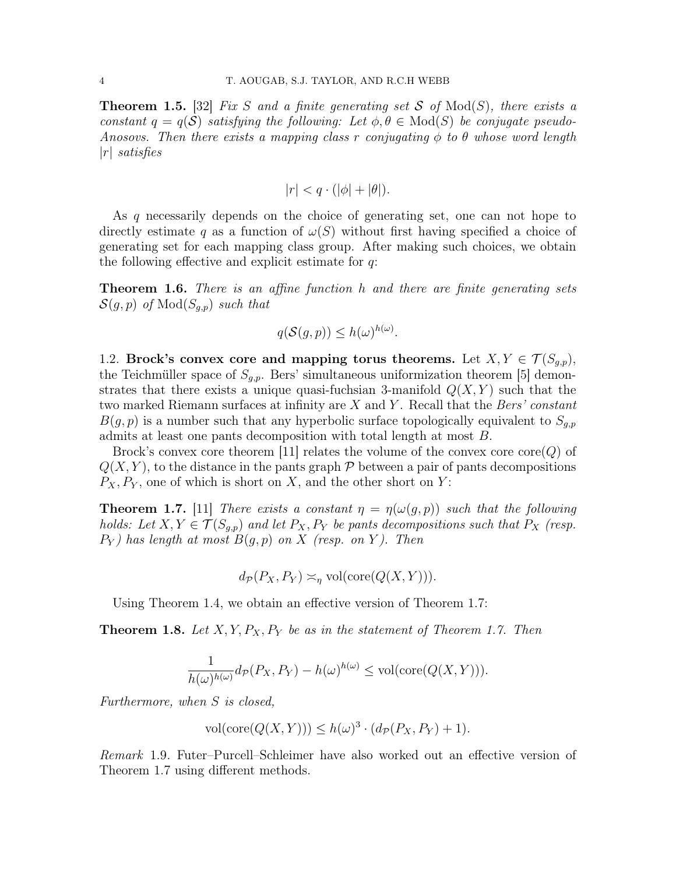**Theorem 1.5.** [32] Fix S and a finite generating set S of  $Mod(S)$ , there exists a constant  $q = q(S)$  satisfying the following: Let  $\phi, \theta \in Mod(S)$  be conjugate pseudo-Anosovs. Then there exists a mapping class r conjugating  $\phi$  to  $\theta$  whose word length  $|r|$  satisfies

$$
|r| < q \cdot (|\phi| + |\theta|).
$$

As q necessarily depends on the choice of generating set, one can not hope to directly estimate q as a function of  $\omega(S)$  without first having specified a choice of generating set for each mapping class group. After making such choices, we obtain the following effective and explicit estimate for  $q$ :

**Theorem 1.6.** There is an affine function h and there are finite generating sets  $\mathcal{S}(g, p)$  of  $\text{Mod}(S_{q,p})$  such that

$$
q(\mathcal{S}(g, p)) \le h(\omega)^{h(\omega)}.
$$

1.2. Brock's convex core and mapping torus theorems. Let  $X, Y \in \mathcal{T}(S_{q,p}),$ the Teichmüller space of  $S_{g,p}$ . Bers' simultaneous uniformization theorem [5] demonstrates that there exists a unique quasi-fuchsian 3-manifold  $Q(X, Y)$  such that the two marked Riemann surfaces at infinity are  $X$  and  $Y$ . Recall that the Bers' constant  $B(g, p)$  is a number such that any hyperbolic surface topologically equivalent to  $S_{g,p}$ admits at least one pants decomposition with total length at most B.

Brock's convex core theorem [11] relates the volume of the convex core core( $Q$ ) of  $Q(X, Y)$ , to the distance in the pants graph  $\mathcal P$  between a pair of pants decompositions  $P_X, P_Y$ , one of which is short on X, and the other short on Y:

**Theorem 1.7.** [11] There exists a constant  $\eta = \eta(\omega(g, p))$  such that the following holds: Let  $X, Y \in \mathcal{T}(S_{q,p})$  and let  $P_X, P_Y$  be pants decompositions such that  $P_X$  (resp.  $P_Y$ ) has length at most  $B(g, p)$  on X (resp. on Y). Then

$$
d_{\mathcal{P}}(P_X, P_Y) \asymp_{\eta} \text{vol}(\text{core}(Q(X, Y))).
$$

Using Theorem 1.4, we obtain an effective version of Theorem 1.7:

**Theorem 1.8.** Let  $X, Y, P_X, P_Y$  be as in the statement of Theorem 1.7. Then

$$
\frac{1}{h(\omega)^{h(\omega)}}d_{\mathcal{P}}(P_X, P_Y) - h(\omega)^{h(\omega)} \le \text{vol}(\text{core}(Q(X, Y))).
$$

Furthermore, when S is closed,

$$
\text{vol}(\text{core}(Q(X,Y))) \le h(\omega)^3 \cdot (d_{\mathcal{P}}(P_X, P_Y) + 1).
$$

Remark 1.9. Futer–Purcell–Schleimer have also worked out an effective version of Theorem 1.7 using different methods.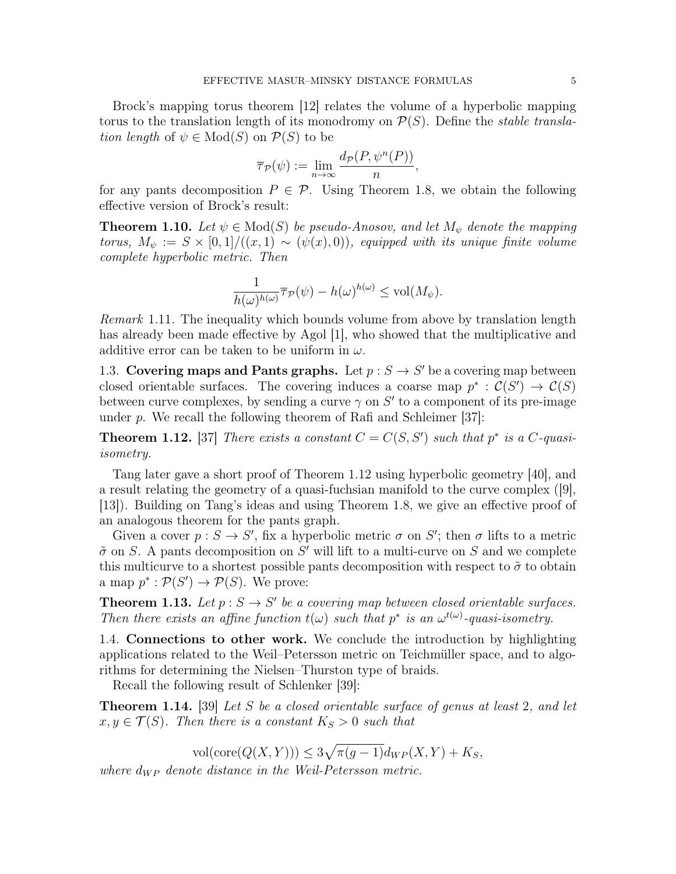Brock's mapping torus theorem [12] relates the volume of a hyperbolic mapping torus to the translation length of its monodromy on  $\mathcal{P}(S)$ . Define the *stable transla*tion length of  $\psi \in Mod(S)$  on  $\mathcal{P}(S)$  to be

$$
\overline{\tau}_{\mathcal{P}}(\psi) := \lim_{n \to \infty} \frac{d_{\mathcal{P}}(P, \psi^n(P))}{n},
$$

for any pants decomposition  $P \in \mathcal{P}$ . Using Theorem 1.8, we obtain the following effective version of Brock's result:

**Theorem 1.10.** Let  $\psi \in Mod(S)$  be pseudo-Anosov, and let  $M_{\psi}$  denote the mapping torus,  $M_{\psi} := S \times [0,1]/((x,1) \sim (\psi(x),0))$ , equipped with its unique finite volume complete hyperbolic metric. Then

$$
\frac{1}{h(\omega)^{h(\omega)}}\overline{\tau}_{\mathcal{P}}(\psi) - h(\omega)^{h(\omega)} \leq \text{vol}(M_{\psi}).
$$

Remark 1.11. The inequality which bounds volume from above by translation length has already been made effective by Agol [1], who showed that the multiplicative and additive error can be taken to be uniform in  $\omega$ .

1.3. Covering maps and Pants graphs. Let  $p : S \to S'$  be a covering map between closed orientable surfaces. The covering induces a coarse map  $p^* : C(S') \to C(S)$ between curve complexes, by sending a curve  $\gamma$  on  $S'$  to a component of its pre-image under  $p$ . We recall the following theorem of Rafi and Schleimer [37]:

**Theorem 1.12.** [37] There exists a constant  $C = C(S, S')$  such that  $p^*$  is a C-quasiisometry.

Tang later gave a short proof of Theorem 1.12 using hyperbolic geometry [40], and a result relating the geometry of a quasi-fuchsian manifold to the curve complex ([9], [13]). Building on Tang's ideas and using Theorem 1.8, we give an effective proof of an analogous theorem for the pants graph.

Given a cover  $p: S \to S'$ , fix a hyperbolic metric  $\sigma$  on S'; then  $\sigma$  lifts to a metric  $\tilde{\sigma}$  on S. A pants decomposition on S' will lift to a multi-curve on S and we complete this multicurve to a shortest possible pants decomposition with respect to  $\tilde{\sigma}$  to obtain a map  $p^* : \mathcal{P}(S') \to \mathcal{P}(S)$ . We prove:

**Theorem 1.13.** Let  $p : S \to S'$  be a covering map between closed orientable surfaces. Then there exists an affine function  $t(\omega)$  such that  $p^*$  is an  $\omega^{t(\omega)}$ -quasi-isometry.

1.4. Connections to other work. We conclude the introduction by highlighting applications related to the Weil–Petersson metric on Teichmüller space, and to algorithms for determining the Nielsen–Thurston type of braids.

Recall the following result of Schlenker [39]:

**Theorem 1.14.** [39] Let S be a closed orientable surface of genus at least 2, and let  $x, y \in \mathcal{T}(S)$ . Then there is a constant  $K_S > 0$  such that

vol(core $(Q(X, Y)) \leq 3\sqrt{\pi(g-1)}d_{WP}(X, Y) + K_S,$ 

where  $d_{WP}$  denote distance in the Weil-Petersson metric.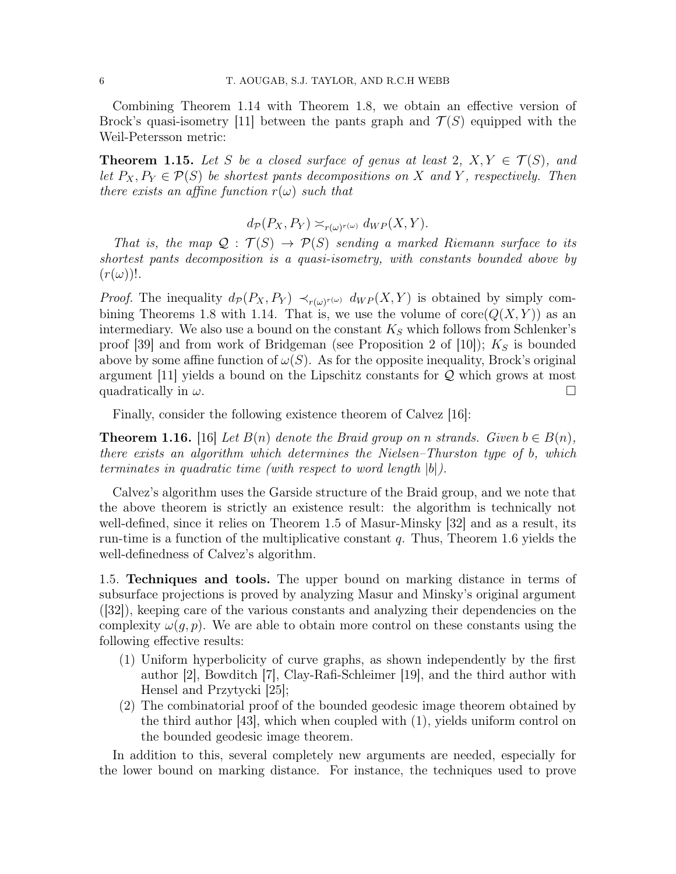Combining Theorem 1.14 with Theorem 1.8, we obtain an effective version of Brock's quasi-isometry [11] between the pants graph and  $\mathcal{T}(S)$  equipped with the Weil-Petersson metric:

**Theorem 1.15.** Let S be a closed surface of genus at least 2,  $X, Y \in \mathcal{T}(S)$ , and let  $P_X, P_Y \in \mathcal{P}(S)$  be shortest pants decompositions on X and Y, respectively. Then there exists an affine function  $r(\omega)$  such that

$$
d_{\mathcal{P}}(P_X, P_Y) \asymp_{r(\omega)^{r(\omega)}} d_{WP}(X, Y).
$$

That is, the map  $\mathcal{Q}: \mathcal{T}(S) \to \mathcal{P}(S)$  sending a marked Riemann surface to its shortest pants decomposition is a quasi-isometry, with constants bounded above by  $(r(\omega))!$ .

*Proof.* The inequality  $d_{\mathcal{P}}(P_X, P_Y) \prec_{r(\omega)^{r(\omega)}} d_{WP}(X, Y)$  is obtained by simply combining Theorems 1.8 with 1.14. That is, we use the volume of  $\text{core}(Q(X, Y))$  as an intermediary. We also use a bound on the constant  $K_S$  which follows from Schlenker's proof [39] and from work of Bridgeman (see Proposition 2 of [10]);  $K<sub>S</sub>$  is bounded above by some affine function of  $\omega(S)$ . As for the opposite inequality, Brock's original argument [11] yields a bound on the Lipschitz constants for  $Q$  which grows at most quadratically in  $\omega$ .

Finally, consider the following existence theorem of Calvez [16]:

**Theorem 1.16.** [16] Let  $B(n)$  denote the Braid group on n strands. Given  $b \in B(n)$ , there exists an algorithm which determines the Nielsen–Thurston type of b, which terminates in quadratic time (with respect to word length |b|).

Calvez's algorithm uses the Garside structure of the Braid group, and we note that the above theorem is strictly an existence result: the algorithm is technically not well-defined, since it relies on Theorem 1.5 of Masur-Minsky [32] and as a result, its run-time is a function of the multiplicative constant  $q$ . Thus, Theorem 1.6 yields the well-definedness of Calvez's algorithm.

1.5. Techniques and tools. The upper bound on marking distance in terms of subsurface projections is proved by analyzing Masur and Minsky's original argument ([32]), keeping care of the various constants and analyzing their dependencies on the complexity  $\omega(q, p)$ . We are able to obtain more control on these constants using the following effective results:

- (1) Uniform hyperbolicity of curve graphs, as shown independently by the first author [2], Bowditch [7], Clay-Rafi-Schleimer [19], and the third author with Hensel and Przytycki [25];
- (2) The combinatorial proof of the bounded geodesic image theorem obtained by the third author [43], which when coupled with (1), yields uniform control on the bounded geodesic image theorem.

In addition to this, several completely new arguments are needed, especially for the lower bound on marking distance. For instance, the techniques used to prove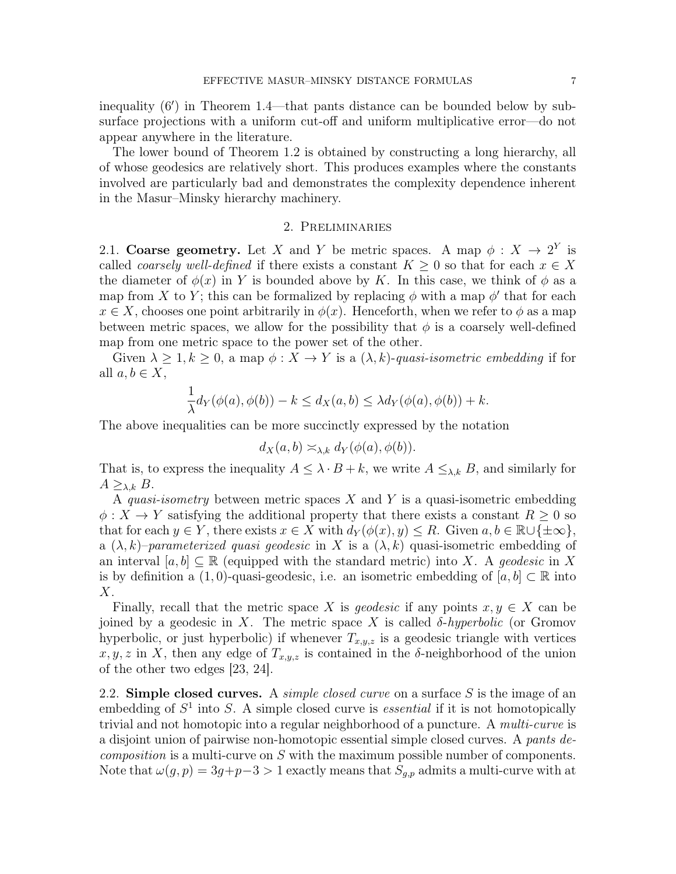inequality  $(6')$  in Theorem 1.4—that pants distance can be bounded below by subsurface projections with a uniform cut-off and uniform multiplicative error—do not appear anywhere in the literature.

The lower bound of Theorem 1.2 is obtained by constructing a long hierarchy, all of whose geodesics are relatively short. This produces examples where the constants involved are particularly bad and demonstrates the complexity dependence inherent in the Masur–Minsky hierarchy machinery.

#### 2. Preliminaries

2.1. Coarse geometry. Let X and Y be metric spaces. A map  $\phi: X \to 2^Y$  is called *coarsely well-defined* if there exists a constant  $K \geq 0$  so that for each  $x \in X$ the diameter of  $\phi(x)$  in Y is bounded above by K. In this case, we think of  $\phi$  as a map from X to Y; this can be formalized by replacing  $\phi$  with a map  $\phi'$  that for each  $x \in X$ , chooses one point arbitrarily in  $\phi(x)$ . Henceforth, when we refer to  $\phi$  as a map between metric spaces, we allow for the possibility that  $\phi$  is a coarsely well-defined map from one metric space to the power set of the other.

Given  $\lambda \geq 1, k \geq 0$ , a map  $\phi: X \to Y$  is a  $(\lambda, k)$ -quasi-isometric embedding if for all  $a, b \in X$ ,

$$
\frac{1}{\lambda}d_Y(\phi(a), \phi(b)) - k \le d_X(a, b) \le \lambda d_Y(\phi(a), \phi(b)) + k.
$$

The above inequalities can be more succinctly expressed by the notation

$$
d_X(a,b) \asymp_{\lambda,k} d_Y(\phi(a), \phi(b)).
$$

That is, to express the inequality  $A \leq \lambda \cdot B + k$ , we write  $A \leq_{\lambda,k} B$ , and similarly for  $A \geq_{\lambda,k} B$ .

A quasi-isometry between metric spaces  $X$  and  $Y$  is a quasi-isometric embedding  $\phi: X \to Y$  satisfying the additional property that there exists a constant  $R \geq 0$  so that for each  $y \in Y$ , there exists  $x \in X$  with  $d_Y(\phi(x), y) \leq R$ . Given  $a, b \in \mathbb{R} \cup {\pm \infty}$ , a  $(\lambda, k)$ –parameterized quasi geodesic in X is a  $(\lambda, k)$  quasi-isometric embedding of an interval  $[a, b] \subseteq \mathbb{R}$  (equipped with the standard metric) into X. A geodesic in X is by definition a  $(1, 0)$ -quasi-geodesic, i.e. an isometric embedding of  $[a, b] \subset \mathbb{R}$  into  $X$ .

Finally, recall that the metric space X is *geodesic* if any points  $x, y \in X$  can be joined by a geodesic in X. The metric space X is called  $\delta$ -hyperbolic (or Gromov hyperbolic, or just hyperbolic) if whenever  $T_{x,y,z}$  is a geodesic triangle with vertices  $x, y, z$  in X, then any edge of  $T_{x,y,z}$  is contained in the  $\delta$ -neighborhood of the union of the other two edges [23, 24].

2.2. Simple closed curves. A *simple closed curve* on a surface  $S$  is the image of an embedding of  $S<sup>1</sup>$  into S. A simple closed curve is *essential* if it is not homotopically trivial and not homotopic into a regular neighborhood of a puncture. A *multi-curve* is a disjoint union of pairwise non-homotopic essential simple closed curves. A pants decomposition is a multi-curve on S with the maximum possible number of components. Note that  $\omega(g, p) = 3g + p - 3 > 1$  exactly means that  $S_{g,p}$  admits a multi-curve with at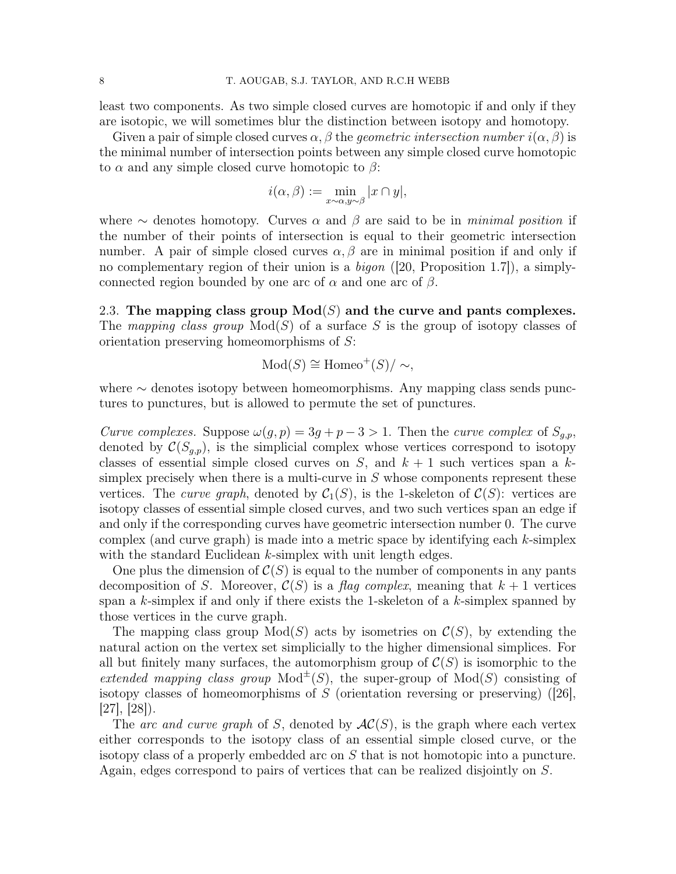least two components. As two simple closed curves are homotopic if and only if they are isotopic, we will sometimes blur the distinction between isotopy and homotopy.

Given a pair of simple closed curves  $\alpha, \beta$  the *geometric intersection number*  $i(\alpha, \beta)$  is the minimal number of intersection points between any simple closed curve homotopic to  $\alpha$  and any simple closed curve homotopic to  $\beta$ :

$$
i(\alpha, \beta) := \min_{x \sim \alpha, y \sim \beta} |x \cap y|,
$$

where  $\sim$  denotes homotopy. Curves  $\alpha$  and  $\beta$  are said to be in minimal position if the number of their points of intersection is equal to their geometric intersection number. A pair of simple closed curves  $\alpha, \beta$  are in minimal position if and only if no complementary region of their union is a bigon ([20, Proposition 1.7]), a simplyconnected region bounded by one arc of  $\alpha$  and one arc of  $\beta$ .

2.3. The mapping class group  $Mod(S)$  and the curve and pants complexes. The mapping class group  $Mod(S)$  of a surface S is the group of isotopy classes of orientation preserving homeomorphisms of S:

$$
Mod(S) \cong Homeo^+(S)/\sim,
$$

where ∼ denotes isotopy between homeomorphisms. Any mapping class sends punctures to punctures, but is allowed to permute the set of punctures.

Curve complexes. Suppose  $\omega(g, p) = 3g + p - 3 > 1$ . Then the curve complex of  $S_{g,p}$ , denoted by  $\mathcal{C}(S_{g,p})$ , is the simplicial complex whose vertices correspond to isotopy classes of essential simple closed curves on S, and  $k + 1$  such vertices span a ksimplex precisely when there is a multi-curve in  $S$  whose components represent these vertices. The *curve graph*, denoted by  $C_1(S)$ , is the 1-skeleton of  $C(S)$ : vertices are isotopy classes of essential simple closed curves, and two such vertices span an edge if and only if the corresponding curves have geometric intersection number 0. The curve complex (and curve graph) is made into a metric space by identifying each  $k$ -simplex with the standard Euclidean  $k$ -simplex with unit length edges.

One plus the dimension of  $C(S)$  is equal to the number of components in any pants decomposition of S. Moreover,  $\mathcal{C}(S)$  is a flag complex, meaning that  $k+1$  vertices span a k-simplex if and only if there exists the 1-skeleton of a  $k$ -simplex spanned by those vertices in the curve graph.

The mapping class group  $Mod(S)$  acts by isometries on  $\mathcal{C}(S)$ , by extending the natural action on the vertex set simplicially to the higher dimensional simplices. For all but finitely many surfaces, the automorphism group of  $\mathcal{C}(S)$  is isomorphic to the extended mapping class group  $\text{Mod}^{\pm}(S)$ , the super-group of  $\text{Mod}(S)$  consisting of isotopy classes of homeomorphisms of S (orientation reversing or preserving) ([26],  $[27], [28]$ .

The arc and curve graph of S, denoted by  $AC(S)$ , is the graph where each vertex either corresponds to the isotopy class of an essential simple closed curve, or the isotopy class of a properly embedded arc on S that is not homotopic into a puncture. Again, edges correspond to pairs of vertices that can be realized disjointly on S.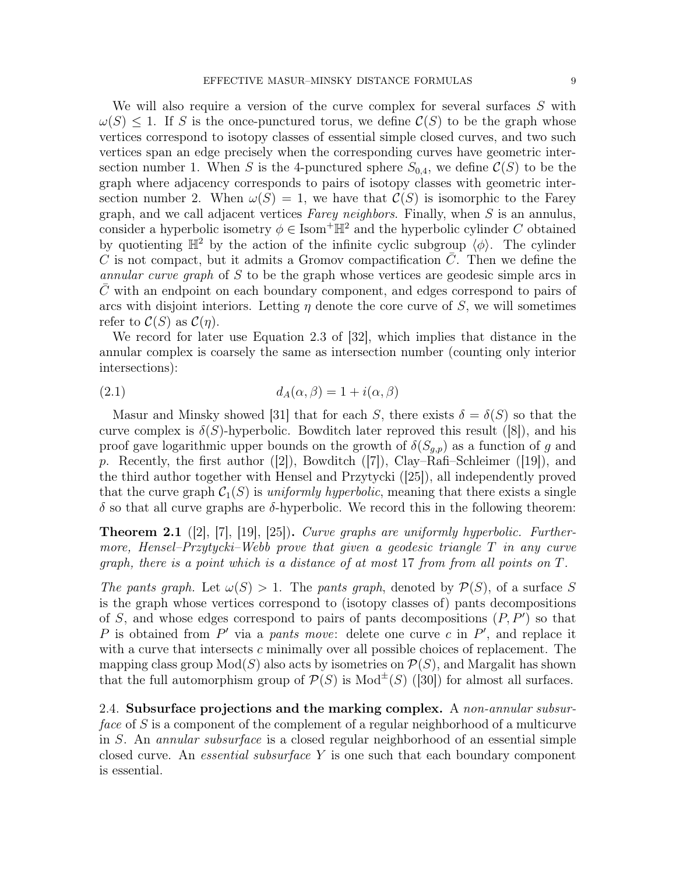We will also require a version of the curve complex for several surfaces S with  $\omega(S) \leq 1$ . If S is the once-punctured torus, we define  $\mathcal{C}(S)$  to be the graph whose vertices correspond to isotopy classes of essential simple closed curves, and two such vertices span an edge precisely when the corresponding curves have geometric intersection number 1. When S is the 4-punctured sphere  $S_{0,4}$ , we define  $\mathcal{C}(S)$  to be the graph where adjacency corresponds to pairs of isotopy classes with geometric intersection number 2. When  $\omega(S) = 1$ , we have that  $\mathcal{C}(S)$  is isomorphic to the Farey graph, and we call adjacent vertices Farey neighbors. Finally, when  $S$  is an annulus, consider a hyperbolic isometry  $\phi \in \text{Isom}^+\mathbb{H}^2$  and the hyperbolic cylinder C obtained by quotienting  $\mathbb{H}^2$  by the action of the infinite cyclic subgroup  $\langle \phi \rangle$ . The cylinder C is not compact, but it admits a Gromov compactification  $C$ . Then we define the annular curve graph of S to be the graph whose vertices are geodesic simple arcs in  $C$  with an endpoint on each boundary component, and edges correspond to pairs of arcs with disjoint interiors. Letting  $\eta$  denote the core curve of S, we will sometimes refer to  $\mathcal{C}(S)$  as  $\mathcal{C}(\eta)$ .

We record for later use Equation 2.3 of [32], which implies that distance in the annular complex is coarsely the same as intersection number (counting only interior intersections):

$$
(2.1) \t\t d_A(\alpha, \beta) = 1 + i(\alpha, \beta)
$$

Masur and Minsky showed [31] that for each S, there exists  $\delta = \delta(S)$  so that the curve complex is  $\delta(S)$ -hyperbolic. Bowditch later reproved this result ([8]), and his proof gave logarithmic upper bounds on the growth of  $\delta(S_{g,p})$  as a function of g and p. Recently, the first author  $([2])$ , Bowditch  $([7])$ , Clay–Rafi–Schleimer  $([19])$ , and the third author together with Hensel and Przytycki ([25]), all independently proved that the curve graph  $\mathcal{C}_1(S)$  is uniformly hyperbolic, meaning that there exists a single δ so that all curve graphs are δ-hyperbolic. We record this in the following theorem:

**Theorem 2.1** ([2], [7], [19], [25]). Curve graphs are uniformly hyperbolic. Furthermore, Hensel–Przytycki–Webb prove that given a geodesic triangle T in any curve graph, there is a point which is a distance of at most 17 from from all points on T.

The pants graph. Let  $\omega(S) > 1$ . The pants graph, denoted by  $\mathcal{P}(S)$ , of a surface S is the graph whose vertices correspond to (isotopy classes of) pants decompositions of S, and whose edges correspond to pairs of pants decompositions  $(P, P')$  so that P is obtained from P' via a pants move: delete one curve c in P', and replace it with a curve that intersects  $c$  minimally over all possible choices of replacement. The mapping class group  $Mod(S)$  also acts by isometries on  $\mathcal{P}(S)$ , and Margalit has shown that the full automorphism group of  $\mathcal{P}(S)$  is Mod<sup> $\pm$ </sup>(S) ([30]) for almost all surfaces.

2.4. Subsurface projections and the marking complex. A non-annular subsurface of S is a component of the complement of a regular neighborhood of a multicurve in S. An annular subsurface is a closed regular neighborhood of an essential simple closed curve. An *essential subsurface*  $Y$  is one such that each boundary component is essential.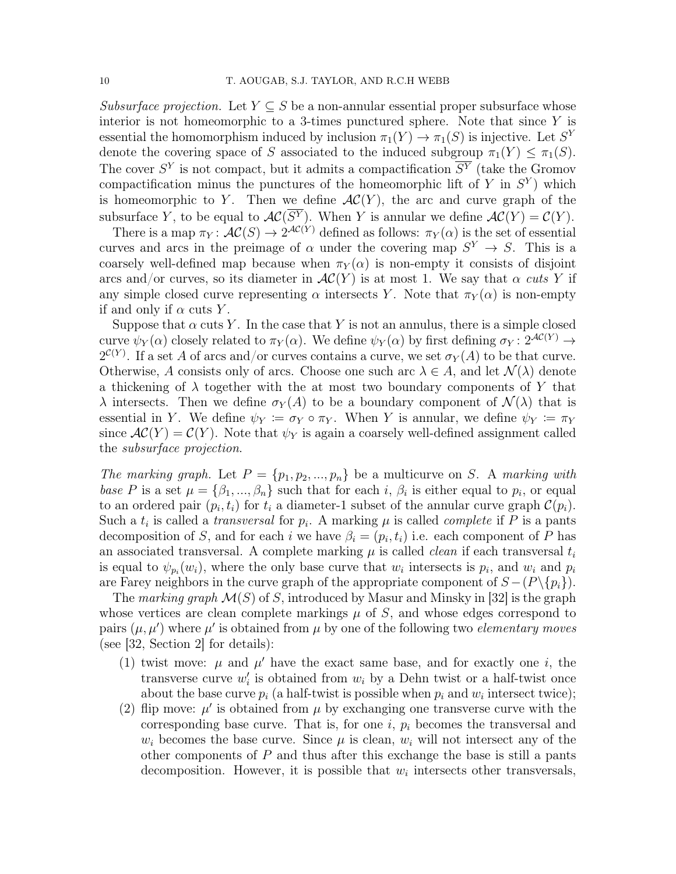Subsurface projection. Let  $Y \subseteq S$  be a non-annular essential proper subsurface whose interior is not homeomorphic to a 3-times punctured sphere. Note that since  $Y$  is essential the homomorphism induced by inclusion  $\pi_1(Y) \to \pi_1(S)$  is injective. Let  $S^Y$ denote the covering space of S associated to the induced subgroup  $\pi_1(Y) \leq \pi_1(S)$ . The cover  $S<sup>Y</sup>$  is not compact, but it admits a compactification  $\overline{S<sup>Y</sup>}$  (take the Gromov compactification minus the punctures of the homeomorphic lift of Y in  $S<sup>Y</sup>$ ) which is homeomorphic to Y. Then we define  $AC(Y)$ , the arc and curve graph of the subsurface Y, to be equal to  $AC(S<sup>Y</sup>)$ . When Y is annular we define  $AC(Y) = C(Y)$ .

There is a map  $\pi_Y: \mathcal{AC}(S) \to 2^{\mathcal{AC}(Y)}$  defined as follows:  $\pi_Y(\alpha)$  is the set of essential curves and arcs in the preimage of  $\alpha$  under the covering map  $S^Y \to S$ . This is a coarsely well-defined map because when  $\pi_Y(\alpha)$  is non-empty it consists of disjoint arcs and/or curves, so its diameter in  $AC(Y)$  is at most 1. We say that  $\alpha$  cuts Y if any simple closed curve representing  $\alpha$  intersects Y. Note that  $\pi_Y(\alpha)$  is non-empty if and only if  $\alpha$  cuts Y.

Suppose that  $\alpha$  cuts Y. In the case that Y is not an annulus, there is a simple closed curve  $\psi_Y(\alpha)$  closely related to  $\pi_Y(\alpha)$ . We define  $\psi_Y(\alpha)$  by first defining  $\sigma_Y: 2^{\mathcal{AC}(Y)} \to$  $2^{\mathcal{C}(Y)}$ . If a set A of arcs and/or curves contains a curve, we set  $\sigma_Y(A)$  to be that curve. Otherwise, A consists only of arcs. Choose one such arc  $\lambda \in A$ , and let  $\mathcal{N}(\lambda)$  denote a thickening of  $\lambda$  together with the at most two boundary components of Y that  $\lambda$  intersects. Then we define  $\sigma_Y(A)$  to be a boundary component of  $\mathcal{N}(\lambda)$  that is essential in Y. We define  $\psi_Y := \sigma_Y \circ \pi_Y$ . When Y is annular, we define  $\psi_Y := \pi_Y$ since  $AC(Y) = C(Y)$ . Note that  $\psi_Y$  is again a coarsely well-defined assignment called the subsurface projection.

The marking graph. Let  $P = \{p_1, p_2, ..., p_n\}$  be a multicurve on S. A marking with base P is a set  $\mu = {\beta_1, ..., \beta_n}$  such that for each i,  $\beta_i$  is either equal to  $p_i$ , or equal to an ordered pair  $(p_i, t_i)$  for  $t_i$  a diameter-1 subset of the annular curve graph  $\mathcal{C}(p_i)$ . Such a  $t_i$  is called a *transversal* for  $p_i$ . A marking  $\mu$  is called *complete* if P is a pants decomposition of S, and for each i we have  $\beta_i = (p_i, t_i)$  i.e. each component of P has an associated transversal. A complete marking  $\mu$  is called *clean* if each transversal  $t_i$ is equal to  $\psi_{p_i}(w_i)$ , where the only base curve that  $w_i$  intersects is  $p_i$ , and  $w_i$  and  $p_i$ are Farey neighbors in the curve graph of the appropriate component of  $S - (P \setminus \{p_i\})$ .

The marking graph  $\mathcal{M}(S)$  of S, introduced by Masur and Minsky in [32] is the graph whose vertices are clean complete markings  $\mu$  of S, and whose edges correspond to pairs  $(\mu, \mu')$  where  $\mu'$  is obtained from  $\mu$  by one of the following two *elementary moves* (see [32, Section 2] for details):

- (1) twist move:  $\mu$  and  $\mu'$  have the exact same base, and for exactly one i, the transverse curve  $w_i'$  is obtained from  $w_i$  by a Dehn twist or a half-twist once about the base curve  $p_i$  (a half-twist is possible when  $p_i$  and  $w_i$  intersect twice);
- (2) flip move:  $\mu'$  is obtained from  $\mu$  by exchanging one transverse curve with the corresponding base curve. That is, for one  $i, p_i$  becomes the transversal and  $w_i$  becomes the base curve. Since  $\mu$  is clean,  $w_i$  will not intersect any of the other components of  $P$  and thus after this exchange the base is still a pants decomposition. However, it is possible that  $w_i$  intersects other transversals,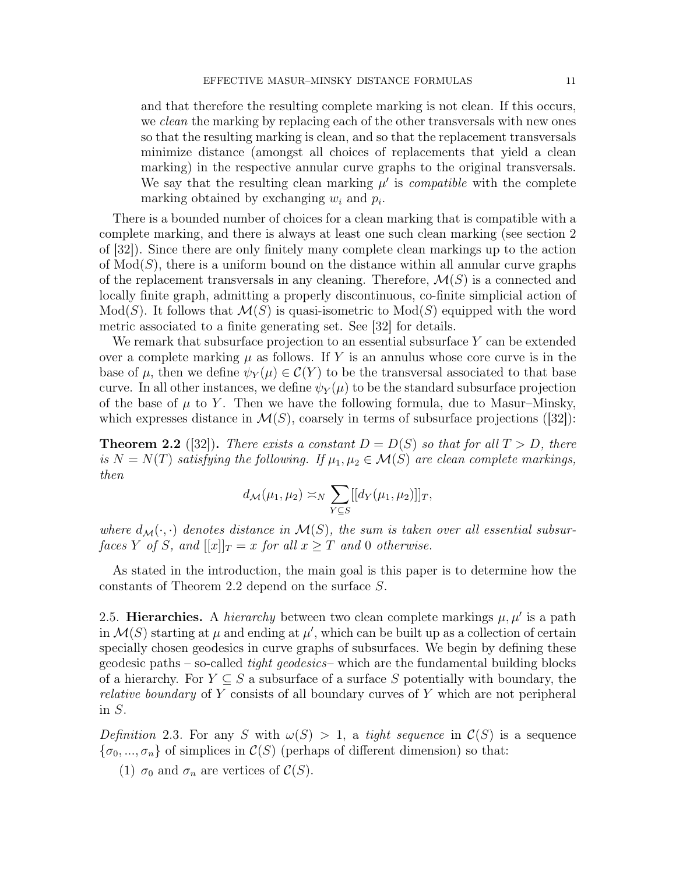and that therefore the resulting complete marking is not clean. If this occurs, we clean the marking by replacing each of the other transversals with new ones so that the resulting marking is clean, and so that the replacement transversals minimize distance (amongst all choices of replacements that yield a clean marking) in the respective annular curve graphs to the original transversals. We say that the resulting clean marking  $\mu'$  is *compatible* with the complete marking obtained by exchanging  $w_i$  and  $p_i$ .

There is a bounded number of choices for a clean marking that is compatible with a complete marking, and there is always at least one such clean marking (see section 2 of [32]). Since there are only finitely many complete clean markings up to the action of  $Mod(S)$ , there is a uniform bound on the distance within all annular curve graphs of the replacement transversals in any cleaning. Therefore,  $\mathcal{M}(S)$  is a connected and locally finite graph, admitting a properly discontinuous, co-finite simplicial action of  $Mod(S)$ . It follows that  $\mathcal{M}(S)$  is quasi-isometric to  $Mod(S)$  equipped with the word metric associated to a finite generating set. See [32] for details.

We remark that subsurface projection to an essential subsurface Y can be extended over a complete marking  $\mu$  as follows. If Y is an annulus whose core curve is in the base of  $\mu$ , then we define  $\psi_Y(\mu) \in C(Y)$  to be the transversal associated to that base curve. In all other instances, we define  $\psi_Y(\mu)$  to be the standard subsurface projection of the base of  $\mu$  to Y. Then we have the following formula, due to Masur–Minsky, which expresses distance in  $\mathcal{M}(S)$ , coarsely in terms of subsurface projections ([32]):

**Theorem 2.2** ([32]). There exists a constant  $D = D(S)$  so that for all  $T > D$ , there is  $N = N(T)$  satisfying the following. If  $\mu_1, \mu_2 \in \mathcal{M}(S)$  are clean complete markings, then

$$
d_{\mathcal{M}}(\mu_1, \mu_2) \asymp_N \sum_{Y \subseteq S} [[d_Y(\mu_1, \mu_2)]]_T,
$$

where  $d_{\mathcal{M}}(\cdot, \cdot)$  denotes distance in  $\mathcal{M}(S)$ , the sum is taken over all essential subsurfaces Y of S, and  $[[x]]_T = x$  for all  $x \geq T$  and 0 otherwise.

As stated in the introduction, the main goal is this paper is to determine how the constants of Theorem 2.2 depend on the surface S.

2.5. Hierarchies. A *hierarchy* between two clean complete markings  $\mu, \mu'$  is a path in  $\mathcal{M}(S)$  starting at  $\mu$  and ending at  $\mu'$ , which can be built up as a collection of certain specially chosen geodesics in curve graphs of subsurfaces. We begin by defining these geodesic paths – so-called tight geodesics– which are the fundamental building blocks of a hierarchy. For  $Y \subseteq S$  a subsurface of a surface S potentially with boundary, the relative boundary of Y consists of all boundary curves of Y which are not peripheral in S.

Definition 2.3. For any S with  $\omega(S) > 1$ , a tight sequence in  $\mathcal{C}(S)$  is a sequence  ${\sigma_0, ..., \sigma_n}$  of simplices in  $\mathcal{C}(S)$  (perhaps of different dimension) so that:

(1)  $\sigma_0$  and  $\sigma_n$  are vertices of  $\mathcal{C}(S)$ .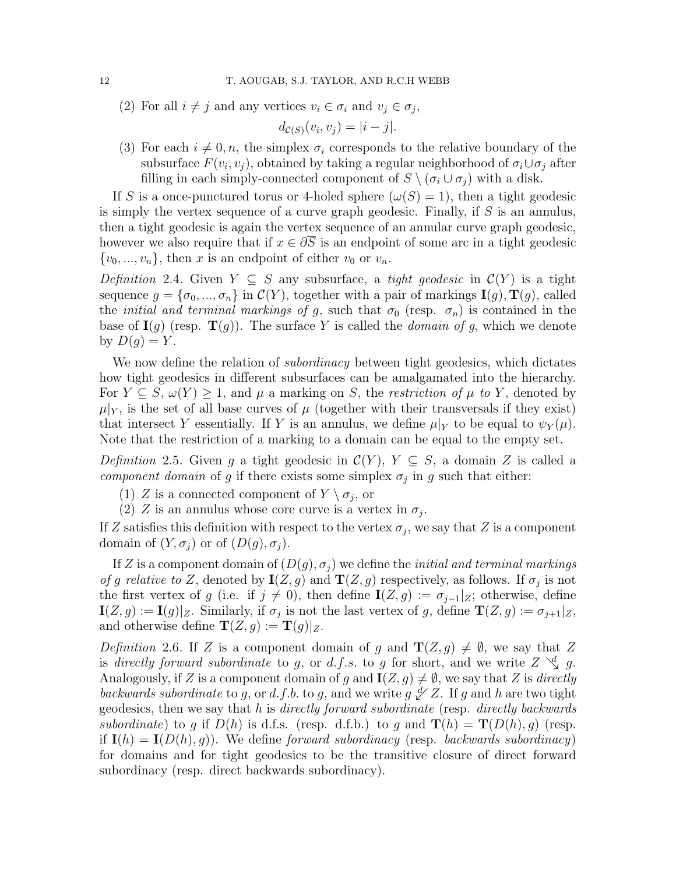(2) For all  $i \neq j$  and any vertices  $v_i \in \sigma_i$  and  $v_j \in \sigma_j$ ,

$$
d_{\mathcal{C}(S)}(v_i, v_j) = |i - j|.
$$

(3) For each  $i \neq 0, n$ , the simplex  $\sigma_i$  corresponds to the relative boundary of the subsurface  $F(v_i, v_j)$ , obtained by taking a regular neighborhood of  $\sigma_i \cup \sigma_j$  after filling in each simply-connected component of  $S \setminus (\sigma_i \cup \sigma_j)$  with a disk.

If S is a once-punctured torus or 4-holed sphere  $(\omega(S) = 1)$ , then a tight geodesic is simply the vertex sequence of a curve graph geodesic. Finally, if  $S$  is an annulus, then a tight geodesic is again the vertex sequence of an annular curve graph geodesic, however we also require that if  $x \in \partial \overline{S}$  is an endpoint of some arc in a tight geodesic  $\{v_0, ..., v_n\}$ , then x is an endpoint of either  $v_0$  or  $v_n$ .

Definition 2.4. Given  $Y \subseteq S$  any subsurface, a tight geodesic in  $\mathcal{C}(Y)$  is a tight sequence  $g = {\sigma_0, ..., \sigma_n}$  in  $\mathcal{C}(Y)$ , together with a pair of markings  $\mathbf{I}(g)$ ,  $\mathbf{T}(g)$ , called the *initial and terminal markings of g*, such that  $\sigma_0$  (resp.  $\sigma_n$ ) is contained in the base of  $I(g)$  (resp.  $T(g)$ ). The surface Y is called the *domain of g*, which we denote by  $D(q) = Y$ .

We now define the relation of *subordinacy* between tight geodesics, which dictates how tight geodesics in different subsurfaces can be amalgamated into the hierarchy. For  $Y \subseteq S$ ,  $\omega(Y) \geq 1$ , and  $\mu$  a marking on S, the *restriction of*  $\mu$  to Y, denoted by  $\mu|_Y$ , is the set of all base curves of  $\mu$  (together with their transversals if they exist) that intersect Y essentially. If Y is an annulus, we define  $\mu|_Y$  to be equal to  $\psi_Y(\mu)$ . Note that the restriction of a marking to a domain can be equal to the empty set.

Definition 2.5. Given g a tight geodesic in  $\mathcal{C}(Y)$ ,  $Y \subseteq S$ , a domain Z is called a component domain of g if there exists some simplex  $\sigma_j$  in g such that either:

- (1) Z is a connected component of  $Y \setminus \sigma_j$ , or
- (2) Z is an annulus whose core curve is a vertex in  $\sigma_j$ .

If Z satisfies this definition with respect to the vertex  $\sigma_j$ , we say that Z is a component domain of  $(Y, \sigma_i)$  or of  $(D(g), \sigma_i)$ .

If Z is a component domain of  $(D(g), \sigma_i)$  we define the *initial and terminal markings* of g relative to Z, denoted by  $I(Z, g)$  and  $T(Z, g)$  respectively, as follows. If  $\sigma_j$  is not the first vertex of g (i.e. if  $j \neq 0$ ), then define  $\mathbf{I}(Z, g) := \sigma_{j-1}|_Z$ ; otherwise, define  $\mathbf{I}(Z,g) := \mathbf{I}(g)|_Z$ . Similarly, if  $\sigma_j$  is not the last vertex of g, define  $\mathbf{T}(Z,g) := \sigma_{j+1}|_Z$ , and otherwise define  $\mathbf{T}(Z, q) := \mathbf{T}(q)|_Z$ .

Definition 2.6. If Z is a component domain of g and  $\mathbf{T}(Z, g) \neq \emptyset$ , we say that Z is directly forward subordinate to g, or d.f.s. to g for short, and we write  $Z \searrow d$  g. Analogously, if Z is a component domain of g and  $I(Z, g) \neq \emptyset$ , we say that Z is directly backwards subordinate to g, or d.f.b. to g, and we write  $g \nless z$ . If g and h are two tight geodesics, then we say that  $h$  is *directly forward subordinate* (resp. *directly backwards* subordinate) to g if  $D(h)$  is d.f.s. (resp. d.f.b.) to g and  $\mathbf{T}(h) = \mathbf{T}(D(h), g)$  (resp. if  $I(h) = I(D(h), g)$ . We define forward subordinacy (resp. backwards subordinacy) for domains and for tight geodesics to be the transitive closure of direct forward subordinacy (resp. direct backwards subordinacy).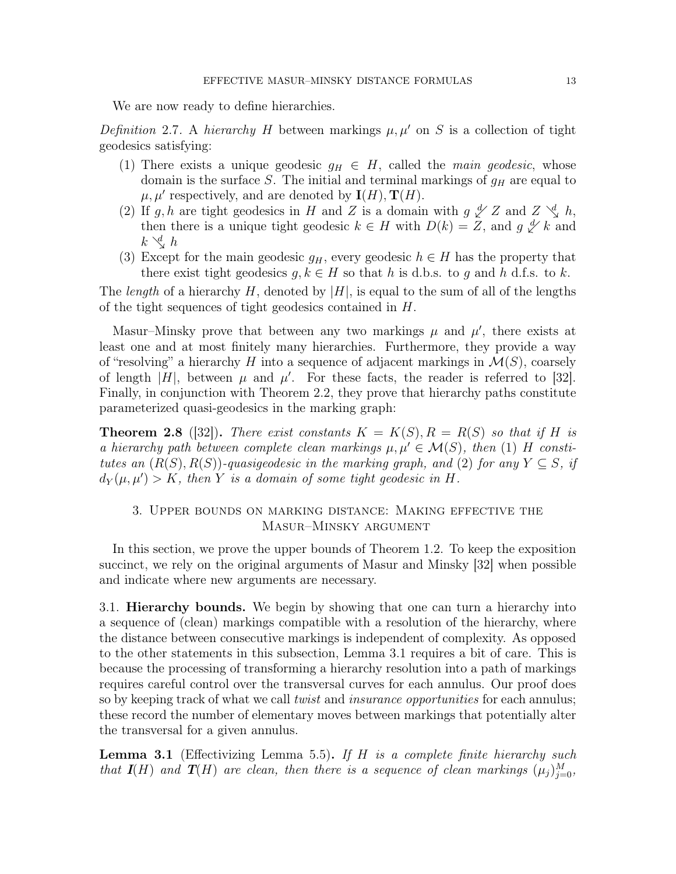We are now ready to define hierarchies.

Definition 2.7. A hierarchy H between markings  $\mu, \mu'$  on S is a collection of tight geodesics satisfying:

- (1) There exists a unique geodesic  $g_H \in H$ , called the main geodesic, whose domain is the surface S. The initial and terminal markings of  $g_H$  are equal to  $\mu, \mu'$  respectively, and are denoted by  $I(H), T(H)$ .
- (2) If g, h are tight geodesics in H and Z is a domain with  $g \nless Z$  and  $Z \nless Q$  h, then there is a unique tight geodesic  $k \in H$  with  $D(k) = Z$ , and  $g \nleq k$  and  $k \searrow d$  h
- (3) Except for the main geodesic  $g_H$ , every geodesic  $h \in H$  has the property that there exist tight geodesics  $g, k \in H$  so that h is d.b.s. to g and h d.f.s. to k.

The *length* of a hierarchy H, denoted by  $|H|$ , is equal to the sum of all of the lengths of the tight sequences of tight geodesics contained in H.

Masur–Minsky prove that between any two markings  $\mu$  and  $\mu'$ , there exists at least one and at most finitely many hierarchies. Furthermore, they provide a way of "resolving" a hierarchy H into a sequence of adjacent markings in  $\mathcal{M}(S)$ , coarsely of length |H|, between  $\mu$  and  $\mu'$ . For these facts, the reader is referred to [32]. Finally, in conjunction with Theorem 2.2, they prove that hierarchy paths constitute parameterized quasi-geodesics in the marking graph:

**Theorem 2.8** ([32]). There exist constants  $K = K(S), R = R(S)$  so that if H is a hierarchy path between complete clean markings  $\mu, \mu' \in \mathcal{M}(S)$ , then (1) H constitutes an  $(R(S), R(S))$ -quasigeodesic in the marking graph, and (2) for any  $Y \subseteq S$ , if  $d_Y(\mu, \mu') > K$ , then Y is a domain of some tight geodesic in H.

# 3. Upper bounds on marking distance: Making effective the Masur–Minsky argument

In this section, we prove the upper bounds of Theorem 1.2. To keep the exposition succinct, we rely on the original arguments of Masur and Minsky [32] when possible and indicate where new arguments are necessary.

3.1. Hierarchy bounds. We begin by showing that one can turn a hierarchy into a sequence of (clean) markings compatible with a resolution of the hierarchy, where the distance between consecutive markings is independent of complexity. As opposed to the other statements in this subsection, Lemma 3.1 requires a bit of care. This is because the processing of transforming a hierarchy resolution into a path of markings requires careful control over the transversal curves for each annulus. Our proof does so by keeping track of what we call *twist* and *insurance opportunities* for each annulus; these record the number of elementary moves between markings that potentially alter the transversal for a given annulus.

**Lemma 3.1** (Effectivizing Lemma 5.5). If H is a complete finite hierarchy such that  $I(H)$  and  $T(H)$  are clean, then there is a sequence of clean markings  $(\mu_j)_{j=0}^M$ ,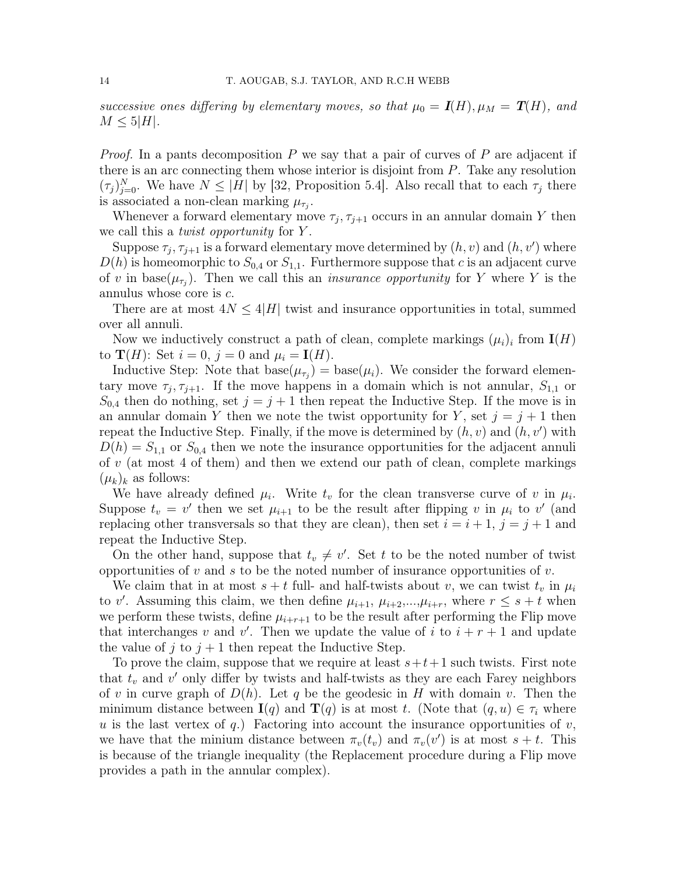successive ones differing by elementary moves, so that  $\mu_0 = I(H)$ ,  $\mu_M = T(H)$ , and  $M \leq 5|H|.$ 

*Proof.* In a pants decomposition  $P$  we say that a pair of curves of  $P$  are adjacent if there is an arc connecting them whose interior is disjoint from  $P$ . Take any resolution  $(\tau_j)_{j=0}^N$ . We have  $N \leq |H|$  by [32, Proposition 5.4]. Also recall that to each  $\tau_j$  there is associated a non-clean marking  $\mu_{\tau_j}$ .

Whenever a forward elementary move  $\tau_j$ ,  $\tau_{j+1}$  occurs in an annular domain Y then we call this a *twist opportunity* for Y.

Suppose  $\tau_j$ ,  $\tau_{j+1}$  is a forward elementary move determined by  $(h, v)$  and  $(h, v')$  where  $D(h)$  is homeomorphic to  $S_{0,4}$  or  $S_{1,1}$ . Furthermore suppose that c is an adjacent curve of v in base( $\mu_{\tau_j}$ ). Then we call this an *insurance opportunity* for Y where Y is the annulus whose core is c.

There are at most  $4N \leq 4|H|$  twist and insurance opportunities in total, summed over all annuli.

Now we inductively construct a path of clean, complete markings  $(\mu_i)_i$  from  $I(H)$ to  $\mathbf{T}(H)$ : Set  $i = 0$ ,  $j = 0$  and  $\mu_i = \mathbf{I}(H)$ .

Inductive Step: Note that  $base(\mu_{\tau_j}) = base(\mu_i)$ . We consider the forward elementary move  $\tau_j, \tau_{j+1}$ . If the move happens in a domain which is not annular,  $S_{1,1}$  or  $S_{0,4}$  then do nothing, set  $j = j + 1$  then repeat the Inductive Step. If the move is in an annular domain Y then we note the twist opportunity for Y, set  $j = j + 1$  then repeat the Inductive Step. Finally, if the move is determined by  $(h, v)$  and  $(h, v')$  with  $D(h) = S_{1,1}$  or  $S_{0,4}$  then we note the insurance opportunities for the adjacent annuli of v (at most 4 of them) and then we extend our path of clean, complete markings  $(\mu_k)_k$  as follows:

We have already defined  $\mu_i$ . Write  $t_v$  for the clean transverse curve of v in  $\mu_i$ . Suppose  $t_v = v'$  then we set  $\mu_{i+1}$  to be the result after flipping v in  $\mu_i$  to v' (and replacing other transversals so that they are clean), then set  $i = i + 1$ ,  $j = j + 1$  and repeat the Inductive Step.

On the other hand, suppose that  $t_v \neq v'$ . Set t to be the noted number of twist opportunities of  $v$  and  $s$  to be the noted number of insurance opportunities of  $v$ .

We claim that in at most  $s + t$  full- and half-twists about v, we can twist  $t_v$  in  $\mu_i$ to v'. Assuming this claim, we then define  $\mu_{i+1}, \mu_{i+2},...,\mu_{i+r}$ , where  $r \leq s+t$  when we perform these twists, define  $\mu_{i+r+1}$  to be the result after performing the Flip move that interchanges v and v'. Then we update the value of i to  $i + r + 1$  and update the value of j to  $j + 1$  then repeat the Inductive Step.

To prove the claim, suppose that we require at least  $s+t+1$  such twists. First note that  $t_v$  and  $v'$  only differ by twists and half-twists as they are each Farey neighbors of v in curve graph of  $D(h)$ . Let q be the geodesic in H with domain v. Then the minimum distance between  $\mathbf{I}(q)$  and  $\mathbf{T}(q)$  is at most t. (Note that  $(q, u) \in \tau_i$  where u is the last vertex of q.) Factoring into account the insurance opportunities of  $v$ , we have that the minium distance between  $\pi_v(t_v)$  and  $\pi_v(v')$  is at most  $s + t$ . This is because of the triangle inequality (the Replacement procedure during a Flip move provides a path in the annular complex).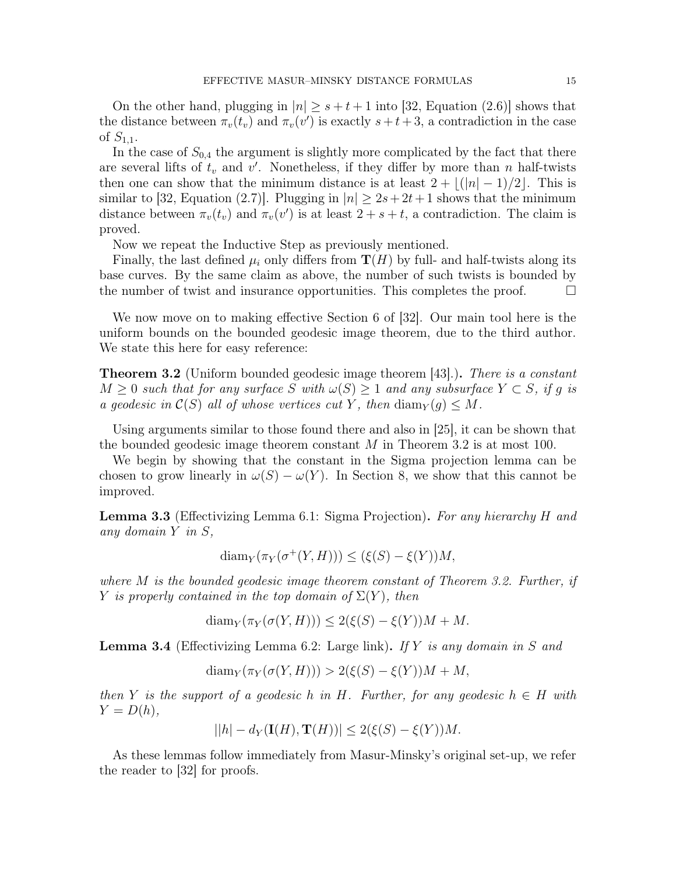On the other hand, plugging in  $|n| > s+t+1$  into [32, Equation (2.6)] shows that the distance between  $\pi_v(t_v)$  and  $\pi_v(v')$  is exactly  $s + t + 3$ , a contradiction in the case of  $S_{1,1}$ .

In the case of  $S_{0,4}$  the argument is slightly more complicated by the fact that there are several lifts of  $t_v$  and  $v'$ . Nonetheless, if they differ by more than n half-twists then one can show that the minimum distance is at least  $2 + |(|n| - 1)/2|$ . This is similar to [32, Equation (2.7)]. Plugging in  $|n| \geq 2s+2t+1$  shows that the minimum distance between  $\pi_v(t_v)$  and  $\pi_v(v')$  is at least  $2 + s + t$ , a contradiction. The claim is proved.

Now we repeat the Inductive Step as previously mentioned.

Finally, the last defined  $\mu_i$  only differs from  $\mathbf{T}(H)$  by full- and half-twists along its base curves. By the same claim as above, the number of such twists is bounded by the number of twist and insurance opportunities. This completes the proof.  $\Box$ 

We now move on to making effective Section 6 of [32]. Our main tool here is the uniform bounds on the bounded geodesic image theorem, due to the third author. We state this here for easy reference:

**Theorem 3.2** (Uniform bounded geodesic image theorem [43].). There is a constant  $M \geq 0$  such that for any surface S with  $\omega(S) \geq 1$  and any subsurface  $Y \subset S$ , if q is a geodesic in  $\mathcal{C}(S)$  all of whose vertices cut Y, then  $\text{diam}_Y(g) \leq M$ .

Using arguments similar to those found there and also in [25], it can be shown that the bounded geodesic image theorem constant  $M$  in Theorem 3.2 is at most 100.

We begin by showing that the constant in the Sigma projection lemma can be chosen to grow linearly in  $\omega(S) - \omega(Y)$ . In Section 8, we show that this cannot be improved.

**Lemma 3.3** (Effectivizing Lemma 6.1: Sigma Projection). For any hierarchy H and any domain Y in S,

$$
diam_Y(\pi_Y(\sigma^+(Y, H))) \le (\xi(S) - \xi(Y))M,
$$

where M is the bounded geodesic image theorem constant of Theorem 3.2. Further, if Y is properly contained in the top domain of  $\Sigma(Y)$ , then

$$
diam_Y(\pi_Y(\sigma(Y, H))) \le 2(\xi(S) - \xi(Y))M + M.
$$

**Lemma 3.4** (Effectivizing Lemma 6.2: Large link). If Y is any domain in S and

$$
diam_Y(\pi_Y(\sigma(Y, H))) > 2(\xi(S) - \xi(Y))M + M,
$$

then Y is the support of a geodesic h in H. Further, for any geodesic  $h \in H$  with  $Y = D(h),$ 

$$
||h| - d_Y(\mathbf{I}(H), \mathbf{T}(H))| \le 2(\xi(S) - \xi(Y))M.
$$

As these lemmas follow immediately from Masur-Minsky's original set-up, we refer the reader to [32] for proofs.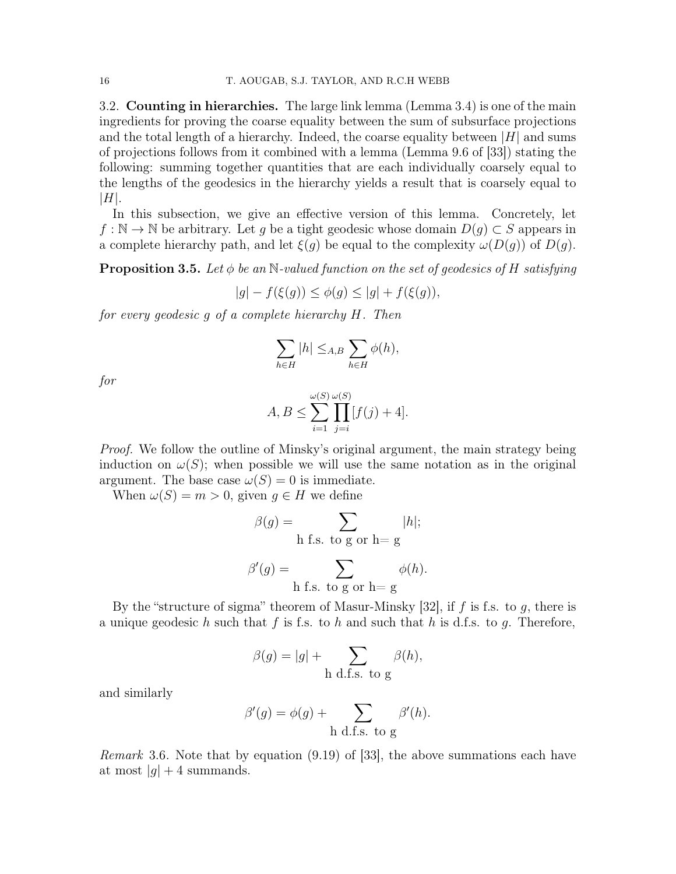3.2. Counting in hierarchies. The large link lemma (Lemma 3.4) is one of the main ingredients for proving the coarse equality between the sum of subsurface projections and the total length of a hierarchy. Indeed, the coarse equality between  $|H|$  and sums of projections follows from it combined with a lemma (Lemma 9.6 of [33]) stating the following: summing together quantities that are each individually coarsely equal to the lengths of the geodesics in the hierarchy yields a result that is coarsely equal to  $|H|.$ 

In this subsection, we give an effective version of this lemma. Concretely, let  $f : \mathbb{N} \to \mathbb{N}$  be arbitrary. Let g be a tight geodesic whose domain  $D(g) \subset S$  appears in a complete hierarchy path, and let  $\xi(g)$  be equal to the complexity  $\omega(D(g))$  of  $D(g)$ .

**Proposition 3.5.** Let  $\phi$  be an N-valued function on the set of geodesics of H satisfying

$$
|g| - f(\xi(g)) \le \phi(g) \le |g| + f(\xi(g)),
$$

for every geodesic g of a complete hierarchy H. Then

$$
\sum_{h\in H}|h|\leq_{A,B}\sum_{h\in H}\phi(h),
$$

for

$$
A, B \le \sum_{i=1}^{\omega(S)} \prod_{j=i}^{\omega(S)} [f(j) + 4].
$$

Proof. We follow the outline of Minsky's original argument, the main strategy being induction on  $\omega(S)$ ; when possible we will use the same notation as in the original argument. The base case  $\omega(S) = 0$  is immediate.

When  $\omega(S) = m > 0$ , given  $g \in H$  we define

$$
\beta(g) = \sum_{\text{h f.s. to g or h=g}} |h|;
$$

$$
\beta'(g) = \sum_{h \text{ f.s. to g or } h = g} \phi(h).
$$

By the "structure of sigma" theorem of Masur-Minsky [32], if  $f$  is f.s. to  $q$ , there is a unique geodesic h such that f is f.s. to h and such that h is d.f.s. to q. Therefore,

$$
\beta(g) = |g| + \sum_{h \text{ d.f.s. to } g} \beta(h),
$$

and similarly

$$
\beta'(g) = \phi(g) + \sum_{h \text{ d.f.s. to } g} \beta'(h).
$$

Remark 3.6. Note that by equation (9.19) of [33], the above summations each have at most  $|q| + 4$  summands.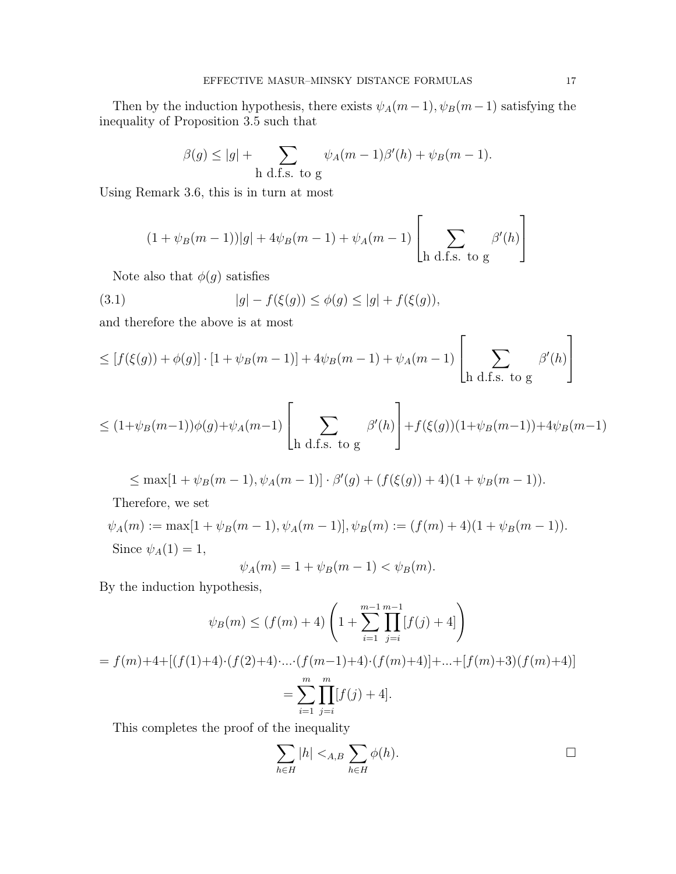Then by the induction hypothesis, there exists  $\psi_A(m-1)$ ,  $\psi_B(m-1)$  satisfying the inequality of Proposition 3.5 such that

$$
\beta(g) \le |g| + \sum_{h \text{ d.f.s. to } g} \psi_A(m-1)\beta'(h) + \psi_B(m-1).
$$

Using Remark 3.6, this is in turn at most

$$
(1 + \psi_B(m-1))|g| + 4\psi_B(m-1) + \psi_A(m-1)\left[\sum_{h \text{ d.f.s. to } g} \beta'(h)\right]
$$

Note also that  $\phi(g)$  satisfies

(3.1) 
$$
|g| - f(\xi(g)) \le \phi(g) \le |g| + f(\xi(g)),
$$

and therefore the above is at most

$$
\leq \left[ f(\xi(g)) + \phi(g) \right] \cdot \left[ 1 + \psi_B(m-1) \right] + 4\psi_B(m-1) + \psi_A(m-1) \left[ \sum_{\text{h d.f.s. to g}} \beta'(h) \right]
$$

$$
\leq (1+\psi_B(m-1))\phi(g)+\psi_A(m-1)\left[\sum_{h \text{ d.f.s. to } g} \beta'(h)\right]+f(\xi(g))(1+\psi_B(m-1))+4\psi_B(m-1)
$$

$$
\leq \max[1+\psi_B(m-1), \psi_A(m-1)] \cdot \beta'(g) + (f(\xi(g)) + 4)(1+\psi_B(m-1)).
$$

Therefore, we set

$$
\psi_A(m) := \max[1 + \psi_B(m-1), \psi_A(m-1)], \psi_B(m) := (f(m) + 4)(1 + \psi_B(m-1)).
$$
  
Since  $\psi_A(1) = 1$ ,

$$
\psi_A(m) = 1 + \psi_B(m-1) < \psi_B(m).
$$

By the induction hypothesis,

$$
\psi_B(m) \le (f(m) + 4) \left( 1 + \sum_{i=1}^{m-1} \prod_{j=i}^{m-1} [f(j) + 4] \right)
$$
  
=  $f(m)+4+[(f(1)+4)\cdot(f(2)+4)\cdot \dots \cdot (f(m-1)+4)\cdot(f(m)+4)] + \dots + [f(m)+3)(f(m)+4)]$   
= 
$$
\sum_{i=1}^{m} \prod_{j=i}^{m} [f(j) + 4].
$$

This completes the proof of the inequality

$$
\sum_{h \in H} |h| <_{A,B} \sum_{h \in H} \phi(h).
$$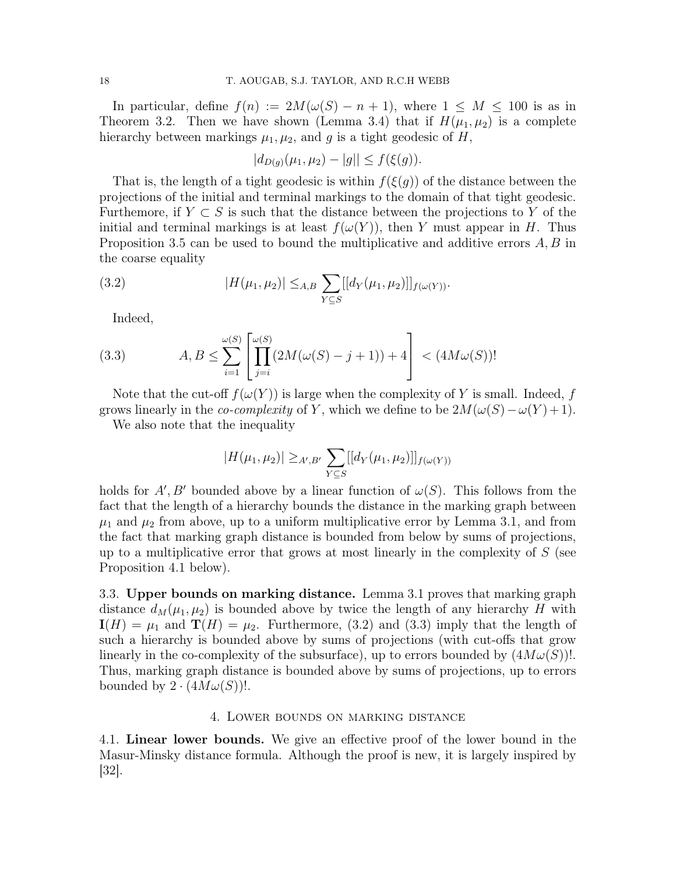In particular, define  $f(n) := 2M(\omega(S) - n + 1)$ , where  $1 \leq M \leq 100$  is as in Theorem 3.2. Then we have shown (Lemma 3.4) that if  $H(\mu_1, \mu_2)$  is a complete hierarchy between markings  $\mu_1, \mu_2$ , and g is a tight geodesic of H,

$$
|d_{D(g)}(\mu_1, \mu_2) - |g|| \le f(\xi(g)).
$$

That is, the length of a tight geodesic is within  $f(\xi(g))$  of the distance between the projections of the initial and terminal markings to the domain of that tight geodesic. Furthemore, if  $Y \subset S$  is such that the distance between the projections to Y of the initial and terminal markings is at least  $f(\omega(Y))$ , then Y must appear in H. Thus Proposition 3.5 can be used to bound the multiplicative and additive errors A, B in the coarse equality

(3.2) 
$$
|H(\mu_1, \mu_2)| \leq_{A,B} \sum_{Y \subseteq S} [[d_Y(\mu_1, \mu_2)]]_{f(\omega(Y))}.
$$

Indeed,

(3.3) 
$$
A, B \le \sum_{i=1}^{\omega(S)} \left[ \prod_{j=i}^{\omega(S)} (2M(\omega(S) - j + 1)) + 4 \right] < (4M\omega(S))!
$$

Note that the cut-off  $f(\omega(Y))$  is large when the complexity of Y is small. Indeed, f grows linearly in the *co-complexity* of Y, which we define to be  $2M(\omega(S) - \omega(Y) + 1)$ .

We also note that the inequality

$$
|H(\mu_1, \mu_2)| \geq_{A',B'} \sum_{Y \subseteq S} [[d_Y(\mu_1, \mu_2)]]_{f(\omega(Y))}
$$

holds for  $A', B'$  bounded above by a linear function of  $\omega(S)$ . This follows from the fact that the length of a hierarchy bounds the distance in the marking graph between  $\mu_1$  and  $\mu_2$  from above, up to a uniform multiplicative error by Lemma 3.1, and from the fact that marking graph distance is bounded from below by sums of projections, up to a multiplicative error that grows at most linearly in the complexity of  $S$  (see Proposition 4.1 below).

3.3. Upper bounds on marking distance. Lemma 3.1 proves that marking graph distance  $d_M(\mu_1, \mu_2)$  is bounded above by twice the length of any hierarchy H with  $I(H) = \mu_1$  and  $\mathbf{T}(H) = \mu_2$ . Furthermore, (3.2) and (3.3) imply that the length of such a hierarchy is bounded above by sums of projections (with cut-offs that grow linearly in the co-complexity of the subsurface), up to errors bounded by  $(4M\omega(S))$ . Thus, marking graph distance is bounded above by sums of projections, up to errors bounded by  $2 \cdot (4M\omega(S))!$ .

# 4. Lower bounds on marking distance

4.1. Linear lower bounds. We give an effective proof of the lower bound in the Masur-Minsky distance formula. Although the proof is new, it is largely inspired by [32].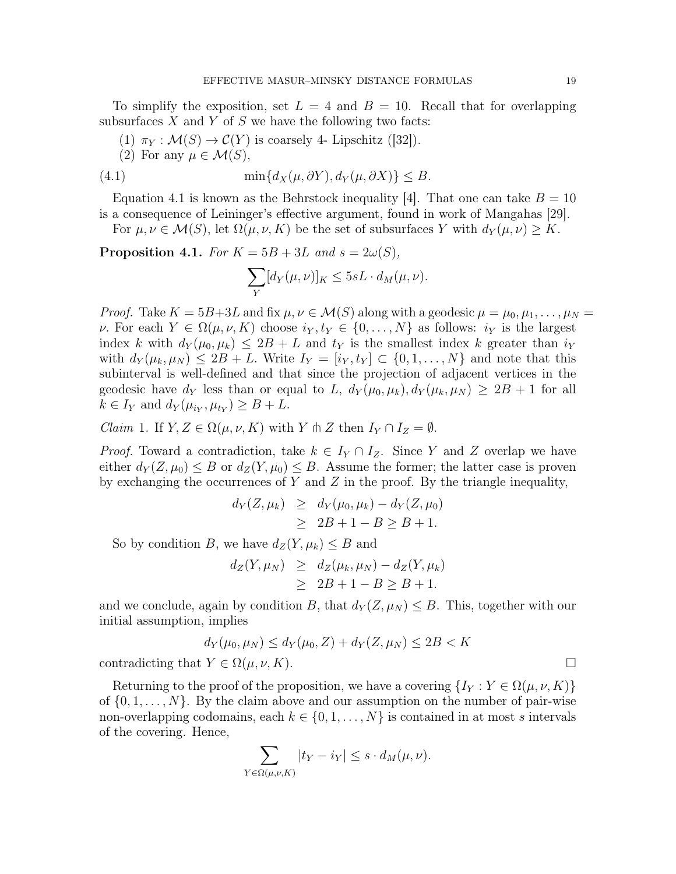To simplify the exposition, set  $L = 4$  and  $B = 10$ . Recall that for overlapping subsurfaces  $X$  and  $Y$  of  $S$  we have the following two facts:

- (1)  $\pi_Y : \mathcal{M}(S) \to \mathcal{C}(Y)$  is coarsely 4- Lipschitz ([32]).
- (2) For any  $\mu \in \mathcal{M}(S)$ ,

(4.1) 
$$
\min\{d_X(\mu, \partial Y), d_Y(\mu, \partial X)\} \leq B.
$$

Equation 4.1 is known as the Behrstock inequality [4]. That one can take  $B = 10$ is a consequence of Leininger's effective argument, found in work of Mangahas [29].

For  $\mu, \nu \in \mathcal{M}(S)$ , let  $\Omega(\mu, \nu, K)$  be the set of subsurfaces Y with  $d_Y(\mu, \nu) \geq K$ .

Proposition 4.1. For  $K = 5B + 3L$  and  $s = 2\omega(S)$ ,

$$
\sum_{Y} [d_Y(\mu, \nu)]_K \leq 5sL \cdot d_M(\mu, \nu).
$$

*Proof.* Take  $K = 5B+3L$  and fix  $\mu, \nu \in \mathcal{M}(S)$  along with a geodesic  $\mu = \mu_0, \mu_1, \ldots, \mu_N =$ v. For each  $Y \in \Omega(\mu, \nu, K)$  choose  $i_Y, t_Y \in \{0, \ldots, N\}$  as follows:  $i_Y$  is the largest index k with  $d_Y(\mu_0, \mu_k) \leq 2B + L$  and  $t_Y$  is the smallest index k greater than  $i_Y$ with  $d_Y(\mu_k, \mu_N) \leq 2B + L$ . Write  $I_Y = [i_Y, t_Y] \subset \{0, 1, \ldots, N\}$  and note that this subinterval is well-defined and that since the projection of adjacent vertices in the geodesic have  $d_Y$  less than or equal to L,  $d_Y(\mu_0, \mu_k), d_Y(\mu_k, \mu_N) \geq 2B + 1$  for all  $k \in I_Y$  and  $d_Y(\mu_{i_Y}, \mu_{t_Y}) \geq B + L$ .

*Claim* 1. If  $Y, Z \in \Omega(\mu, \nu, K)$  with Y  $\Uparrow$  Z then  $I_Y \cap I_Z = \emptyset$ .

*Proof.* Toward a contradiction, take  $k \in I_Y \cap I_Z$ . Since Y and Z overlap we have either  $d_Y(Z, \mu_0) \leq B$  or  $d_Z(Y, \mu_0) \leq B$ . Assume the former; the latter case is proven by exchanging the occurrences of  $Y$  and  $Z$  in the proof. By the triangle inequality,

$$
d_Y(Z, \mu_k) \geq d_Y(\mu_0, \mu_k) - d_Y(Z, \mu_0) \geq 2B + 1 - B \geq B + 1.
$$

So by condition B, we have  $d_Z(Y, \mu_k) \leq B$  and

$$
d_Z(Y, \mu_N) \geq d_Z(\mu_k, \mu_N) - d_Z(Y, \mu_k)
$$
  
\n
$$
\geq 2B + 1 - B \geq B + 1.
$$

and we conclude, again by condition B, that  $d_Y(Z, \mu_N) \leq B$ . This, together with our initial assumption, implies

$$
d_Y(\mu_0, \mu_N) \le d_Y(\mu_0, Z) + d_Y(Z, \mu_N) \le 2B < K
$$
\ncontradicting that  $Y \in \Omega(\mu, \nu, K)$ .

\n
$$
\Box
$$

Returning to the proof of the proposition, we have a covering  $\{I_Y : Y \in \Omega(\mu, \nu, K)\}\$ of  $\{0, 1, \ldots, N\}$ . By the claim above and our assumption on the number of pair-wise non-overlapping codomains, each  $k \in \{0, 1, ..., N\}$  is contained in at most s intervals of the covering. Hence,

$$
\sum_{Y \in \Omega(\mu,\nu,K)} |t_Y - i_Y| \leq s \cdot d_M(\mu,\nu).
$$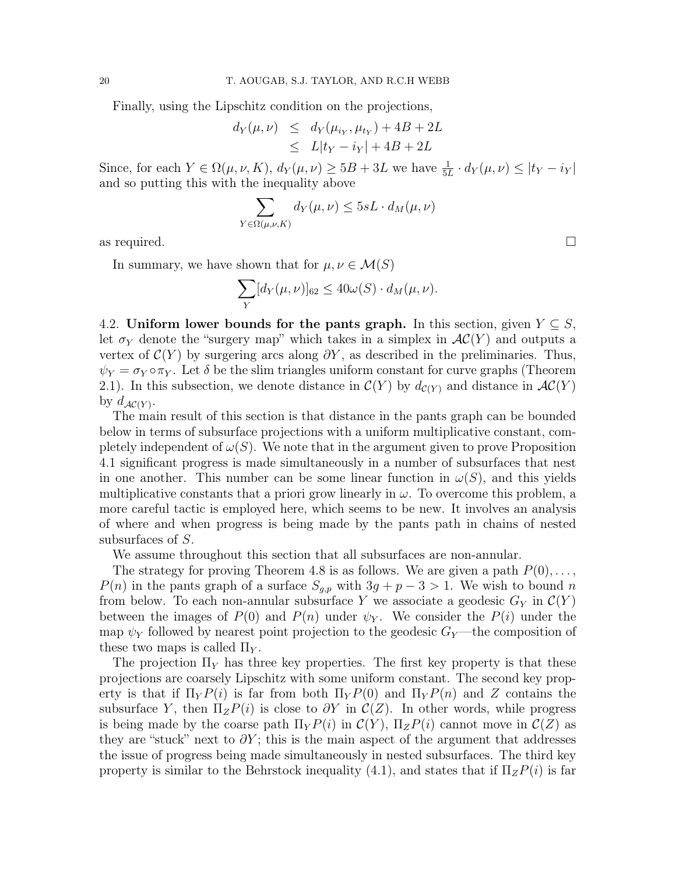Finally, using the Lipschitz condition on the projections,

$$
d_Y(\mu, \nu) \le d_Y(\mu_{i_Y}, \mu_{t_Y}) + 4B + 2L
$$
  

$$
\le L|t_Y - i_Y| + 4B + 2L
$$

Since, for each  $Y \in \Omega(\mu, \nu, K)$ ,  $d_Y(\mu, \nu) \geq 5B + 3L$  we have  $\frac{1}{5L} \cdot d_Y(\mu, \nu) \leq |t_Y - t_Y|$ and so putting this with the inequality above

$$
\sum_{Y \in \Omega(\mu,\nu,K)} d_Y(\mu,\nu) \le 5sL \cdot d_M(\mu,\nu)
$$

as required.  $\square$ 

In summary, we have shown that for  $\mu, \nu \in \mathcal{M}(S)$ 

$$
\sum_{Y} [d_Y(\mu, \nu)]_{62} \le 40\omega(S) \cdot d_M(\mu, \nu).
$$

4.2. Uniform lower bounds for the pants graph. In this section, given  $Y \subseteq S$ , let  $\sigma_Y$  denote the "surgery map" which takes in a simplex in  $AC(Y)$  and outputs a vertex of  $C(Y)$  by surgering arcs along  $\partial Y$ , as described in the preliminaries. Thus,  $\psi_Y = \sigma_Y \circ \pi_Y$ . Let  $\delta$  be the slim triangles uniform constant for curve graphs (Theorem 2.1). In this subsection, we denote distance in  $\mathcal{C}(Y)$  by  $d_{\mathcal{C}(Y)}$  and distance in  $\mathcal{AC}(Y)$ by  $d_{\mathcal{AC}(Y)}$ .

The main result of this section is that distance in the pants graph can be bounded below in terms of subsurface projections with a uniform multiplicative constant, completely independent of  $\omega(S)$ . We note that in the argument given to prove Proposition 4.1 significant progress is made simultaneously in a number of subsurfaces that nest in one another. This number can be some linear function in  $\omega(S)$ , and this yields multiplicative constants that a priori grow linearly in  $\omega$ . To overcome this problem, a more careful tactic is employed here, which seems to be new. It involves an analysis of where and when progress is being made by the pants path in chains of nested subsurfaces of S.

We assume throughout this section that all subsurfaces are non-annular.

The strategy for proving Theorem 4.8 is as follows. We are given a path  $P(0), \ldots$ ,  $P(n)$  in the pants graph of a surface  $S_{g,p}$  with  $3g + p - 3 > 1$ . We wish to bound n from below. To each non-annular subsurface Y we associate a geodesic  $G_Y$  in  $\mathcal{C}(Y)$ between the images of  $P(0)$  and  $P(n)$  under  $\psi_Y$ . We consider the  $P(i)$  under the map  $\psi_Y$  followed by nearest point projection to the geodesic  $G_Y$ —the composition of these two maps is called  $\Pi_Y$ .

The projection  $\Pi_Y$  has three key properties. The first key property is that these projections are coarsely Lipschitz with some uniform constant. The second key property is that if  $\Pi_Y P(i)$  is far from both  $\Pi_Y P(0)$  and  $\Pi_Y P(n)$  and Z contains the subsurface Y, then  $\Pi_z P(i)$  is close to  $\partial Y$  in  $\mathcal{C}(Z)$ . In other words, while progress is being made by the coarse path  $\Pi_Y P(i)$  in  $\mathcal{C}(Y)$ ,  $\Pi_Z P(i)$  cannot move in  $\mathcal{C}(Z)$  as they are "stuck" next to  $\partial Y$ ; this is the main aspect of the argument that addresses the issue of progress being made simultaneously in nested subsurfaces. The third key property is similar to the Behrstock inequality (4.1), and states that if  $\Pi_z P(i)$  is far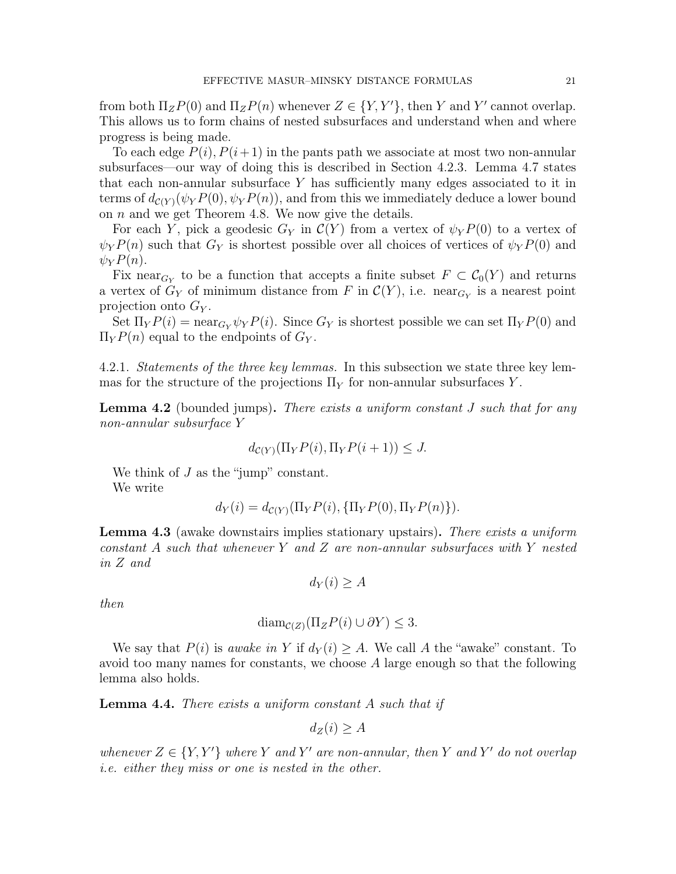from both  $\Pi_z P(0)$  and  $\Pi_z P(n)$  whenever  $Z \in \{Y, Y'\}$ , then Y and Y' cannot overlap. This allows us to form chains of nested subsurfaces and understand when and where progress is being made.

To each edge  $P(i)$ ,  $P(i+1)$  in the pants path we associate at most two non-annular subsurfaces—our way of doing this is described in Section 4.2.3. Lemma 4.7 states that each non-annular subsurface  $Y$  has sufficiently many edges associated to it in terms of  $d_{\mathcal{C}(Y)}(\psi_Y P(0), \psi_Y P(n))$ , and from this we immediately deduce a lower bound on  $n$  and we get Theorem 4.8. We now give the details.

For each Y, pick a geodesic  $G_Y$  in  $\mathcal{C}(Y)$  from a vertex of  $\psi_Y P(0)$  to a vertex of  $\psi_Y P(n)$  such that  $G_Y$  is shortest possible over all choices of vertices of  $\psi_Y P(0)$  and  $\psi_Y P(n)$ .

Fix near<sub> $G_Y$ </sub> to be a function that accepts a finite subset  $F \subset C_0(Y)$  and returns a vertex of  $G_Y$  of minimum distance from F in  $\mathcal{C}(Y)$ , i.e. near<sub> $G_Y$ </sub> is a nearest point projection onto  $G_Y$ .

Set  $\Pi_Y P(i) = \text{near}_{G_Y} \psi_Y P(i)$ . Since  $G_Y$  is shortest possible we can set  $\Pi_Y P(0)$  and  $\Pi_Y P(n)$  equal to the endpoints of  $G_Y$ .

4.2.1. Statements of the three key lemmas. In this subsection we state three key lemmas for the structure of the projections  $\Pi_Y$  for non-annular subsurfaces Y.

**Lemma 4.2** (bounded jumps). There exists a uniform constant J such that for any non-annular subsurface Y

$$
d_{\mathcal{C}(Y)}(\Pi_Y P(i), \Pi_Y P(i+1)) \leq J.
$$

We think of  $J$  as the "jump" constant. We write

$$
d_Y(i) = d_{\mathcal{C}(Y)}(\Pi_Y P(i), \{\Pi_Y P(0), \Pi_Y P(n)\}).
$$

**Lemma 4.3** (awake downstairs implies stationary upstairs). There exists a uniform constant  $A$  such that whenever  $Y$  and  $Z$  are non-annular subsurfaces with  $Y$  nested in Z and

$$
d_Y(i) \ge A
$$

then

$$
\text{diam}_{\mathcal{C}(Z)}(\Pi_z P(i) \cup \partial Y) \le 3.
$$

We say that  $P(i)$  is *awake in* Y if  $d_Y(i) \geq A$ . We call A the "awake" constant. To avoid too many names for constants, we choose  $A$  large enough so that the following lemma also holds.

**Lemma 4.4.** There exists a uniform constant  $A$  such that if

$$
d_Z(i) \ge A
$$

whenever  $Z \in \{Y, Y'\}$  where Y and Y' are non-annular, then Y and Y' do not overlap i.e. either they miss or one is nested in the other.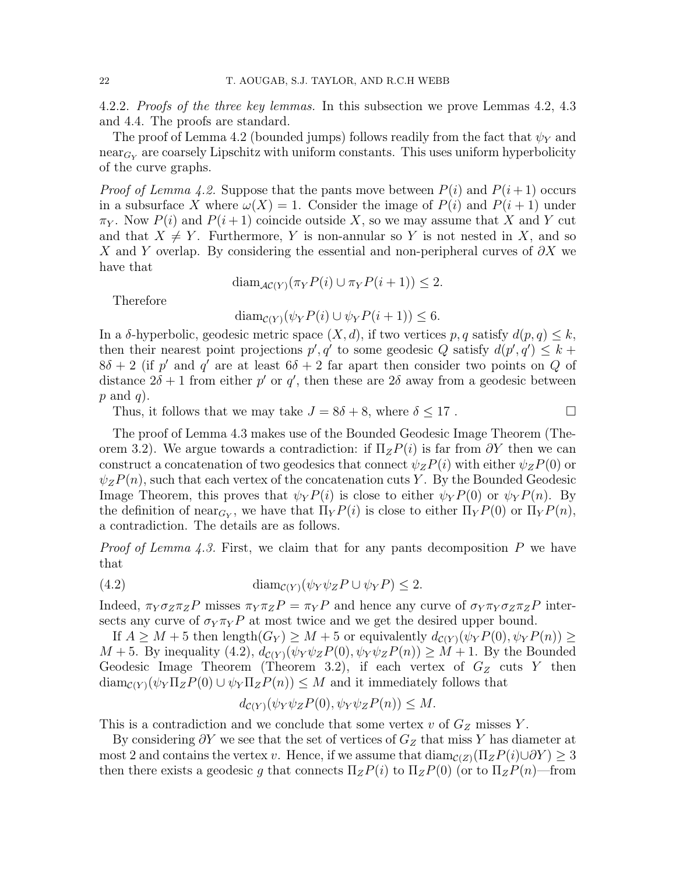4.2.2. Proofs of the three key lemmas. In this subsection we prove Lemmas 4.2, 4.3 and 4.4. The proofs are standard.

The proof of Lemma 4.2 (bounded jumps) follows readily from the fact that  $\psi_Y$  and  $\operatorname{near}_{G_Y}$  are coarsely Lipschitz with uniform constants. This uses uniform hyperbolicity of the curve graphs.

*Proof of Lemma 4.2.* Suppose that the pants move between  $P(i)$  and  $P(i+1)$  occurs in a subsurface X where  $\omega(X) = 1$ . Consider the image of  $P(i)$  and  $P(i + 1)$  under  $\pi_Y$ . Now  $P(i)$  and  $P(i+1)$  coincide outside X, so we may assume that X and Y cut and that  $X \neq Y$ . Furthermore, Y is non-annular so Y is not nested in X, and so X and Y overlap. By considering the essential and non-peripheral curves of  $\partial X$  we have that

$$
\text{diam}_{\mathcal{AC}(Y)}(\pi_Y P(i) \cup \pi_Y P(i+1)) \leq 2.
$$

Therefore

$$
\text{diam}_{\mathcal{C}(Y)}(\psi_Y P(i) \cup \psi_Y P(i+1)) \leq 6.
$$

In a δ-hyperbolic, geodesic metric space  $(X, d)$ , if two vertices p, q satisfy  $d(p, q) \leq k$ , then their nearest point projections  $p', q'$  to some geodesic Q satisfy  $d(p', q') \leq k +$  $8\delta + 2$  (if p' and q' are at least  $6\delta + 2$  far apart then consider two points on Q of distance  $2\delta + 1$  from either p' or q', then these are  $2\delta$  away from a geodesic between  $p$  and  $q$ ).

Thus, it follows that we may take  $J = 8\delta + 8$ , where  $\delta \leq 17$ .

The proof of Lemma 4.3 makes use of the Bounded Geodesic Image Theorem (Theorem 3.2). We argue towards a contradiction: if  $\Pi_z P(i)$  is far from  $\partial Y$  then we can construct a concatenation of two geodesics that connect  $\psi_z P(i)$  with either  $\psi_z P(0)$  or  $\psi_z P(n)$ , such that each vertex of the concatenation cuts Y. By the Bounded Geodesic Image Theorem, this proves that  $\psi_Y P(i)$  is close to either  $\psi_Y P(0)$  or  $\psi_Y P(n)$ . By the definition of near<sub>GY</sub>, we have that  $\Pi_Y P(i)$  is close to either  $\Pi_Y P(0)$  or  $\Pi_Y P(n)$ , a contradiction. The details are as follows.

*Proof of Lemma 4.3.* First, we claim that for any pants decomposition P we have that

(4.2) 
$$
\text{diam}_{\mathcal{C}(Y)}(\psi_Y \psi_Z P \cup \psi_Y P) \leq 2.
$$

Indeed,  $\pi_Y \sigma_Z \pi_Z P$  misses  $\pi_Y \pi_Z P = \pi_Y P$  and hence any curve of  $\sigma_Y \pi_Y \sigma_Z \pi_Z P$  intersects any curve of  $\sigma_Y \pi_Y P$  at most twice and we get the desired upper bound.

If  $A \geq M + 5$  then length $(G_Y) \geq M + 5$  or equivalently  $d_{\mathcal{C}(Y)}(\psi_Y P(0), \psi_Y P(n)) \geq$  $M + 5$ . By inequality (4.2),  $d_{\mathcal{C}(Y)}(\psi_Y \psi_Z P(0), \psi_Y \psi_Z P(n)) \geq M + 1$ . By the Bounded Geodesic Image Theorem (Theorem 3.2), if each vertex of  $G_Z$  cuts Y then  $\dim_{\mathcal{C}(Y)}(\psi_Y \Pi_Z P(0) \cup \psi_Y \Pi_Z P(n)) \leq M$  and it immediately follows that

$$
d_{\mathcal{C}(Y)}(\psi_Y \psi_Z P(0), \psi_Y \psi_Z P(n)) \leq M.
$$

This is a contradiction and we conclude that some vertex  $v$  of  $G_Z$  misses Y.

By considering  $\partial Y$  we see that the set of vertices of  $G_Z$  that miss Y has diameter at most 2 and contains the vertex v. Hence, if we assume that  $\dim_{\mathcal{C}(Z)}(\Pi_z P(i) \cup \partial Y) \geq 3$ then there exists a geodesic g that connects  $\Pi_z P(i)$  to  $\Pi_z P(0)$  (or to  $\Pi_z P(n)$ —from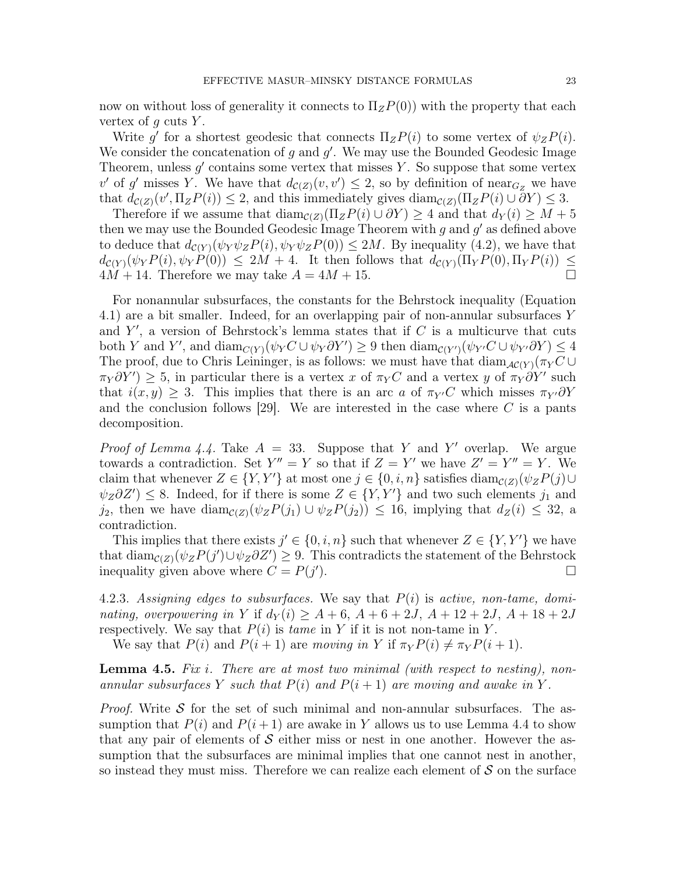now on without loss of generality it connects to  $\Pi_z P(0)$  with the property that each vertex of  $q$  cuts  $Y$ .

Write g' for a shortest geodesic that connects  $\Pi_z P(i)$  to some vertex of  $\psi_z P(i)$ . We consider the concatenation of  $g$  and  $g'$ . We may use the Bounded Geodesic Image Theorem, unless  $g'$  contains some vertex that misses Y. So suppose that some vertex v' of g' misses Y. We have that  $d_{\mathcal{C}(Z)}(v, v') \leq 2$ , so by definition of near<sub>Gz</sub> we have that  $d_{\mathcal{C}(Z)}(v', \Pi_z P(i)) \leq 2$ , and this immediately gives  $\text{diam}_{\mathcal{C}(Z)}(\Pi_z P(i) \cup \partial Y) \leq 3$ .

Therefore if we assume that  $\text{diam}_{\mathcal{C}(Z)}(\Pi_z P(i) \cup \partial Y) \geq 4$  and that  $d_Y(i) \geq M + 5$ then we may use the Bounded Geodesic Image Theorem with  $g$  and  $g'$  as defined above to deduce that  $d_{\mathcal{C}(Y)}(\psi_Y \psi_Z P(i), \psi_Y \psi_Z P(0)) \leq 2M$ . By inequality (4.2), we have that  $d_{\mathcal{C}(Y)}(\psi_Y P(i), \psi_Y P(0)) \leq 2M + 4$ . It then follows that  $d_{\mathcal{C}(Y)}(\Pi_Y P(0), \Pi_Y P(i)) \leq$  $4M + 14$ . Therefore we may take  $A = 4M + 15$ .

For nonannular subsurfaces, the constants for the Behrstock inequality (Equation 4.1) are a bit smaller. Indeed, for an overlapping pair of non-annular subsurfaces Y and  $Y'$ , a version of Behrstock's lemma states that if  $C$  is a multicurve that cuts both Y and Y', and  $\dim_{C(Y)}(\psi_Y C \cup \psi_Y \partial Y') \geq 9$  then  $\dim_{C(Y)}(\psi_{Y'} C \cup \psi_{Y'} \partial Y) \leq 4$ The proof, due to Chris Leininger, is as follows: we must have that  $\text{diam}_{\mathcal{AC}(Y)}(\pi_Y C \cup$  $\pi_Y \partial Y'$  ≥ 5, in particular there is a vertex x of  $\pi_Y C$  and a vertex y of  $\pi_Y \partial Y'$  such that  $i(x, y) \geq 3$ . This implies that there is an arc a of  $\pi_{Y'}C$  which misses  $\pi_{Y'}\partial Y$ and the conclusion follows [29]. We are interested in the case where  $C$  is a pants decomposition.

*Proof of Lemma 4.4.* Take  $A = 33$ . Suppose that Y and Y' overlap. We argue towards a contradiction. Set  $Y'' = Y$  so that if  $Z = Y'$  we have  $Z' = Y'' = Y$ . We claim that whenever  $Z \in \{Y, Y'\}$  at most one  $j \in \{0, i, n\}$  satisfies  $\text{diam}_{\mathcal{C}(Z)}(\psi_Z P(j) \cup$  $\psi_Z \partial Z'$ )  $\leq$  8. Indeed, for if there is some  $Z \in \{Y, Y'\}$  and two such elements  $j_1$  and j<sub>2</sub>, then we have diam<sub>C(Z)</sub>( $\psi_z P(j_1) \cup \psi_z P(j_2)$ ) ≤ 16, implying that  $d_Z(i) \leq 32$ , a contradiction.

This implies that there exists  $j' \in \{0, i, n\}$  such that whenever  $Z \in \{Y, Y'\}$  we have that  $\text{diam}_{\mathcal{C}(Z)}(\psi_Z P(j') \cup \psi_Z \partial Z') \geq 9$ . This contradicts the statement of the Behrstock inequality given above where  $C = P(j'$  $\Box$ 

4.2.3. Assigning edges to subsurfaces. We say that  $P(i)$  is active, non-tame, dominating, overpowering in Y if  $d_Y(i) \geq A + 6$ ,  $A + 6 + 2J$ ,  $A + 12 + 2J$ ,  $A + 18 + 2J$ respectively. We say that  $P(i)$  is tame in Y if it is not non-tame in Y.

We say that  $P(i)$  and  $P(i + 1)$  are moving in Y if  $\pi_Y P(i) \neq \pi_Y P(i + 1)$ .

**Lemma 4.5.** Fix i. There are at most two minimal (with respect to nesting), nonannular subsurfaces Y such that  $P(i)$  and  $P(i + 1)$  are moving and awake in Y.

*Proof.* Write S for the set of such minimal and non-annular subsurfaces. The assumption that  $P(i)$  and  $P(i+1)$  are awake in Y allows us to use Lemma 4.4 to show that any pair of elements of  $\mathcal S$  either miss or nest in one another. However the assumption that the subsurfaces are minimal implies that one cannot nest in another, so instead they must miss. Therefore we can realize each element of  $S$  on the surface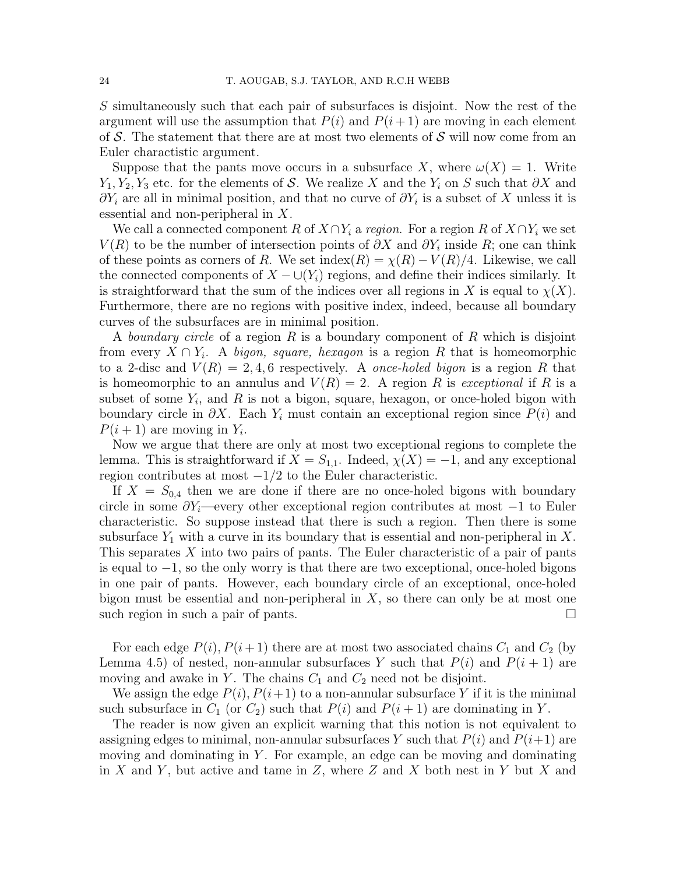S simultaneously such that each pair of subsurfaces is disjoint. Now the rest of the argument will use the assumption that  $P(i)$  and  $P(i+1)$  are moving in each element of S. The statement that there are at most two elements of S will now come from an Euler charactistic argument.

Suppose that the pants move occurs in a subsurface X, where  $\omega(X) = 1$ . Write  $Y_1, Y_2, Y_3$  etc. for the elements of S. We realize X and the  $Y_i$  on S such that  $\partial X$  and  $\partial Y_i$  are all in minimal position, and that no curve of  $\partial Y_i$  is a subset of X unless it is essential and non-peripheral in X.

We call a connected component R of  $X \cap Y_i$  a region. For a region R of  $X \cap Y_i$  we set  $V(R)$  to be the number of intersection points of  $\partial X$  and  $\partial Y_i$  inside R; one can think of these points as corners of R. We set index(R) =  $\chi(R) - V(R)/4$ . Likewise, we call the connected components of  $X - \bigcup(Y_i)$  regions, and define their indices similarly. It is straightforward that the sum of the indices over all regions in X is equal to  $\chi(X)$ . Furthermore, there are no regions with positive index, indeed, because all boundary curves of the subsurfaces are in minimal position.

A boundary circle of a region R is a boundary component of R which is disjoint from every  $X \cap Y_i$ . A bigon, square, hexagon is a region R that is homeomorphic to a 2-disc and  $V(R) = 2, 4, 6$  respectively. A *once-holed bigon* is a region R that is homeomorphic to an annulus and  $V(R) = 2$ . A region R is exceptional if R is a subset of some  $Y_i$ , and R is not a bigon, square, hexagon, or once-holed bigon with boundary circle in  $\partial X$ . Each  $Y_i$  must contain an exceptional region since  $P(i)$  and  $P(i + 1)$  are moving in  $Y_i$ .

Now we argue that there are only at most two exceptional regions to complete the lemma. This is straightforward if  $X = S_{1,1}$ . Indeed,  $\chi(X) = -1$ , and any exceptional region contributes at most  $-1/2$  to the Euler characteristic.

If  $X = S_{0,4}$  then we are done if there are no once-holed bigons with boundary circle in some  $\partial Y_i$ —every other exceptional region contributes at most  $-1$  to Euler characteristic. So suppose instead that there is such a region. Then there is some subsurface  $Y_1$  with a curve in its boundary that is essential and non-peripheral in X. This separates X into two pairs of pants. The Euler characteristic of a pair of pants is equal to −1, so the only worry is that there are two exceptional, once-holed bigons in one pair of pants. However, each boundary circle of an exceptional, once-holed bigon must be essential and non-peripheral in  $X$ , so there can only be at most one such region in such a pair of pants.

For each edge  $P(i)$ ,  $P(i+1)$  there are at most two associated chains  $C_1$  and  $C_2$  (by Lemma 4.5) of nested, non-annular subsurfaces Y such that  $P(i)$  and  $P(i + 1)$  are moving and awake in Y. The chains  $C_1$  and  $C_2$  need not be disjoint.

We assign the edge  $P(i)$ ,  $P(i+1)$  to a non-annular subsurface Y if it is the minimal such subsurface in  $C_1$  (or  $C_2$ ) such that  $P(i)$  and  $P(i + 1)$  are dominating in Y.

The reader is now given an explicit warning that this notion is not equivalent to assigning edges to minimal, non-annular subsurfaces Y such that  $P(i)$  and  $P(i+1)$  are moving and dominating in  $Y$ . For example, an edge can be moving and dominating in X and Y, but active and tame in Z, where Z and X both nest in Y but X and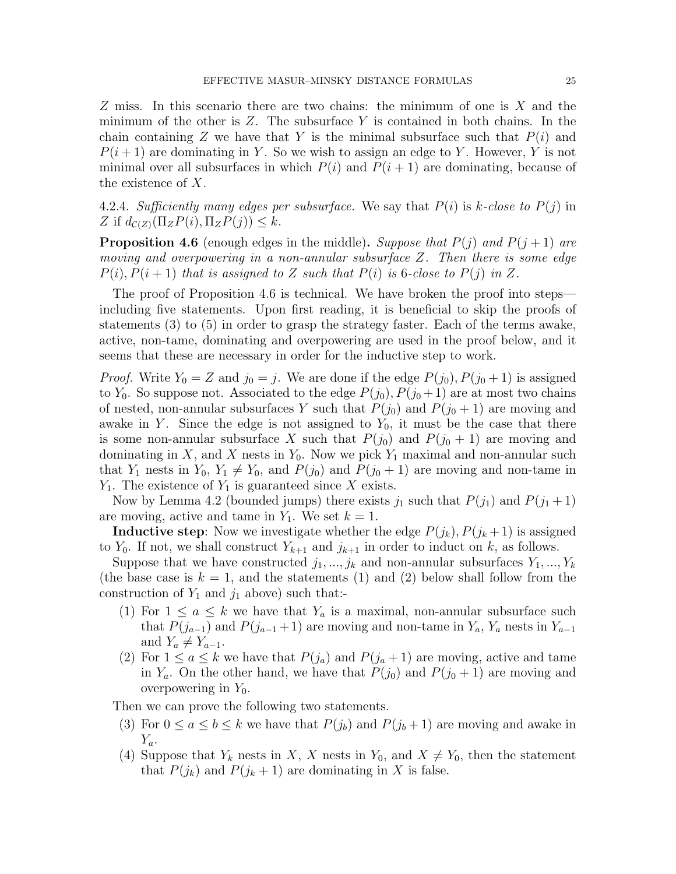Z miss. In this scenario there are two chains: the minimum of one is X and the minimum of the other is  $Z$ . The subsurface  $Y$  is contained in both chains. In the chain containing Z we have that Y is the minimal subsurface such that  $P(i)$  and  $P(i+1)$  are dominating in Y. So we wish to assign an edge to Y. However, Y is not minimal over all subsurfaces in which  $P(i)$  and  $P(i + 1)$  are dominating, because of the existence of X.

4.2.4. Sufficiently many edges per subsurface. We say that  $P(i)$  is k-close to  $P(j)$  in Z if  $d_{\mathcal{C}(Z)}(\Pi_z P(i), \Pi_z P(j)) \leq k$ .

**Proposition 4.6** (enough edges in the middle). Suppose that  $P(j)$  and  $P(j + 1)$  are moving and overpowering in a non-annular subsurface Z. Then there is some edge  $P(i), P(i + 1)$  that is assigned to Z such that  $P(i)$  is 6-close to  $P(j)$  in Z.

The proof of Proposition 4.6 is technical. We have broken the proof into steps including five statements. Upon first reading, it is beneficial to skip the proofs of statements (3) to (5) in order to grasp the strategy faster. Each of the terms awake, active, non-tame, dominating and overpowering are used in the proof below, and it seems that these are necessary in order for the inductive step to work.

*Proof.* Write  $Y_0 = Z$  and  $j_0 = j$ . We are done if the edge  $P(j_0), P(j_0 + 1)$  is assigned to  $Y_0$ . So suppose not. Associated to the edge  $P(j_0), P(j_0+1)$  are at most two chains of nested, non-annular subsurfaces Y such that  $P(j_0)$  and  $P(j_0 + 1)$  are moving and awake in Y. Since the edge is not assigned to  $Y_0$ , it must be the case that there is some non-annular subsurface X such that  $P(j_0)$  and  $P(j_0 + 1)$  are moving and dominating in  $X$ , and  $X$  nests in  $Y_0$ . Now we pick  $Y_1$  maximal and non-annular such that  $Y_1$  nests in  $Y_0$ ,  $Y_1 \neq Y_0$ , and  $P(j_0)$  and  $P(j_0 + 1)$  are moving and non-tame in  $Y_1$ . The existence of  $Y_1$  is guaranteed since X exists.

Now by Lemma 4.2 (bounded jumps) there exists  $j_1$  such that  $P(j_1)$  and  $P(j_1 + 1)$ are moving, active and tame in  $Y_1$ . We set  $k = 1$ .

**Inductive step**: Now we investigate whether the edge  $P(j_k)$ ,  $P(j_k+1)$  is assigned to  $Y_0$ . If not, we shall construct  $Y_{k+1}$  and  $j_{k+1}$  in order to induct on k, as follows.

Suppose that we have constructed  $j_1, ..., j_k$  and non-annular subsurfaces  $Y_1, ..., Y_k$ (the base case is  $k = 1$ , and the statements (1) and (2) below shall follow from the construction of  $Y_1$  and  $j_1$  above) such that:-

- (1) For  $1 \le a \le k$  we have that  $Y_a$  is a maximal, non-annular subsurface such that  $P(j_{a-1})$  and  $P(j_{a-1}+1)$  are moving and non-tame in  $Y_a$ ,  $Y_a$  nests in  $Y_{a-1}$ and  $Y_a \neq Y_{a-1}$ .
- (2) For  $1 \le a \le k$  we have that  $P(j_a)$  and  $P(j_a + 1)$  are moving, active and tame in  $Y_a$ . On the other hand, we have that  $P(j_0)$  and  $P(j_0 + 1)$  are moving and overpowering in  $Y_0$ .

Then we can prove the following two statements.

- (3) For  $0 \le a \le b \le k$  we have that  $P(j_b)$  and  $P(j_b+1)$  are moving and awake in  $Y_a$ .
- (4) Suppose that  $Y_k$  nests in X, X nests in  $Y_0$ , and  $X \neq Y_0$ , then the statement that  $P(j_k)$  and  $P(j_k + 1)$  are dominating in X is false.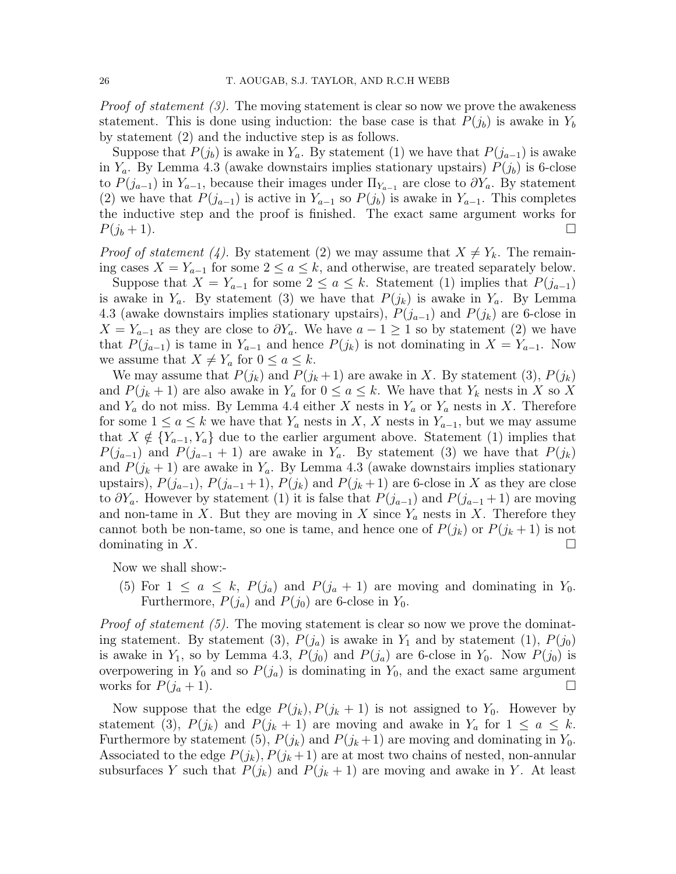*Proof of statement (3).* The moving statement is clear so now we prove the awakeness statement. This is done using induction: the base case is that  $P(j_b)$  is awake in  $Y_b$ by statement (2) and the inductive step is as follows.

Suppose that  $P(j_b)$  is awake in  $Y_a$ . By statement (1) we have that  $P(j_{a-1})$  is awake in  $Y_a$ . By Lemma 4.3 (awake downstairs implies stationary upstairs)  $P(j_b)$  is 6-close to  $P(j_{a-1})$  in  $Y_{a-1}$ , because their images under  $\Pi_{Y_{a-1}}$  are close to  $\partial Y_a$ . By statement (2) we have that  $P(j_{a-1})$  is active in  $Y_{a-1}$  so  $P(j_b)$  is awake in  $Y_{a-1}$ . This completes the inductive step and the proof is finished. The exact same argument works for  $P(j_b + 1)$ .

*Proof of statement* (4). By statement (2) we may assume that  $X \neq Y_k$ . The remaining cases  $X = Y_{a-1}$  for some  $2 \le a \le k$ , and otherwise, are treated separately below.

Suppose that  $X = Y_{a-1}$  for some  $2 \le a \le k$ . Statement (1) implies that  $P(j_{a-1})$ is awake in  $Y_a$ . By statement (3) we have that  $P(j_k)$  is awake in  $Y_a$ . By Lemma 4.3 (awake downstairs implies stationary upstairs),  $P(j_{a-1})$  and  $P(j_k)$  are 6-close in  $X = Y_{a-1}$  as they are close to  $\partial Y_a$ . We have  $a - 1 \geq 1$  so by statement (2) we have that  $P(j_{a-1})$  is tame in  $Y_{a-1}$  and hence  $P(j_k)$  is not dominating in  $X = Y_{a-1}$ . Now we assume that  $X \neq Y_a$  for  $0 \leq a \leq k$ .

We may assume that  $P(j_k)$  and  $P(j_k+1)$  are awake in X. By statement (3),  $P(j_k)$ and  $P(j_k + 1)$  are also awake in  $Y_a$  for  $0 \le a \le k$ . We have that  $Y_k$  nests in X so X and  $Y_a$  do not miss. By Lemma 4.4 either X nests in  $Y_a$  or  $Y_a$  nests in X. Therefore for some  $1 \le a \le k$  we have that  $Y_a$  nests in  $X, X$  nests in  $Y_{a-1}$ , but we may assume that  $X \notin \{Y_{a-1}, Y_a\}$  due to the earlier argument above. Statement (1) implies that  $P(j_{a-1})$  and  $P(j_{a-1}+1)$  are awake in  $Y_a$ . By statement (3) we have that  $P(j_k)$ and  $P(j_k + 1)$  are awake in  $Y_a$ . By Lemma 4.3 (awake downstairs implies stationary upstairs),  $P(j_{a-1}), P(j_{a-1}+1), P(j_k)$  and  $P(j_k+1)$  are 6-close in X as they are close to  $\partial Y_a$ . However by statement (1) it is false that  $P(j_{a-1})$  and  $P(j_{a-1}+1)$  are moving and non-tame in X. But they are moving in X since  $Y_a$  nests in X. Therefore they cannot both be non-tame, so one is tame, and hence one of  $P(j_k)$  or  $P(j_k + 1)$  is not dominating in X.

Now we shall show:-

(5) For  $1 \le a \le k$ ,  $P(j_a)$  and  $P(j_a + 1)$  are moving and dominating in  $Y_0$ . Furthermore,  $P(j_a)$  and  $P(j_0)$  are 6-close in  $Y_0$ .

*Proof of statement (5).* The moving statement is clear so now we prove the dominating statement. By statement (3),  $P(j_a)$  is awake in  $Y_1$  and by statement (1),  $P(j_0)$ is awake in  $Y_1$ , so by Lemma 4.3,  $P(j_0)$  and  $P(j_a)$  are 6-close in  $Y_0$ . Now  $P(j_0)$  is overpowering in  $Y_0$  and so  $P(j_a)$  is dominating in  $Y_0$ , and the exact same argument works for  $P(j_a + 1)$ .

Now suppose that the edge  $P(j_k), P(j_k + 1)$  is not assigned to  $Y_0$ . However by statement (3),  $P(j_k)$  and  $P(j_k + 1)$  are moving and awake in  $Y_a$  for  $1 \le a \le k$ . Furthermore by statement (5),  $P(j_k)$  and  $P(j_k+1)$  are moving and dominating in  $Y_0$ . Associated to the edge  $P(j_k), P(j_k+1)$  are at most two chains of nested, non-annular subsurfaces Y such that  $P(j_k)$  and  $P(j_k + 1)$  are moving and awake in Y. At least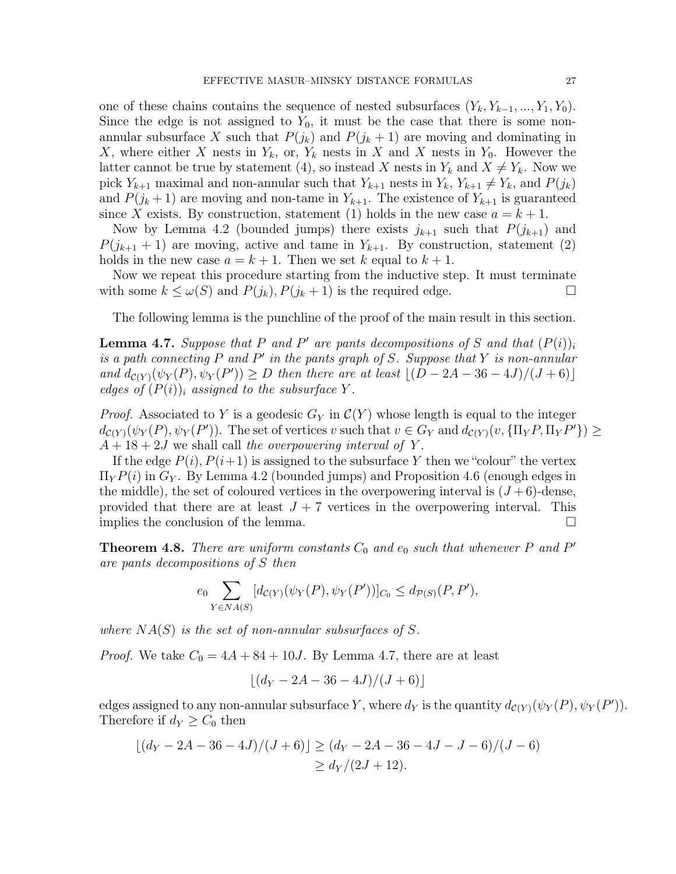one of these chains contains the sequence of nested subsurfaces  $(Y_k, Y_{k-1}, ..., Y_1, Y_0)$ . Since the edge is not assigned to  $Y_0$ , it must be the case that there is some nonannular subsurface X such that  $P(j_k)$  and  $P(j_k + 1)$  are moving and dominating in X, where either X nests in  $Y_k$ , or,  $Y_k$  nests in X and X nests in  $Y_0$ . However the latter cannot be true by statement (4), so instead X nests in  $Y_k$  and  $X \neq Y_k$ . Now we pick  $Y_{k+1}$  maximal and non-annular such that  $Y_{k+1}$  nests in  $Y_k$ ,  $Y_{k+1} \neq Y_k$ , and  $P(j_k)$ and  $P(j_k+1)$  are moving and non-tame in  $Y_{k+1}$ . The existence of  $Y_{k+1}$  is guaranteed since X exists. By construction, statement (1) holds in the new case  $a = k + 1$ .

Now by Lemma 4.2 (bounded jumps) there exists  $j_{k+1}$  such that  $P(j_{k+1})$  and  $P(j_{k+1} + 1)$  are moving, active and tame in  $Y_{k+1}$ . By construction, statement (2) holds in the new case  $a = k + 1$ . Then we set k equal to  $k + 1$ .

Now we repeat this procedure starting from the inductive step. It must terminate with some  $k \leq \omega(S)$  and  $P(j_k)$ ,  $P(j_k + 1)$  is the required edge.

The following lemma is the punchline of the proof of the main result in this section.

**Lemma 4.7.** Suppose that P and P' are pants decompositions of S and that  $(P(i))_i$ is a path connecting  $P$  and  $P'$  in the pants graph of  $S$ . Suppose that  $Y$  is non-annular and  $d_{\mathcal{C}(Y)}(\psi_Y(P), \psi_Y(P')) \ge D$  then there are at least  $\lfloor (D - 2A - 36 - 4J)/(J + 6) \rfloor$ edges of  $(P(i))_i$  assigned to the subsurface Y.

*Proof.* Associated to Y is a geodesic  $G_Y$  in  $\mathcal{C}(Y)$  whose length is equal to the integer  $d_{\mathcal{C}(Y)}(\psi_Y(P), \psi_Y(P'))$ . The set of vertices v such that  $v \in G_Y$  and  $d_{\mathcal{C}(Y)}(v, {\{\Pi_Y P, \Pi_Y P'\}}) \ge$  $A + 18 + 2J$  we shall call the overpowering interval of Y.

If the edge  $P(i)$ ,  $P(i+1)$  is assigned to the subsurface Y then we "colour" the vertex  $\Pi_Y P(i)$  in  $G_Y$ . By Lemma 4.2 (bounded jumps) and Proposition 4.6 (enough edges in the middle), the set of coloured vertices in the overpowering interval is  $(J+6)$ -dense, provided that there are at least  $J + 7$  vertices in the overpowering interval. This implies the conclusion of the lemma.

**Theorem 4.8.** There are uniform constants  $C_0$  and  $e_0$  such that whenever P and P' are pants decompositions of S then

$$
e_0 \sum_{Y \in N A(S)} [d_{\mathcal{C}(Y)}(\psi_Y(P), \psi_Y(P'))]_{C_0} \le d_{\mathcal{P}(S)}(P, P'),
$$

where  $NA(S)$  is the set of non-annular subsurfaces of S.

*Proof.* We take  $C_0 = 4A + 84 + 10J$ . By Lemma 4.7, there are at least

$$
\lfloor (d_Y - 2A - 36 - 4J)/(J + 6) \rfloor
$$

edges assigned to any non-annular subsurface Y, where  $d_Y$  is the quantity  $d_{\mathcal{C}(Y)}(\psi_Y(P), \psi_Y(P'))$ . Therefore if  $d_Y \geq C_0$  then

$$
\lfloor (d_Y - 2A - 36 - 4J)/(J + 6) \rfloor \ge (d_Y - 2A - 36 - 4J - J - 6)/(J - 6)
$$
  
\n
$$
\ge d_Y/(2J + 12).
$$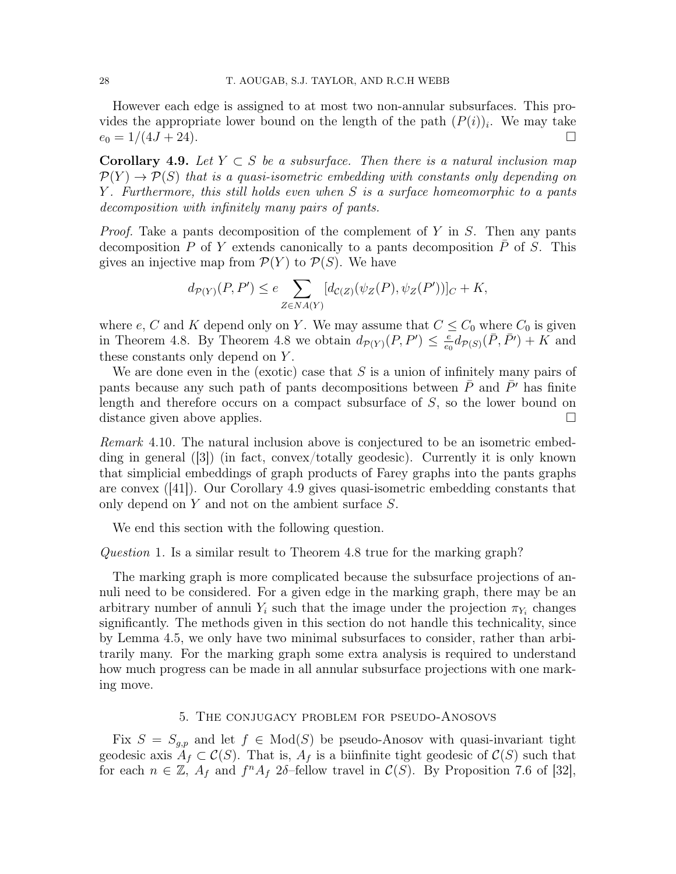However each edge is assigned to at most two non-annular subsurfaces. This provides the appropriate lower bound on the length of the path  $(P(i))_i$ . We may take  $e_0 = 1/(4J + 24)$ .

**Corollary 4.9.** Let  $Y \subset S$  be a subsurface. Then there is a natural inclusion map  $\mathcal{P}(Y) \to \mathcal{P}(S)$  that is a quasi-isometric embedding with constants only depending on Y . Furthermore, this still holds even when S is a surface homeomorphic to a pants decomposition with infinitely many pairs of pants.

*Proof.* Take a pants decomposition of the complement of Y in S. Then any pants decomposition P of Y extends canonically to a pants decomposition P of S. This gives an injective map from  $\mathcal{P}(Y)$  to  $\mathcal{P}(S)$ . We have

$$
d_{\mathcal{P}(Y)}(P, P') \le e \sum_{Z \in NA(Y)} [d_{\mathcal{C}(Z)}(\psi_Z(P), \psi_Z(P'))]_C + K,
$$

where e, C and K depend only on Y. We may assume that  $C \leq C_0$  where  $C_0$  is given in Theorem 4.8. By Theorem 4.8 we obtain  $d_{\mathcal{P}(Y)}(P, P') \leq \frac{e}{\epsilon_0}$  $\frac{e}{e_0}d_{\mathcal{P}(S)}(\bar{P}, \bar{P'}) + K$  and these constants only depend on Y .

We are done even in the (exotic) case that  $S$  is a union of infinitely many pairs of pants because any such path of pants decompositions between  $P$  and  $P'$  has finite length and therefore occurs on a compact subsurface of S, so the lower bound on distance given above applies.

Remark 4.10. The natural inclusion above is conjectured to be an isometric embedding in general ([3]) (in fact, convex/totally geodesic). Currently it is only known that simplicial embeddings of graph products of Farey graphs into the pants graphs are convex ([41]). Our Corollary 4.9 gives quasi-isometric embedding constants that only depend on Y and not on the ambient surface S.

We end this section with the following question.

Question 1. Is a similar result to Theorem 4.8 true for the marking graph?

The marking graph is more complicated because the subsurface projections of annuli need to be considered. For a given edge in the marking graph, there may be an arbitrary number of annuli  $Y_i$  such that the image under the projection  $\pi_{Y_i}$  changes significantly. The methods given in this section do not handle this technicality, since by Lemma 4.5, we only have two minimal subsurfaces to consider, rather than arbitrarily many. For the marking graph some extra analysis is required to understand how much progress can be made in all annular subsurface projections with one marking move.

# 5. The conjugacy problem for pseudo-Anosovs

Fix  $S = S_{q,p}$  and let  $f \in Mod(S)$  be pseudo-Anosov with quasi-invariant tight geodesic axis  $A_f \subset \mathcal{C}(S)$ . That is,  $A_f$  is a biinfinite tight geodesic of  $\mathcal{C}(S)$  such that for each  $n \in \mathbb{Z}$ ,  $A_f$  and  $f^nA_f$  2δ–fellow travel in  $\mathcal{C}(S)$ . By Proposition 7.6 of [32],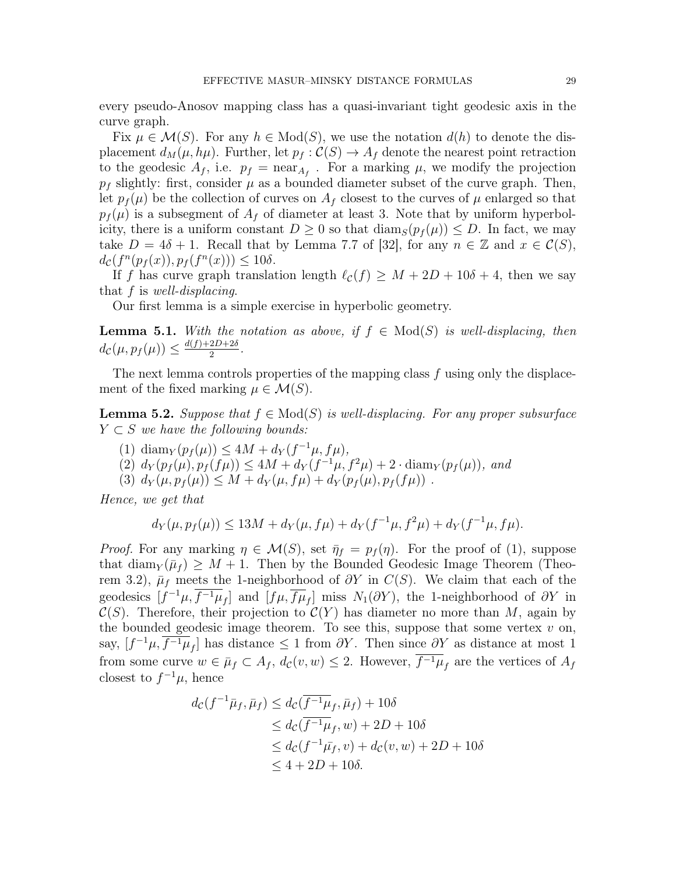every pseudo-Anosov mapping class has a quasi-invariant tight geodesic axis in the curve graph.

Fix  $\mu \in \mathcal{M}(S)$ . For any  $h \in \text{Mod}(S)$ , we use the notation  $d(h)$  to denote the displacement  $d_M(\mu, h\mu)$ . Further, let  $p_f : C(S) \to A_f$  denote the nearest point retraction to the geodesic  $A_f$ , i.e.  $p_f = \text{near}_{A_f}$ . For a marking  $\mu$ , we modify the projection  $p_f$  slightly: first, consider  $\mu$  as a bounded diameter subset of the curve graph. Then, let  $p_f(\mu)$  be the collection of curves on  $A_f$  closest to the curves of  $\mu$  enlarged so that  $p_f(\mu)$  is a subsegment of  $A_f$  of diameter at least 3. Note that by uniform hyperbolicity, there is a uniform constant  $D \geq 0$  so that  $\text{diam}_S(p_f(\mu)) \leq D$ . In fact, we may take  $D = 4\delta + 1$ . Recall that by Lemma 7.7 of [32], for any  $n \in \mathbb{Z}$  and  $x \in \mathcal{C}(S)$ ,  $d_{\mathcal{C}}(f^{n}(p_f(x)), p_f(f^{n}(x))) \leq 10\delta.$ 

If f has curve graph translation length  $\ell_{\mathcal{C}}(f) \geq M + 2D + 10\delta + 4$ , then we say that f is well-displacing.

Our first lemma is a simple exercise in hyperbolic geometry.

**Lemma 5.1.** With the notation as above, if  $f \in Mod(S)$  is well-displacing, then  $d_{\mathcal{C}}(\mu, p_f(\mu)) \leq \frac{d(f) + 2D + 2\delta}{2}$  $\frac{2D+20}{2}$ .

The next lemma controls properties of the mapping class f using only the displacement of the fixed marking  $\mu \in \mathcal{M}(S)$ .

**Lemma 5.2.** Suppose that  $f \in Mod(S)$  is well-displacing. For any proper subsurface  $Y \subset S$  we have the following bounds:

- (1) diam<sub>Y</sub>( $p_f(\mu)$ )  $\leq 4M + d_Y(f^{-1}\mu, f\mu)$ ,
- (2)  $d_Y(p_f(\mu), p_f(f\mu)) \leq 4M + d_Y(f^{-1}\mu, f^2\mu) + 2 \cdot \text{diam}_Y(p_f(\mu)),$  and
- (3)  $d_Y(\mu, p_f(\mu)) \leq M + d_Y(\mu, f\mu) + d_Y(p_f(\mu), p_f(f\mu))$ .

Hence, we get that

$$
d_Y(\mu, p_f(\mu)) \le 13M + d_Y(\mu, f\mu) + d_Y(f^{-1}\mu, f^2\mu) + d_Y(f^{-1}\mu, f\mu).
$$

*Proof.* For any marking  $\eta \in \mathcal{M}(S)$ , set  $\overline{\eta}_f = p_f(\eta)$ . For the proof of (1), suppose that diam<sub>Y</sub>  $(\bar{\mu}_f) \geq M + 1$ . Then by the Bounded Geodesic Image Theorem (Theorem 3.2),  $\bar{\mu}_f$  meets the 1-neighborhood of  $\partial Y$  in  $C(S)$ . We claim that each of the geodesics  $[f^{-1}\mu, \overline{f^{-1}\mu}_f]$  and  $[f\mu, \overline{f\mu}_f]$  miss  $N_1(\partial Y)$ , the 1-neighborhood of  $\partial Y$  in  $\mathcal{C}(S)$ . Therefore, their projection to  $\mathcal{C}(Y)$  has diameter no more than M, again by the bounded geodesic image theorem. To see this, suppose that some vertex  $v$  on, say,  $[f^{-1}\mu, \overline{f^{-1}\mu}_f]$  has distance  $\leq 1$  from  $\partial Y$ . Then since  $\partial Y$  as distance at most 1 from some curve  $w \in \bar{\mu}_f \subset A_f$ ,  $d_c(v, w) \leq 2$ . However,  $\overline{f^{-1}\mu}_f$  are the vertices of  $A_f$ closest to  $f^{-1}\mu$ , hence

$$
d_{\mathcal{C}}(f^{-1}\bar{\mu}_{f}, \bar{\mu}_{f}) \leq d_{\mathcal{C}}(\overline{f^{-1}\mu}_{f}, \bar{\mu}_{f}) + 10\delta
$$
  
\n
$$
\leq d_{\mathcal{C}}(\overline{f^{-1}\mu}_{f}, w) + 2D + 10\delta
$$
  
\n
$$
\leq d_{\mathcal{C}}(f^{-1}\bar{\mu}_{f}, v) + d_{\mathcal{C}}(v, w) + 2D + 10\delta
$$
  
\n
$$
\leq 4 + 2D + 10\delta.
$$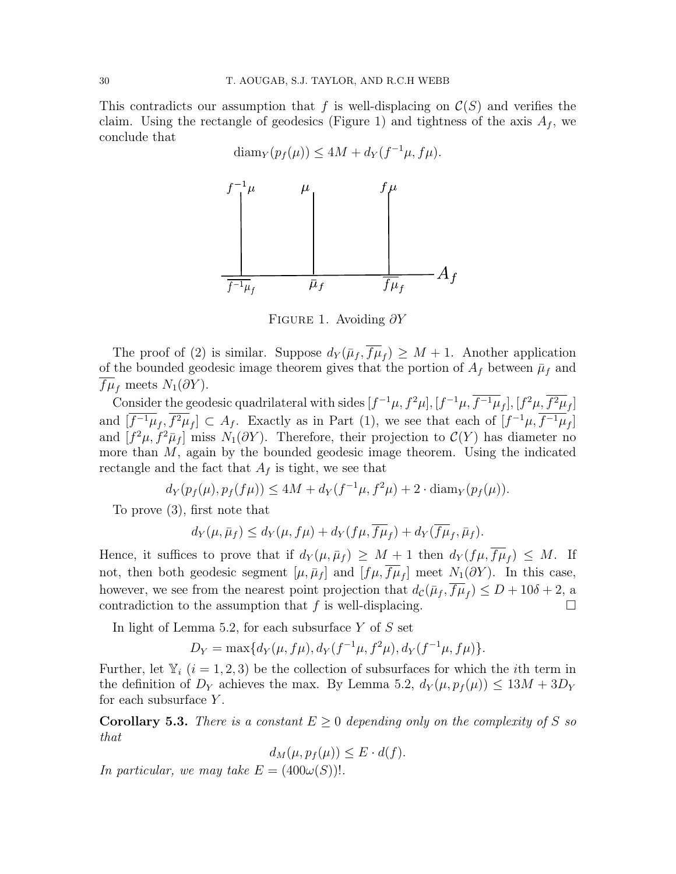This contradicts our assumption that f is well-displacing on  $\mathcal{C}(S)$  and verifies the claim. Using the rectangle of geodesics (Figure 1) and tightness of the axis  $A_f$ , we conclude that

$$
\text{diam}_Y(p_f(\mu)) \le 4M + d_Y(f^{-1}\mu, f\mu).
$$
\n
$$
f^{-1}\mu \qquad \mu \qquad \qquad f\mu
$$
\n
$$
\downarrow \qquad \qquad \downarrow
$$
\n
$$
\downarrow \qquad \qquad \downarrow
$$
\n
$$
\frac{f^{-1}\mu}{f^{-1}\mu_f} \qquad \bar{\mu}_f \qquad \qquad \frac{f\mu}{f\mu_f} \qquad A_f
$$

FIGURE 1. Avoiding  $\partial Y$ 

The proof of (2) is similar. Suppose  $d_Y(\bar{\mu}_f, \bar{f}\mu_f) \geq M + 1$ . Another application of the bounded geodesic image theorem gives that the portion of  $A_f$  between  $\bar{\mu}_f$  and  $f\mu_f$  meets  $N_1(\partial Y)$ .

Consider the geodesic quadrilateral with sides  $[f^{-1}\mu, f^2\mu], [f^{-1}\mu, \overline{f^{-1}\mu}_f], [f^2\mu, \overline{f^2\mu}_f]$ and  $[\overline{f^{-1}\mu}_f, \overline{f^2\mu}_f] \subset A_f$ . Exactly as in Part (1), we see that each of  $[f^{-1}\mu, \overline{f^{-1}\mu}_f]$ and  $[f^2\mu, f^2\bar{\mu}_f]$  miss  $N_1(\partial Y)$ . Therefore, their projection to  $\mathcal{C}(Y)$  has diameter no more than M, again by the bounded geodesic image theorem. Using the indicated rectangle and the fact that  $A_f$  is tight, we see that

$$
d_Y(p_f(\mu), p_f(f\mu)) \le 4M + d_Y(f^{-1}\mu, f^2\mu) + 2 \cdot \text{diam}_Y(p_f(\mu)).
$$

To prove (3), first note that

$$
d_Y(\mu, \bar{\mu}_f) \le d_Y(\mu, f\mu) + d_Y(f\mu, \overline{f\mu}_f) + d_Y(\overline{f\mu}_f, \bar{\mu}_f).
$$

Hence, it suffices to prove that if  $d_Y(\mu, \bar{\mu}_f) \geq M + 1$  then  $d_Y(f\mu, f\mu_f) \leq M$ . If not, then both geodesic segment  $[\mu, \bar{\mu}_f]$  and  $[f\mu, f\mu_f]$  meet  $N_1(\partial Y)$ . In this case, however, we see from the nearest point projection that  $d_{\mathcal{C}}(\bar{\mu}_f, \bar{f}\mu_f) \leq D + 10\delta + 2$ , a contradiction to the assumption that  $f$  is well-displacing.

In light of Lemma 5.2, for each subsurface  $Y$  of  $S$  set

$$
D_Y = \max\{d_Y(\mu, f\mu), d_Y(f^{-1}\mu, f^2\mu), d_Y(f^{-1}\mu, f\mu)\}.
$$

Further, let  $Y_i$   $(i = 1, 2, 3)$  be the collection of subsurfaces for which the *i*th term in the definition of  $D_Y$  achieves the max. By Lemma 5.2,  $d_Y(\mu, p_f(\mu)) \leq 13M + 3D_Y$ for each subsurface  $Y$ .

**Corollary 5.3.** There is a constant  $E \geq 0$  depending only on the complexity of S so that

$$
d_M(\mu, p_f(\mu)) \le E \cdot d(f).
$$

In particular, we may take  $E = (400\omega(S))!$ .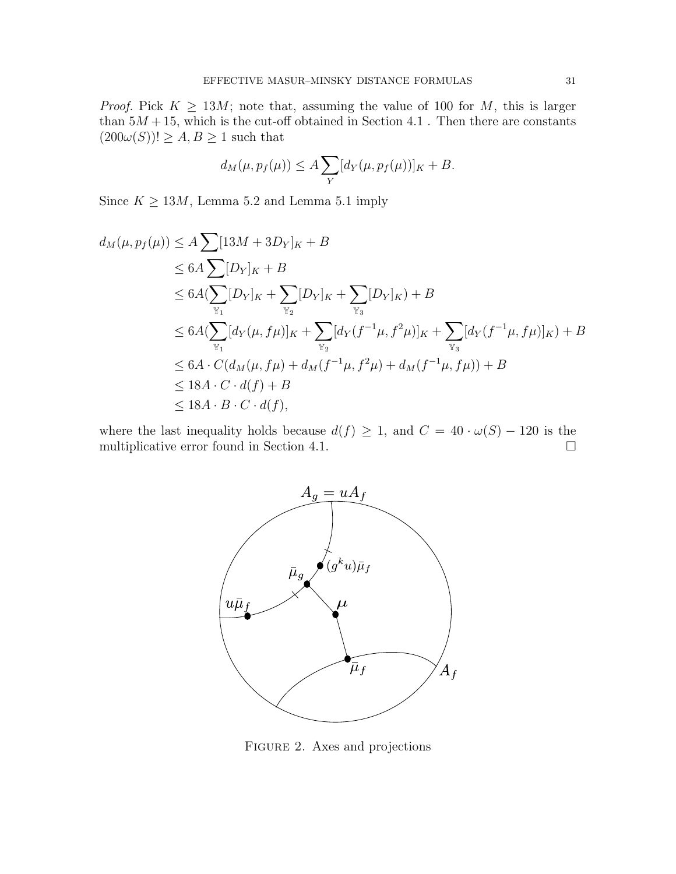*Proof.* Pick  $K \geq 13M$ ; note that, assuming the value of 100 for M, this is larger than  $5M + 15$ , which is the cut-off obtained in Section 4.1. Then there are constants  $(200\omega(S))! \geq A, B \geq 1$  such that

$$
d_M(\mu, p_f(\mu)) \le A \sum_Y [d_Y(\mu, p_f(\mu))]_K + B.
$$

Since  $K \geq 13M$ , Lemma 5.2 and Lemma 5.1 imply

$$
d_M(\mu, p_f(\mu)) \le A \sum [13M + 3D_Y]_K + B
$$
  
\n
$$
\le 6A \sum [\sum [D_Y]_K + B
$$
  
\n
$$
\le 6A (\sum_{\mathbb{Y}_1} [D_Y]_K + \sum_{\mathbb{Y}_2} [D_Y]_K + \sum_{\mathbb{Y}_3} [D_Y]_K) + B
$$
  
\n
$$
\le 6A (\sum_{\mathbb{Y}_1} [d_Y(\mu, f\mu)]_K + \sum_{\mathbb{Y}_2} [d_Y(f^{-1}\mu, f^2\mu)]_K + \sum_{\mathbb{Y}_3} [d_Y(f^{-1}\mu, f\mu)]_K) + B
$$
  
\n
$$
\le 6A \cdot C (d_M(\mu, f\mu) + d_M(f^{-1}\mu, f^2\mu) + d_M(f^{-1}\mu, f\mu)) + B
$$
  
\n
$$
\le 18A \cdot C \cdot d(f) + B
$$
  
\n
$$
\le 18A \cdot B \cdot C \cdot d(f),
$$

where the last inequality holds because  $d(f) \geq 1$ , and  $C = 40 \cdot \omega(S) - 120$  is the multiplicative error found in Section 4.1.



FIGURE 2. Axes and projections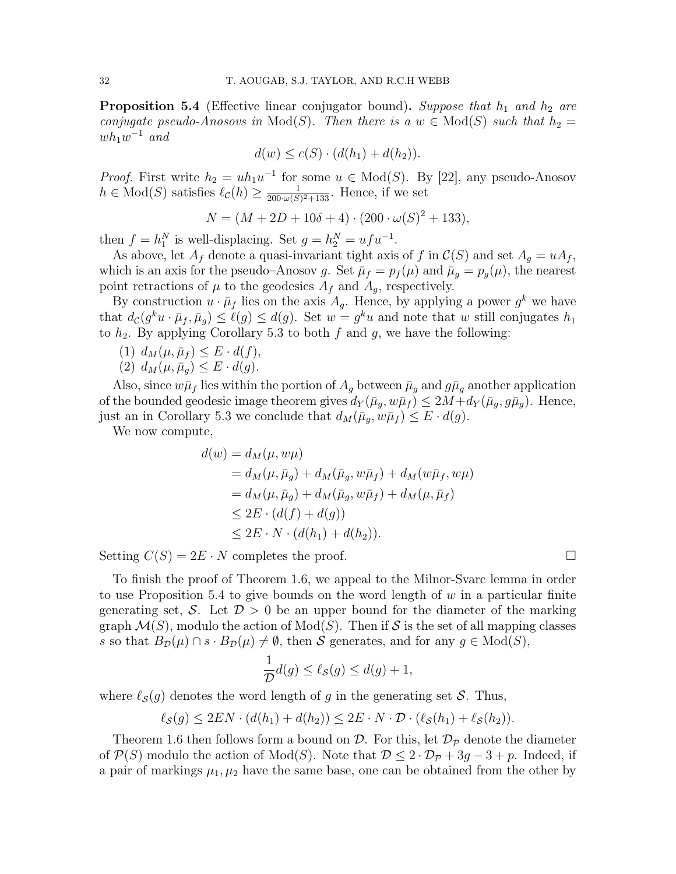**Proposition 5.4** (Effective linear conjugator bound). Suppose that  $h_1$  and  $h_2$  are conjugate pseudo-Anosovs in  $Mod(S)$ . Then there is a  $w \in Mod(S)$  such that  $h_2 =$  $wh_1w^{-1}$  and

$$
d(w) \le c(S) \cdot (d(h_1) + d(h_2)).
$$

*Proof.* First write  $h_2 = uh_1u^{-1}$  for some  $u \in Mod(S)$ . By [22], any pseudo-Anosov  $h \in Mod(S)$  satisfies  $\ell_{\mathcal{C}}(h) \geq \frac{1}{200 \cdot \omega(S)}$  $\frac{1}{200\cdot\omega(S)^2+133}$ . Hence, if we set

$$
N = (M + 2D + 10\delta + 4) \cdot (200 \cdot \omega(S)^{2} + 133),
$$

then  $f = h_1^N$  is well-displacing. Set  $g = h_2^N = ufu^{-1}$ .

As above, let  $A_f$  denote a quasi-invariant tight axis of f in  $\mathcal{C}(S)$  and set  $A_g = uA_f$ , which is an axis for the pseudo–Anosov g. Set  $\bar{\mu}_f = p_f(\mu)$  and  $\bar{\mu}_g = p_g(\mu)$ , the nearest point retractions of  $\mu$  to the geodesics  $A_f$  and  $A_g$ , respectively.

By construction  $u \cdot \bar{\mu}_f$  lies on the axis  $A_g$ . Hence, by applying a power  $g^k$  we have that  $d_{\mathcal{C}}(g^k u \cdot \bar{\mu}_f, \bar{\mu}_g) \leq \ell(g) \leq d(g)$ . Set  $w = g^k u$  and note that w still conjugates  $h_1$ to  $h_2$ . By applying Corollary 5.3 to both f and g, we have the following:

- (1)  $d_M(\mu, \bar{\mu}_f) \leq E \cdot d(f),$
- (2)  $d_M(\mu, \bar{\mu}_g) \leq E \cdot d(g)$ .

Also, since  $w\bar{\mu}_f$  lies within the portion of  $A_g$  between  $\bar{\mu}_g$  and  $g\bar{\mu}_g$  another application of the bounded geodesic image theorem gives  $d_Y(\bar{\mu}_q, w\bar{\mu}_f) \leq 2M + d_Y(\bar{\mu}_q, g\bar{\mu}_q)$ . Hence, just an in Corollary 5.3 we conclude that  $d_M(\bar{\mu}_g, w\bar{\mu}_f) \leq E \cdot d(g)$ .

We now compute,

$$
d(w) = d_M(\mu, w\mu)
$$
  
= d\_M(\mu, \bar{\mu}\_g) + d\_M(\bar{\mu}\_g, w\bar{\mu}\_f) + d\_M(w\bar{\mu}\_f, w\mu)  
= d\_M(\mu, \bar{\mu}\_g) + d\_M(\bar{\mu}\_g, w\bar{\mu}\_f) + d\_M(\mu, \bar{\mu}\_f)  
\leq 2E \cdot (d(f) + d(g))  
\leq 2E \cdot N \cdot (d(h\_1) + d(h\_2)).

Setting  $C(S) = 2E \cdot N$  completes the proof.

To finish the proof of Theorem 1.6, we appeal to the Milnor-Svarc lemma in order to use Proposition 5.4 to give bounds on the word length of  $w$  in a particular finite generating set, S. Let  $\mathcal{D} > 0$  be an upper bound for the diameter of the marking graph  $\mathcal{M}(S)$ , modulo the action of  $Mod(S)$ . Then if S is the set of all mapping classes s so that  $B_{\mathcal{D}}(\mu) \cap s \cdot B_{\mathcal{D}}(\mu) \neq \emptyset$ , then S generates, and for any  $g \in Mod(S)$ ,

$$
\frac{1}{\mathcal{D}}d(g) \le \ell_{\mathcal{S}}(g) \le d(g) + 1,
$$

where  $\ell_{\mathcal{S}}(g)$  denotes the word length of g in the generating set S. Thus,

$$
\ell_{\mathcal{S}}(g) \leq 2EN \cdot (d(h_1) + d(h_2)) \leq 2E \cdot N \cdot \mathcal{D} \cdot (\ell_{\mathcal{S}}(h_1) + \ell_{\mathcal{S}}(h_2)).
$$

Theorem 1.6 then follows form a bound on  $\mathcal{D}$ . For this, let  $\mathcal{D}_{\mathcal{P}}$  denote the diameter of  $\mathcal{P}(S)$  modulo the action of  $Mod(S)$ . Note that  $\mathcal{D} \leq 2 \cdot \mathcal{D}_{\mathcal{P}} + 3g - 3 + p$ . Indeed, if a pair of markings  $\mu_1, \mu_2$  have the same base, one can be obtained from the other by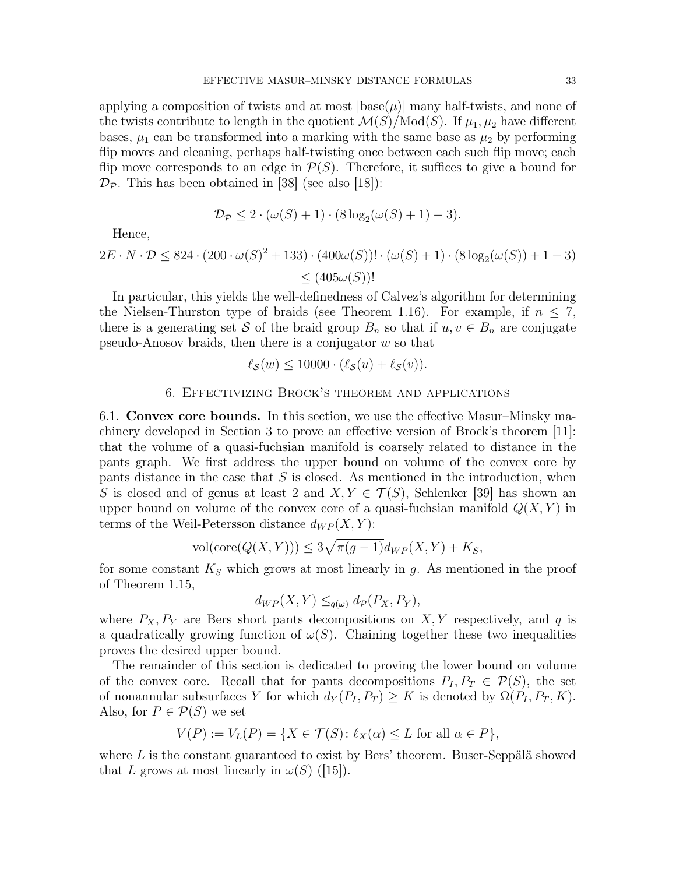applying a composition of twists and at most  $|\text{base}(\mu)|$  many half-twists, and none of the twists contribute to length in the quotient  $\mathcal{M}(S)/\text{Mod}(S)$ . If  $\mu_1, \mu_2$  have different bases,  $\mu_1$  can be transformed into a marking with the same base as  $\mu_2$  by performing flip moves and cleaning, perhaps half-twisting once between each such flip move; each flip move corresponds to an edge in  $\mathcal{P}(S)$ . Therefore, it suffices to give a bound for  $\mathcal{D}_{\mathcal{P}}$ . This has been obtained in [38] (see also [18]):

$$
\mathcal{D}_{\mathcal{P}} \leq 2 \cdot (\omega(S) + 1) \cdot (8 \log_2(\omega(S) + 1) - 3).
$$

Hence,

$$
2E \cdot N \cdot \mathcal{D} \le 824 \cdot (200 \cdot \omega(S)^2 + 133) \cdot (400\omega(S))! \cdot (\omega(S) + 1) \cdot (8 \log_2(\omega(S)) + 1 - 3)
$$
  

$$
\le (405\omega(S))!
$$

In particular, this yields the well-definedness of Calvez's algorithm for determining the Nielsen-Thurston type of braids (see Theorem 1.16). For example, if  $n \leq 7$ , there is a generating set S of the braid group  $B_n$  so that if  $u, v \in B_n$  are conjugate pseudo-Anosov braids, then there is a conjugator  $w$  so that

$$
\ell_{\mathcal{S}}(w) \le 10000 \cdot (\ell_{\mathcal{S}}(u) + \ell_{\mathcal{S}}(v)).
$$

# 6. Effectivizing Brock's theorem and applications

6.1. Convex core bounds. In this section, we use the effective Masur–Minsky machinery developed in Section 3 to prove an effective version of Brock's theorem [11]: that the volume of a quasi-fuchsian manifold is coarsely related to distance in the pants graph. We first address the upper bound on volume of the convex core by pants distance in the case that  $S$  is closed. As mentioned in the introduction, when S is closed and of genus at least 2 and  $X, Y \in \mathcal{T}(S)$ , Schlenker [39] has shown an upper bound on volume of the convex core of a quasi-fuchsian manifold  $Q(X, Y)$  in terms of the Weil-Petersson distance  $d_{WP}(X, Y)$ :

$$
\text{vol}(\text{core}(Q(X,Y))) \le 3\sqrt{\pi(g-1)}d_{WP}(X,Y) + K_S,
$$

for some constant  $K<sub>S</sub>$  which grows at most linearly in g. As mentioned in the proof of Theorem 1.15,

$$
d_{WP}(X,Y) \leq_{q(\omega)} d_{\mathcal{P}}(P_X, P_Y),
$$

where  $P_X, P_Y$  are Bers short pants decompositions on X, Y respectively, and q is a quadratically growing function of  $\omega(S)$ . Chaining together these two inequalities proves the desired upper bound.

The remainder of this section is dedicated to proving the lower bound on volume of the convex core. Recall that for pants decompositions  $P_I, P_T \in \mathcal{P}(S)$ , the set of nonannular subsurfaces Y for which  $d_Y(P_I, P_T) \geq K$  is denoted by  $\Omega(P_I, P_T, K)$ . Also, for  $P \in \mathcal{P}(S)$  we set

$$
V(P) := V_L(P) = \{ X \in \mathcal{T}(S) \colon \ell_X(\alpha) \le L \text{ for all } \alpha \in P \},
$$

where  $L$  is the constant guaranteed to exist by Bers' theorem. Buser-Seppälä showed that L grows at most linearly in  $\omega(S)$  ([15]).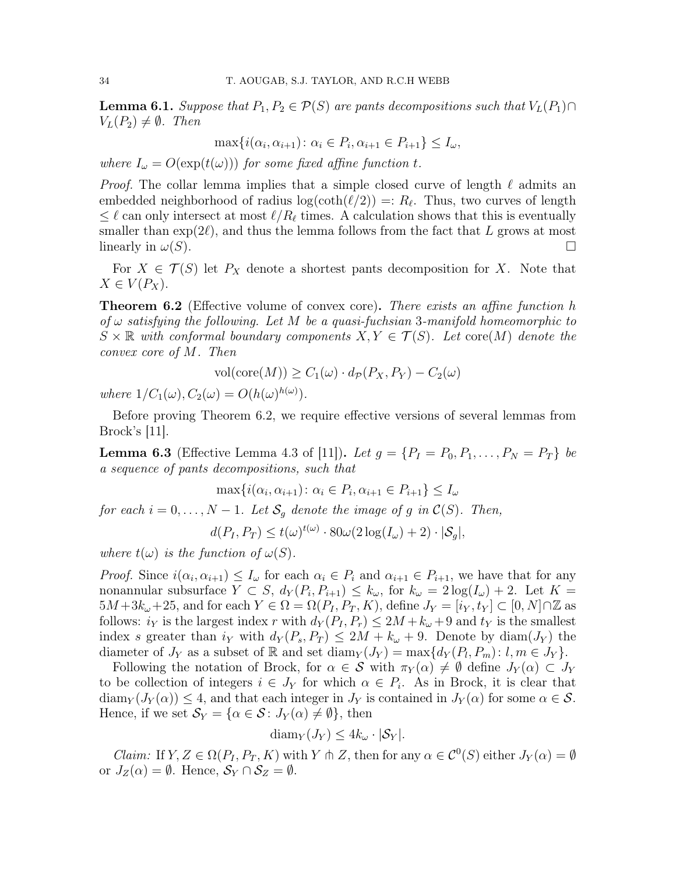**Lemma 6.1.** Suppose that  $P_1, P_2 \in \mathcal{P}(S)$  are pants decompositions such that  $V_L(P_1) \cap$  $V<sub>L</sub>(P<sub>2</sub>) \neq \emptyset$ . Then

$$
\max\{i(\alpha_i, \alpha_{i+1}) \colon \alpha_i \in P_i, \alpha_{i+1} \in P_{i+1}\} \le I_\omega,
$$

where  $I_{\omega} = O(\exp(t(\omega)))$  for some fixed affine function t.

*Proof.* The collar lemma implies that a simple closed curve of length  $\ell$  admits an embedded neighborhood of radius  $log(coth(\ell/2)) =: R_{\ell}$ . Thus, two curves of length  $\leq \ell$  can only intersect at most  $\ell/R_\ell$  times. A calculation shows that this is eventually smaller than  $\exp(2\ell)$ , and thus the lemma follows from the fact that L grows at most linearly in  $\omega(S)$ .

For  $X \in \mathcal{T}(S)$  let  $P_X$  denote a shortest pants decomposition for X. Note that  $X \in V(P_X)$ .

**Theorem 6.2** (Effective volume of convex core). There exists an affine function h of  $\omega$  satisfying the following. Let M be a quasi-fuchsian 3-manifold homeomorphic to  $S \times \mathbb{R}$  with conformal boundary components  $X, Y \in \mathcal{T}(S)$ . Let core $(M)$  denote the convex core of M. Then

$$
vol(\mathrm{core}(M)) \ge C_1(\omega) \cdot d_{\mathcal{P}}(P_X, P_Y) - C_2(\omega)
$$

where  $1/C_1(\omega), C_2(\omega) = O(h(\omega)^{h(\omega)})$ .

Before proving Theorem 6.2, we require effective versions of several lemmas from Brock's [11].

**Lemma 6.3** (Effective Lemma 4.3 of [11]). Let  $g = \{P_I = P_0, P_1, \ldots, P_N = P_T\}$  be a sequence of pants decompositions, such that

$$
\max\{i(\alpha_i, \alpha_{i+1}) : \alpha_i \in P_i, \alpha_{i+1} \in P_{i+1}\} \le I_\omega
$$
  
for each  $i = 0, ..., N - 1$ . Let  $S_g$  denote the image of g in  $C(S)$ . Then,

$$
d(P_I, P_T) \le t(\omega)^{t(\omega)} \cdot 80\omega(2\log(I_{\omega}) + 2) \cdot |\mathcal{S}_g|,
$$

where  $t(\omega)$  is the function of  $\omega(S)$ .

*Proof.* Since  $i(\alpha_i, \alpha_{i+1}) \leq I_\omega$  for each  $\alpha_i \in P_i$  and  $\alpha_{i+1} \in P_{i+1}$ , we have that for any nonannular subsurface  $Y \subset S$ ,  $d_Y(P_i, P_{i+1}) \leq k_{\omega}$ , for  $k_{\omega} = 2 \log(I_{\omega}) + 2$ . Let  $K =$  $5M+3k_{\omega}+25$ , and for each  $Y \in \Omega = \Omega(P_I, P_T, K)$ , define  $J_Y = [i_Y, t_Y] \subset [0, N] \cap \mathbb{Z}$  as follows:  $i_Y$  is the largest index r with  $d_Y(P_I, P_r) \leq 2M + k_\omega + 9$  and  $t_Y$  is the smallest index s greater than  $i_Y$  with  $d_Y(P_s, P_T) \leq 2M + k_\omega + 9$ . Denote by diam( $J_Y$ ) the diameter of  $J_Y$  as a subset of R and set diam $_Y(J_Y) = \max\{d_Y(P_l, P_m): l, m \in J_Y\}.$ 

Following the notation of Brock, for  $\alpha \in \mathcal{S}$  with  $\pi_Y(\alpha) \neq \emptyset$  define  $J_Y(\alpha) \subset J_Y$ to be collection of integers  $i \in J_Y$  for which  $\alpha \in P_i$ . As in Brock, it is clear that  $\dim_Y(J_Y(\alpha)) \leq 4$ , and that each integer in  $J_Y$  is contained in  $J_Y(\alpha)$  for some  $\alpha \in \mathcal{S}$ . Hence, if we set  $\mathcal{S}_Y = {\alpha \in \mathcal{S} : J_Y(\alpha) \neq \emptyset}$ , then

$$
diam_Y(J_Y) \leq 4k_{\omega} \cdot |\mathcal{S}_Y|.
$$

*Claim:* If  $Y, Z \in \Omega(P_I, P_T, K)$  with Y  $\uparrow \uparrow Z$ , then for any  $\alpha \in C^0(S)$  either  $J_Y(\alpha) = \emptyset$ or  $J_Z(\alpha) = \emptyset$ . Hence,  $S_Y \cap S_Z = \emptyset$ .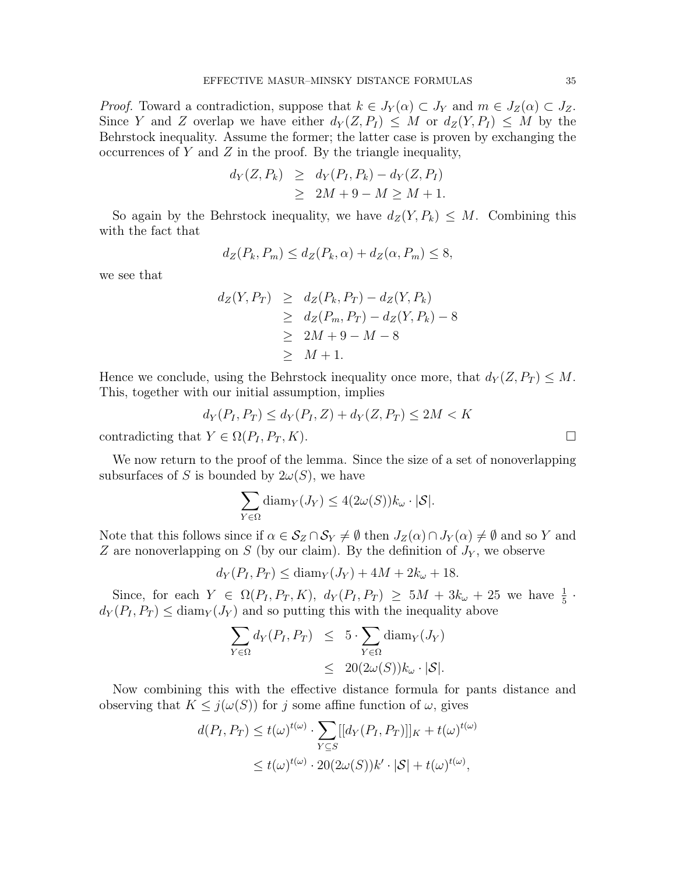*Proof.* Toward a contradiction, suppose that  $k \in J_Y(\alpha) \subset J_Y$  and  $m \in J_Z(\alpha) \subset J_Z$ . Since Y and Z overlap we have either  $d_Y(Z, P_I) \leq M$  or  $d_Z(Y, P_I) \leq M$  by the Behrstock inequality. Assume the former; the latter case is proven by exchanging the occurrences of  $Y$  and  $Z$  in the proof. By the triangle inequality,

$$
d_Y(Z, P_k) \ge d_Y(P_I, P_k) - d_Y(Z, P_I)
$$
  
\n
$$
\ge 2M + 9 - M \ge M + 1.
$$

So again by the Behrstock inequality, we have  $d_Z(Y, P_k) \leq M$ . Combining this with the fact that

$$
d_Z(P_k, P_m) \le d_Z(P_k, \alpha) + d_Z(\alpha, P_m) \le 8,
$$

we see that

$$
d_Z(Y, P_T) \geq d_Z(P_k, P_T) - d_Z(Y, P_k)
$$
  
\n
$$
\geq d_Z(P_m, P_T) - d_Z(Y, P_k) - 8
$$
  
\n
$$
\geq 2M + 9 - M - 8
$$
  
\n
$$
\geq M + 1.
$$

Hence we conclude, using the Behrstock inequality once more, that  $d_Y(Z, P_T) \leq M$ . This, together with our initial assumption, implies

$$
d_Y(P_I, P_T) \le d_Y(P_I, Z) + d_Y(Z, P_T) \le 2M < K
$$

contradicting that  $Y \in \Omega(P_I, P_T, K)$ .

We now return to the proof of the lemma. Since the size of a set of nonoverlapping subsurfaces of S is bounded by  $2\omega(S)$ , we have

$$
\sum_{Y \in \Omega} \text{diam}_Y(J_Y) \le 4(2\omega(S))k_{\omega} \cdot |\mathcal{S}|.
$$

Note that this follows since if  $\alpha \in S_Z \cap S_Y \neq \emptyset$  then  $J_Z(\alpha) \cap J_Y(\alpha) \neq \emptyset$  and so Y and Z are nonoverlapping on S (by our claim). By the definition of  $J_Y$ , we observe

$$
d_Y(P_I, P_T) \le \text{diam}_Y(J_Y) + 4M + 2k_{\omega} + 18.
$$

Since, for each  $Y \in \Omega(P_I, P_T, K)$ ,  $d_Y(P_I, P_T) \geq 5M + 3k_{\omega} + 25$  we have  $\frac{1}{5}$ .  $d_Y(P_I, P_T) \leq \text{diam}_Y(J_Y)$  and so putting this with the inequality above

$$
\sum_{Y \in \Omega} d_Y(P_I, P_T) \leq 5 \cdot \sum_{Y \in \Omega} \text{diam}_Y(J_Y)
$$
  

$$
\leq 20(2\omega(S))k_{\omega} \cdot |\mathcal{S}|.
$$

Now combining this with the effective distance formula for pants distance and observing that  $K \leq j(\omega(S))$  for j some affine function of  $\omega$ , gives

$$
d(P_I, P_T) \le t(\omega)^{t(\omega)} \cdot \sum_{Y \subseteq S} [[d_Y(P_I, P_T)]]_K + t(\omega)^{t(\omega)}
$$
  

$$
\le t(\omega)^{t(\omega)} \cdot 20(2\omega(S))k' \cdot |\mathcal{S}| + t(\omega)^{t(\omega)},
$$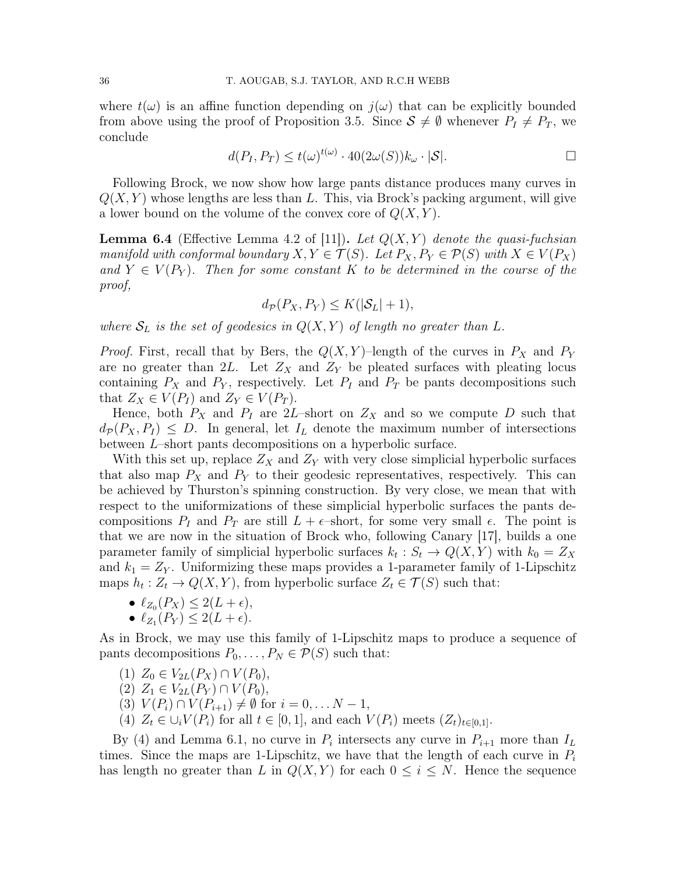where  $t(\omega)$  is an affine function depending on  $j(\omega)$  that can be explicitly bounded from above using the proof of Proposition 3.5. Since  $S \neq \emptyset$  whenever  $P_I \neq P_T$ , we conclude

$$
d(P_I, P_T) \le t(\omega)^{t(\omega)} \cdot 40(2\omega(S))k_{\omega} \cdot |\mathcal{S}|.
$$

Following Brock, we now show how large pants distance produces many curves in  $Q(X, Y)$  whose lengths are less than L. This, via Brock's packing argument, will give a lower bound on the volume of the convex core of  $Q(X, Y)$ .

**Lemma 6.4** (Effective Lemma 4.2 of [11]). Let  $Q(X, Y)$  denote the quasi-fuchsian manifold with conformal boundary  $X, Y \in \mathcal{T}(S)$ . Let  $P_X, P_Y \in \mathcal{P}(S)$  with  $X \in V(P_X)$ and  $Y \in V(P_Y)$ . Then for some constant K to be determined in the course of the proof,

$$
d_{\mathcal{P}}(P_X, P_Y) \le K(|\mathcal{S}_L| + 1),
$$

where  $S_L$  is the set of geodesics in  $Q(X, Y)$  of length no greater than L.

*Proof.* First, recall that by Bers, the  $Q(X, Y)$ –length of the curves in  $P_X$  and  $P_Y$ are no greater than 2L. Let  $Z_X$  and  $Z_Y$  be pleated surfaces with pleating locus containing  $P_X$  and  $P_Y$ , respectively. Let  $P_I$  and  $P_T$  be pants decompositions such that  $Z_X \in V(P_I)$  and  $Z_Y \in V(P_T)$ .

Hence, both  $P_X$  and  $P_I$  are 2L-short on  $Z_X$  and so we compute D such that  $d_P(P_X, P_I) \leq D$ . In general, let  $I_L$  denote the maximum number of intersections between L–short pants decompositions on a hyperbolic surface.

With this set up, replace  $Z_X$  and  $Z_Y$  with very close simplicial hyperbolic surfaces that also map  $P_X$  and  $P_Y$  to their geodesic representatives, respectively. This can be achieved by Thurston's spinning construction. By very close, we mean that with respect to the uniformizations of these simplicial hyperbolic surfaces the pants decompositions  $P_I$  and  $P_T$  are still  $L + \epsilon$ -short, for some very small  $\epsilon$ . The point is that we are now in the situation of Brock who, following Canary [17], builds a one parameter family of simplicial hyperbolic surfaces  $k_t : S_t \to Q(X, Y)$  with  $k_0 = Z_X$ and  $k_1 = Z_Y$ . Uniformizing these maps provides a 1-parameter family of 1-Lipschitz maps  $h_t: Z_t \to Q(X, Y)$ , from hyperbolic surface  $Z_t \in \mathcal{T}(S)$  such that:

- $\ell_{Z_0}(P_X) \leq 2(L + \epsilon),$
- $\ell_{Z_1}(P_Y) \leq 2(L + \epsilon).$

As in Brock, we may use this family of 1-Lipschitz maps to produce a sequence of pants decompositions  $P_0, \ldots, P_N \in \mathcal{P}(S)$  such that:

- (1)  $Z_0 \in V_{2L}(P_X) \cap V(P_0)$ ,
- (2)  $Z_1 \in V_{2L}(P_Y) \cap V(P_0)$ ,
- (3)  $V(P_i) \cap V(P_{i+1}) \neq \emptyset$  for  $i = 0, \ldots N 1$ ,
- (4)  $Z_t \in \bigcup_i V(P_i)$  for all  $t \in [0,1]$ , and each  $V(P_i)$  meets  $(Z_t)_{t \in [0,1]}$ .

By (4) and Lemma 6.1, no curve in  $P_i$  intersects any curve in  $P_{i+1}$  more than  $I_L$ times. Since the maps are 1-Lipschitz, we have that the length of each curve in  $P_i$ has length no greater than L in  $Q(X, Y)$  for each  $0 \leq i \leq N$ . Hence the sequence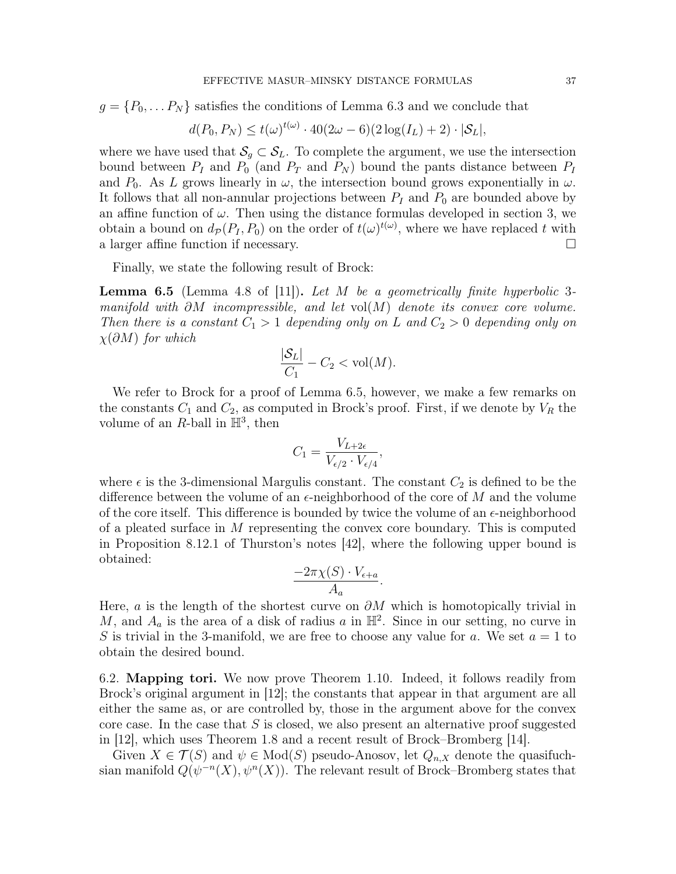$g = \{P_0, \ldots P_N\}$  satisfies the conditions of Lemma 6.3 and we conclude that

$$
d(P_0, P_N) \le t(\omega)^{t(\omega)} \cdot 40(2\omega - 6)(2\log(I_L) + 2) \cdot |\mathcal{S}_L|,
$$

where we have used that  $\mathcal{S}_q \subset \mathcal{S}_L$ . To complete the argument, we use the intersection bound between  $P_I$  and  $P_0$  (and  $P_T$  and  $P_N$ ) bound the pants distance between  $P_I$ and  $P_0$ . As L grows linearly in  $\omega$ , the intersection bound grows exponentially in  $\omega$ . It follows that all non-annular projections between  $P_I$  and  $P_0$  are bounded above by an affine function of  $\omega$ . Then using the distance formulas developed in section 3, we obtain a bound on  $d_p(P_I, P_0)$  on the order of  $t(\omega)^{t(\omega)}$ , where we have replaced t with a larger affine function if necessary.

Finally, we state the following result of Brock:

**Lemma 6.5** (Lemma 4.8 of [11]). Let M be a geometrically finite hyperbolic 3manifold with  $\partial M$  incompressible, and let vol $(M)$  denote its convex core volume. Then there is a constant  $C_1 > 1$  depending only on L and  $C_2 > 0$  depending only on  $\chi(\partial M)$  for which

$$
\frac{|\mathcal{S}_L|}{C_1} - C_2 < \text{vol}(M).
$$

We refer to Brock for a proof of Lemma 6.5, however, we make a few remarks on the constants  $C_1$  and  $C_2$ , as computed in Brock's proof. First, if we denote by  $V_R$  the volume of an R-ball in  $\mathbb{H}^3$ , then

$$
C_1 = \frac{V_{L+2\epsilon}}{V_{\epsilon/2} \cdot V_{\epsilon/4}},
$$

where  $\epsilon$  is the 3-dimensional Margulis constant. The constant  $C_2$  is defined to be the difference between the volume of an  $\epsilon$ -neighborhood of the core of M and the volume of the core itself. This difference is bounded by twice the volume of an  $\epsilon$ -neighborhood of a pleated surface in  $M$  representing the convex core boundary. This is computed in Proposition 8.12.1 of Thurston's notes [42], where the following upper bound is obtained:

$$
\frac{-2\pi\chi(S) \cdot V_{\epsilon+a}}{A_a}
$$

.

Here, *a* is the length of the shortest curve on  $\partial M$  which is homotopically trivial in M, and  $A_a$  is the area of a disk of radius a in  $\mathbb{H}^2$ . Since in our setting, no curve in S is trivial in the 3-manifold, we are free to choose any value for a. We set  $a = 1$  to obtain the desired bound.

6.2. Mapping tori. We now prove Theorem 1.10. Indeed, it follows readily from Brock's original argument in [12]; the constants that appear in that argument are all either the same as, or are controlled by, those in the argument above for the convex core case. In the case that  $S$  is closed, we also present an alternative proof suggested in [12], which uses Theorem 1.8 and a recent result of Brock–Bromberg [14].

Given  $X \in \mathcal{T}(S)$  and  $\psi \in Mod(S)$  pseudo-Anosov, let  $Q_{n,X}$  denote the quasifuchsian manifold  $Q(\psi^{-n}(X), \psi^{n}(X))$ . The relevant result of Brock–Bromberg states that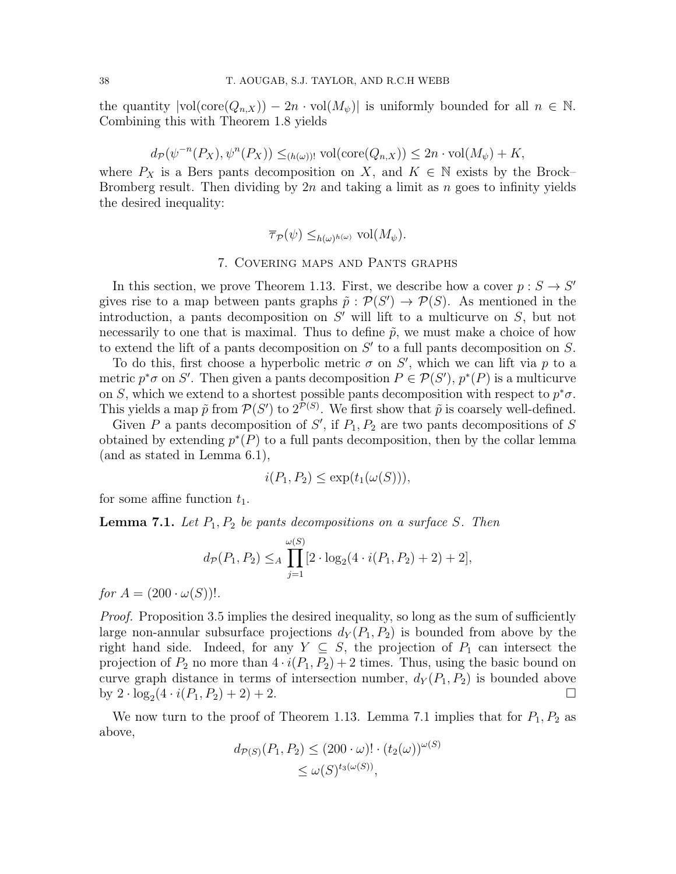the quantity  $|vol(\text{core}(Q_{n,X})) - 2n \cdot vol(M_{\psi})|$  is uniformly bounded for all  $n \in \mathbb{N}$ . Combining this with Theorem 1.8 yields

$$
d_{\mathcal{P}}(\psi^{-n}(P_X), \psi^{n}(P_X)) \leq_{(h(\omega))!} \text{vol}(\text{core}(Q_{n,X})) \leq 2n \cdot \text{vol}(M_{\psi}) + K,
$$

where  $P_X$  is a Bers pants decomposition on X, and  $K \in \mathbb{N}$  exists by the Brock– Bromberg result. Then dividing by  $2n$  and taking a limit as n goes to infinity yields the desired inequality:

$$
\overline{\tau}_{\mathcal{P}}(\psi) \leq_{h(\omega)^{h(\omega)}} \text{vol}(M_{\psi}).
$$

### 7. Covering maps and Pants graphs

In this section, we prove Theorem 1.13. First, we describe how a cover  $p : S \to S'$ gives rise to a map between pants graphs  $\tilde{p}: \mathcal{P}(S') \to \mathcal{P}(S)$ . As mentioned in the introduction, a pants decomposition on  $S'$  will lift to a multicurve on  $S$ , but not necessarily to one that is maximal. Thus to define  $\tilde{p}$ , we must make a choice of how to extend the lift of a pants decomposition on  $S'$  to a full pants decomposition on  $S$ .

To do this, first choose a hyperbolic metric  $\sigma$  on S', which we can lift via p to a metric  $p^*\sigma$  on S'. Then given a pants decomposition  $P \in \mathcal{P}(S')$ ,  $p^*(P)$  is a multicurve on S, which we extend to a shortest possible pants decomposition with respect to  $p^*\sigma$ . This yields a map  $\tilde{p}$  from  $\mathcal{P}(S')$  to  $2^{\mathcal{P}(S)}$ . We first show that  $\tilde{p}$  is coarsely well-defined.

Given  $P$  a pants decomposition of  $S'$ , if  $P_1, P_2$  are two pants decompositions of  $S$ obtained by extending  $p^*(P)$  to a full pants decomposition, then by the collar lemma (and as stated in Lemma 6.1),

$$
i(P_1, P_2) \le \exp(t_1(\omega(S))),
$$

for some affine function  $t_1$ .

**Lemma 7.1.** Let  $P_1, P_2$  be pants decompositions on a surface S. Then

$$
d_{\mathcal{P}}(P_1, P_2) \leq_A \prod_{j=1}^{\omega(S)} [2 \cdot \log_2(4 \cdot i(P_1, P_2) + 2] + 2],
$$

for  $A = (200 \cdot \omega(S))!$ .

Proof. Proposition 3.5 implies the desired inequality, so long as the sum of sufficiently large non-annular subsurface projections  $d_Y(P_1, P_2)$  is bounded from above by the right hand side. Indeed, for any  $Y \subseteq S$ , the projection of  $P_1$  can intersect the projection of  $P_2$  no more than  $4 \cdot i(P_1, P_2) + 2$  times. Thus, using the basic bound on curve graph distance in terms of intersection number,  $d_Y(P_1, P_2)$  is bounded above by  $2 \cdot \log_2(4 \cdot i(P_1, P_2) + 2) + 2$ .

We now turn to the proof of Theorem 1.13. Lemma 7.1 implies that for  $P_1, P_2$  as above,

$$
d_{\mathcal{P}(S)}(P_1, P_2) \le (200 \cdot \omega)! \cdot (t_2(\omega))^{\omega(S)}
$$
  

$$
\le \omega(S)^{t_3(\omega(S))},
$$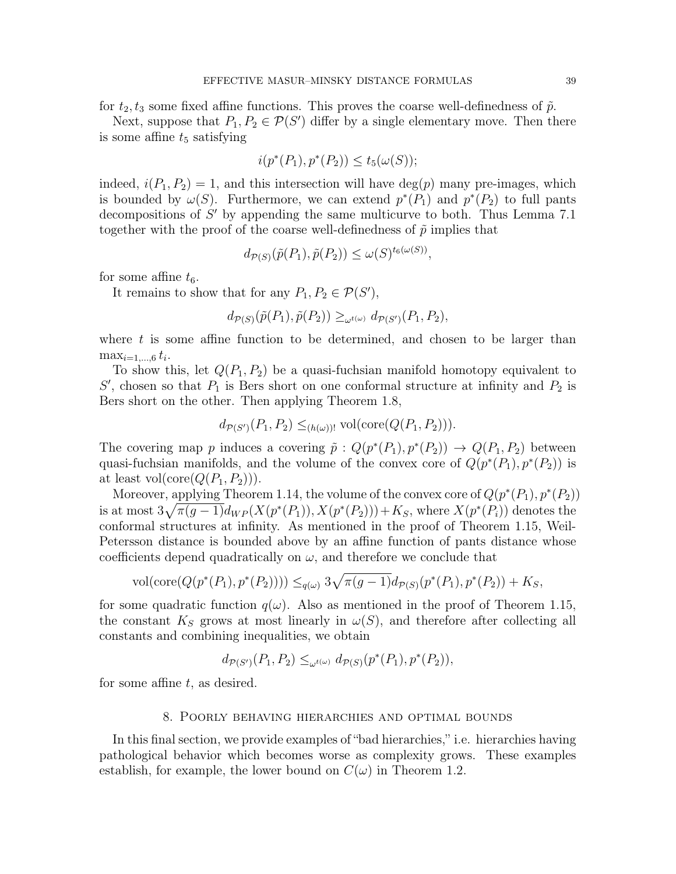for  $t_2, t_3$  some fixed affine functions. This proves the coarse well-definedness of  $\tilde{p}$ .

Next, suppose that  $P_1, P_2 \in \mathcal{P}(S')$  differ by a single elementary move. Then there is some affine  $t_5$  satisfying

$$
i(p^*(P_1), p^*(P_2)) \le t_5(\omega(S));
$$

indeed,  $i(P_1, P_2) = 1$ , and this intersection will have deg(p) many pre-images, which is bounded by  $\omega(S)$ . Furthermore, we can extend  $p^*(P_1)$  and  $p^*(P_2)$  to full pants decompositions of  $S'$  by appending the same multicurve to both. Thus Lemma 7.1 together with the proof of the coarse well-definedness of  $\tilde{p}$  implies that

$$
d_{\mathcal{P}(S)}(\tilde{p}(P_1), \tilde{p}(P_2)) \le \omega(S)^{t_6(\omega(S))},
$$

for some affine  $t_6$ .

It remains to show that for any  $P_1, P_2 \in \mathcal{P}(S)$ ,

$$
d_{\mathcal{P}(S)}(\tilde{p}(P_1),\tilde{p}(P_2)) \geq_{\omega^{t(\omega)}} d_{\mathcal{P}(S')}(P_1,P_2),
$$

where  $t$  is some affine function to be determined, and chosen to be larger than  $\max_{i=1,\dots,6} t_i$ .

To show this, let  $Q(P_1, P_2)$  be a quasi-fuchsian manifold homotopy equivalent to  $S'$ , chosen so that  $P_1$  is Bers short on one conformal structure at infinity and  $P_2$  is Bers short on the other. Then applying Theorem 1.8,

$$
d_{\mathcal{P}(S')}(P_1, P_2) \leq_{(h(\omega))!} \text{vol}(\text{core}(Q(P_1, P_2))).
$$

The covering map p induces a covering  $\tilde{p} : Q(p^*(P_1), p^*(P_2)) \to Q(P_1, P_2)$  between quasi-fuchsian manifolds, and the volume of the convex core of  $Q(p^*(P_1), p^*(P_2))$  is at least vol(core( $Q(P_1, P_2)$ )).

Moreover, applying Theorem 1.14, the volume of the convex core of  $Q(p^*(P_1), p^*(P_2))$ is at most  $3\sqrt{\pi(g-1)}d_{WP}(X(p^*(P_1)), X(p^*(P_2))) + K_S$ , where  $X(p^*(P_i))$  denotes the conformal structures at infinity. As mentioned in the proof of Theorem 1.15, Weil-Petersson distance is bounded above by an affine function of pants distance whose coefficients depend quadratically on  $\omega$ , and therefore we conclude that

$$
\text{vol}(\text{core}(Q(p^*(P_1), p^*(P_2)))) \leq_{q(\omega)} 3\sqrt{\pi(g-1)}d_{\mathcal{P}(S)}(p^*(P_1), p^*(P_2)) + K_S,
$$

for some quadratic function  $q(\omega)$ . Also as mentioned in the proof of Theorem 1.15, the constant  $K_S$  grows at most linearly in  $\omega(S)$ , and therefore after collecting all constants and combining inequalities, we obtain

 $d_{\mathcal{P}(S')}(P_1, P_2) \leq_{\omega^{t(\omega)}} d_{\mathcal{P}(S)}(p^*(P_1), p^*(P_2)),$ 

for some affine  $t$ , as desired.

### 8. Poorly behaving hierarchies and optimal bounds

In this final section, we provide examples of "bad hierarchies," i.e. hierarchies having pathological behavior which becomes worse as complexity grows. These examples establish, for example, the lower bound on  $C(\omega)$  in Theorem 1.2.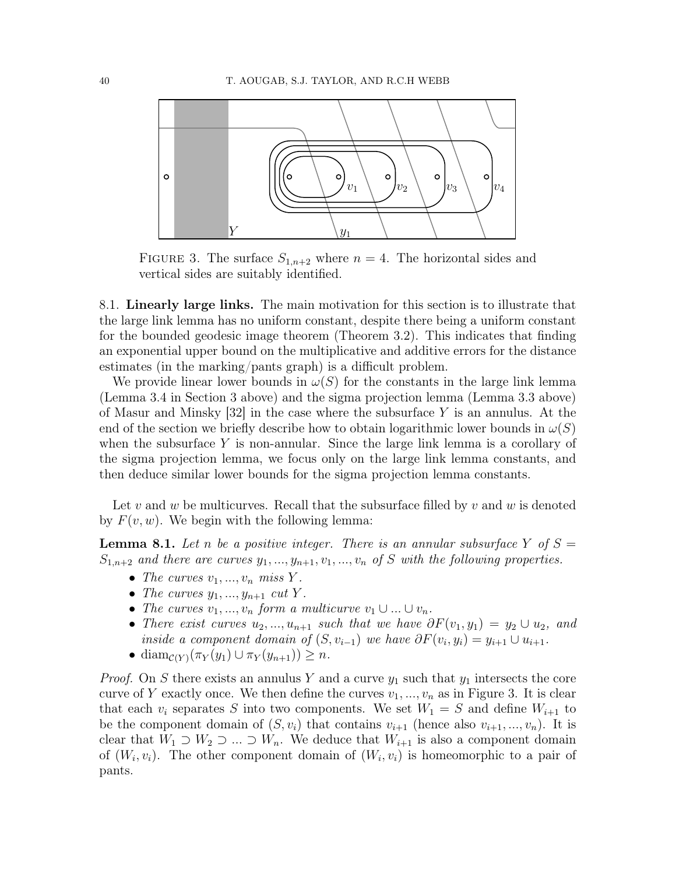

FIGURE 3. The surface  $S_{1,n+2}$  where  $n = 4$ . The horizontal sides and vertical sides are suitably identified.

8.1. Linearly large links. The main motivation for this section is to illustrate that the large link lemma has no uniform constant, despite there being a uniform constant for the bounded geodesic image theorem (Theorem 3.2). This indicates that finding an exponential upper bound on the multiplicative and additive errors for the distance estimates (in the marking/pants graph) is a difficult problem.

We provide linear lower bounds in  $\omega(S)$  for the constants in the large link lemma (Lemma 3.4 in Section 3 above) and the sigma projection lemma (Lemma 3.3 above) of Masur and Minsky  $[32]$  in the case where the subsurface Y is an annulus. At the end of the section we briefly describe how to obtain logarithmic lower bounds in  $\omega(S)$ when the subsurface  $Y$  is non-annular. Since the large link lemma is a corollary of the sigma projection lemma, we focus only on the large link lemma constants, and then deduce similar lower bounds for the sigma projection lemma constants.

Let v and w be multicurves. Recall that the subsurface filled by v and w is denoted by  $F(v, w)$ . We begin with the following lemma:

**Lemma 8.1.** Let n be a positive integer. There is an annular subsurface Y of  $S =$  $S_{1,n+2}$  and there are curves  $y_1, ..., y_{n+1}, v_1, ..., v_n$  of S with the following properties.

- The curves  $v_1, ..., v_n$  miss Y.
- The curves  $y_1, ..., y_{n+1}$  cut Y.
- The curves  $v_1, ..., v_n$  form a multicurve  $v_1 \cup ... \cup v_n$ .
- There exist curves  $u_2, ..., u_{n+1}$  such that we have  $\partial F(v_1, y_1) = y_2 \cup u_2$ , and inside a component domain of  $(S, v_{i-1})$  we have  $\partial F(v_i, y_i) = y_{i+1} \cup u_{i+1}$ .
- diam $c(Y)$  $(\pi_Y(y_1) \cup \pi_Y(y_{n+1})) \geq n$ .

*Proof.* On S there exists an annulus Y and a curve  $y_1$  such that  $y_1$  intersects the core curve of Y exactly once. We then define the curves  $v_1, ..., v_n$  as in Figure 3. It is clear that each  $v_i$  separates S into two components. We set  $W_1 = S$  and define  $W_{i+1}$  to be the component domain of  $(S, v_i)$  that contains  $v_{i+1}$  (hence also  $v_{i+1}, ..., v_n$ ). It is clear that  $W_1 \supset W_2 \supset ... \supset W_n$ . We deduce that  $W_{i+1}$  is also a component domain of  $(W_i, v_i)$ . The other component domain of  $(W_i, v_i)$  is homeomorphic to a pair of pants.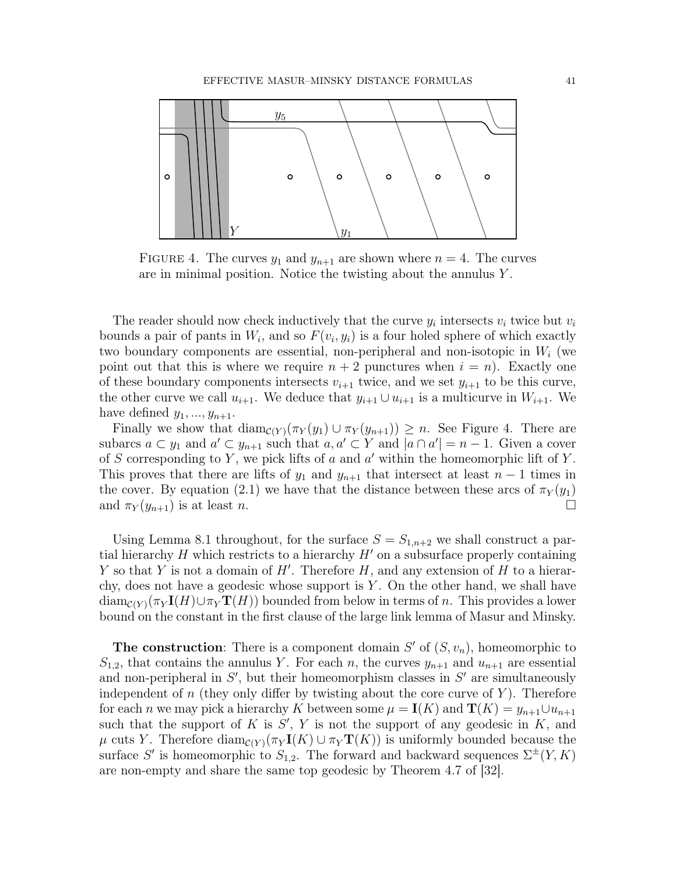

FIGURE 4. The curves  $y_1$  and  $y_{n+1}$  are shown where  $n = 4$ . The curves are in minimal position. Notice the twisting about the annulus Y .

The reader should now check inductively that the curve  $y_i$  intersects  $v_i$  twice but  $v_i$ bounds a pair of pants in  $W_i$ , and so  $F(v_i, y_i)$  is a four holed sphere of which exactly two boundary components are essential, non-peripheral and non-isotopic in  $W_i$  (we point out that this is where we require  $n + 2$  punctures when  $i = n$ ). Exactly one of these boundary components intersects  $v_{i+1}$  twice, and we set  $y_{i+1}$  to be this curve, the other curve we call  $u_{i+1}$ . We deduce that  $y_{i+1} \cup u_{i+1}$  is a multicurve in  $W_{i+1}$ . We have defined  $y_1, \ldots, y_{n+1}$ .

Finally we show that  $\text{diam}_{\mathcal{C}(Y)}(\pi_Y(y_1) \cup \pi_Y(y_{n+1})) \geq n$ . See Figure 4. There are subarcs  $a \subset y_1$  and  $a' \subset y_{n+1}$  such that  $a, a' \subset Y$  and  $|a \cap a'| = n - 1$ . Given a cover of S corresponding to Y, we pick lifts of  $a$  and  $a'$  within the homeomorphic lift of Y. This proves that there are lifts of  $y_1$  and  $y_{n+1}$  that intersect at least  $n-1$  times in the cover. By equation (2.1) we have that the distance between these arcs of  $\pi_Y(y_1)$ and  $\pi_Y(y_{n+1})$  is at least n.

Using Lemma 8.1 throughout, for the surface  $S = S_{1,n+2}$  we shall construct a partial hierarchy H which restricts to a hierarchy  $H'$  on a subsurface properly containing Y so that Y is not a domain of  $H'$ . Therefore H, and any extension of H to a hierarchy, does not have a geodesic whose support is  $Y$ . On the other hand, we shall have  $\dim_{\mathcal{C}(Y)}(\pi_Y I(H) \cup \pi_Y T(H))$  bounded from below in terms of n. This provides a lower bound on the constant in the first clause of the large link lemma of Masur and Minsky.

**The construction**: There is a component domain  $S'$  of  $(S, v_n)$ , homeomorphic to  $S_{1,2}$ , that contains the annulus Y. For each n, the curves  $y_{n+1}$  and  $u_{n+1}$  are essential and non-peripheral in  $S'$ , but their homeomorphism classes in  $S'$  are simultaneously independent of n (they only differ by twisting about the core curve of  $Y$ ). Therefore for each *n* we may pick a hierarchy K between some  $\mu = \mathbf{I}(K)$  and  $\mathbf{T}(K) = y_{n+1} \cup u_{n+1}$ such that the support of  $K$  is  $S'$ ,  $Y$  is not the support of any geodesic in  $K$ , and  $\mu$  cuts Y. Therefore diam<sub>C(Y)</sub>( $\pi_Y I(K) \cup \pi_Y T(K)$ ) is uniformly bounded because the surface S' is homeomorphic to  $S_{1,2}$ . The forward and backward sequences  $\Sigma^{\pm}(Y, K)$ are non-empty and share the same top geodesic by Theorem 4.7 of [32].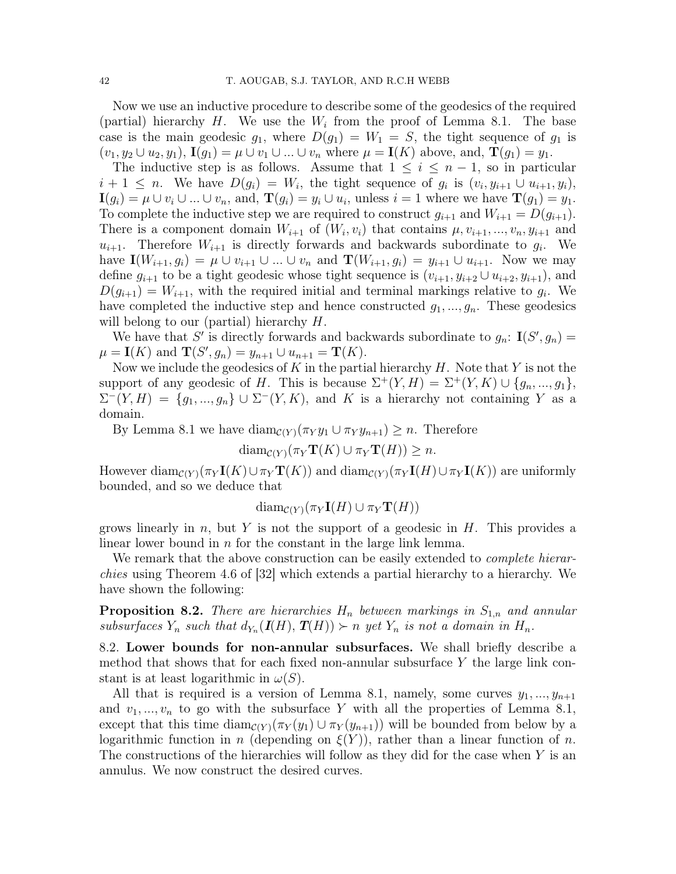Now we use an inductive procedure to describe some of the geodesics of the required (partial) hierarchy  $H$ . We use the  $W_i$  from the proof of Lemma 8.1. The base case is the main geodesic  $g_1$ , where  $D(g_1) = W_1 = S$ , the tight sequence of  $g_1$  is  $(v_1, y_2 \cup u_2, y_1), \mathbf{I}(q_1) = \mu \cup v_1 \cup ... \cup v_n$  where  $\mu = \mathbf{I}(K)$  above, and,  $\mathbf{T}(q_1) = y_1$ .

The inductive step is as follows. Assume that  $1 \leq i \leq n-1$ , so in particular  $i+1 \leq n$ . We have  $D(g_i) = W_i$ , the tight sequence of  $g_i$  is  $(v_i, y_{i+1} \cup u_{i+1}, y_i)$ ,  $\mathbf{I}(g_i) = \mu \cup v_i \cup ... \cup v_n$ , and,  $\mathbf{T}(g_i) = y_i \cup u_i$ , unless  $i = 1$  where we have  $\mathbf{T}(g_1) = y_1$ . To complete the inductive step we are required to construct  $g_{i+1}$  and  $W_{i+1} = D(g_{i+1})$ . There is a component domain  $W_{i+1}$  of  $(W_i, v_i)$  that contains  $\mu, v_{i+1}, ..., v_n, y_{i+1}$  and  $u_{i+1}$ . Therefore  $W_{i+1}$  is directly forwards and backwards subordinate to  $g_i$ . We have  $I(W_{i+1}, g_i) = \mu \cup v_{i+1} \cup ... \cup v_n$  and  $\mathbf{T}(W_{i+1}, g_i) = y_{i+1} \cup u_{i+1}$ . Now we may define  $g_{i+1}$  to be a tight geodesic whose tight sequence is  $(v_{i+1}, y_{i+2} \cup u_{i+2}, y_{i+1})$ , and  $D(g_{i+1}) = W_{i+1}$ , with the required initial and terminal markings relative to  $g_i$ . We have completed the inductive step and hence constructed  $g_1, ..., g_n$ . These geodesics will belong to our (partial) hierarchy  $H$ .

We have that S' is directly forwards and backwards subordinate to  $g_n: \mathbf{I}(S', g_n) =$  $\mu = \mathbf{I}(K)$  and  $\mathbf{T}(S', g_n) = y_{n+1} \cup u_{n+1} = \mathbf{T}(K)$ .

Now we include the geodesics of K in the partial hierarchy  $H$ . Note that Y is not the support of any geodesic of H. This is because  $\Sigma^+(Y,H) = \Sigma^+(Y,K) \cup \{g_n,...,g_1\},\$  $\Sigma^-(Y,H) = \{g_1,...,g_n\} \cup \Sigma^-(Y,K)$ , and K is a hierarchy not containing Y as a domain.

By Lemma 8.1 we have  $\text{diam}_{\mathcal{C}(Y)}(\pi_Y y_1 \cup \pi_Y y_{n+1}) \geq n$ . Therefore

$$
\text{diam}_{\mathcal{C}(Y)}(\pi_Y \mathbf{T}(K) \cup \pi_Y \mathbf{T}(H)) \geq n.
$$

However diam $c(Y) (\pi_Y \mathbf{I}(K) \cup \pi_Y \mathbf{T}(K))$  and diam $c(Y) (\pi_Y \mathbf{I}(H) \cup \pi_Y \mathbf{I}(K))$  are uniformly bounded, and so we deduce that

$$
\text{diam}_{\mathcal{C}(Y)}(\pi_Y \mathbf{I}(H) \cup \pi_Y \mathbf{T}(H))
$$

grows linearly in n, but Y is not the support of a geodesic in  $H$ . This provides a linear lower bound in  $n$  for the constant in the large link lemma.

We remark that the above construction can be easily extended to *complete hierar*chies using Theorem 4.6 of [32] which extends a partial hierarchy to a hierarchy. We have shown the following:

**Proposition 8.2.** There are hierarchies  $H_n$  between markings in  $S_{1,n}$  and annular subsurfaces  $Y_n$  such that  $d_{Y_n}(\mathbf{I}(H), \mathbf{T}(H)) \succ n$  yet  $Y_n$  is not a domain in  $H_n$ .

8.2. Lower bounds for non-annular subsurfaces. We shall briefly describe a method that shows that for each fixed non-annular subsurface Y the large link constant is at least logarithmic in  $\omega(S)$ .

All that is required is a version of Lemma 8.1, namely, some curves  $y_1, ..., y_{n+1}$ and  $v_1, ..., v_n$  to go with the subsurface Y with all the properties of Lemma 8.1, except that this time diam<sub>C(Y)</sub>( $\pi_Y(y_1) \cup \pi_Y(y_{n+1})$ ) will be bounded from below by a logarithmic function in n (depending on  $\xi(Y)$ ), rather than a linear function of n. The constructions of the hierarchies will follow as they did for the case when Y is an annulus. We now construct the desired curves.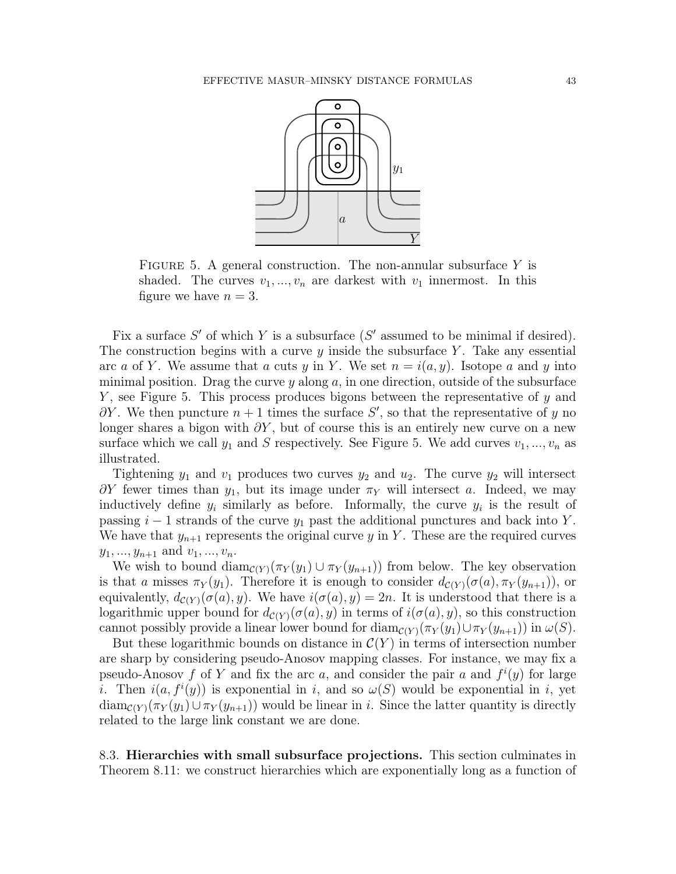

FIGURE 5. A general construction. The non-annular subsurface  $Y$  is shaded. The curves  $v_1, ..., v_n$  are darkest with  $v_1$  innermost. In this figure we have  $n = 3$ .

Fix a surface  $S'$  of which Y is a subsurface  $(S'$  assumed to be minimal if desired). The construction begins with a curve  $y$  inside the subsurface Y. Take any essential arc a of Y. We assume that a cuts y in Y. We set  $n = i(a, y)$ . Isotope a and y into minimal position. Drag the curve  $y$  along  $a$ , in one direction, outside of the subsurface  $Y$ , see Figure 5. This process produces bigons between the representative of y and  $\partial Y$ . We then puncture  $n+1$  times the surface S', so that the representative of y no longer shares a bigon with  $\partial Y$ , but of course this is an entirely new curve on a new surface which we call  $y_1$  and S respectively. See Figure 5. We add curves  $v_1, ..., v_n$  as illustrated.

Tightening  $y_1$  and  $v_1$  produces two curves  $y_2$  and  $u_2$ . The curve  $y_2$  will intersect  $\partial Y$  fewer times than  $y_1$ , but its image under  $\pi_Y$  will intersect a. Indeed, we may inductively define  $y_i$  similarly as before. Informally, the curve  $y_i$  is the result of passing  $i - 1$  strands of the curve  $y_1$  past the additional punctures and back into Y. We have that  $y_{n+1}$  represents the original curve y in Y. These are the required curves  $y_1, ..., y_{n+1}$  and  $v_1, ..., v_n$ .

We wish to bound  $\text{diam}_{\mathcal{C}(Y)}(\pi_Y(y_1) \cup \pi_Y(y_{n+1}))$  from below. The key observation is that a misses  $\pi_Y(y_1)$ . Therefore it is enough to consider  $d_{\mathcal{C}(Y)}(\sigma(a), \pi_Y(y_{n+1}))$ , or equivalently,  $d_{\mathcal{C}(Y)}(\sigma(a), y)$ . We have  $i(\sigma(a), y) = 2n$ . It is understood that there is a logarithmic upper bound for  $d_{\mathcal{C}(Y)}(\sigma(a), y)$  in terms of  $i(\sigma(a), y)$ , so this construction cannot possibly provide a linear lower bound for  $\text{diam}_{\mathcal{C}(Y)}(\pi_Y(y_1) \cup \pi_Y(y_{n+1}))$  in  $\omega(S)$ .

But these logarithmic bounds on distance in  $\mathcal{C}(Y)$  in terms of intersection number are sharp by considering pseudo-Anosov mapping classes. For instance, we may fix a pseudo-Anosov f of Y and fix the arc a, and consider the pair a and  $f^{i}(y)$  for large *i*. Then  $i(a, f^i(y))$  is exponential in *i*, and so  $\omega(S)$  would be exponential in *i*, yet  $\text{diam}_{\mathcal{C}(Y)}(\pi_Y(y_1) \cup \pi_Y(y_{n+1}))$  would be linear in i. Since the latter quantity is directly related to the large link constant we are done.

8.3. Hierarchies with small subsurface projections. This section culminates in Theorem 8.11: we construct hierarchies which are exponentially long as a function of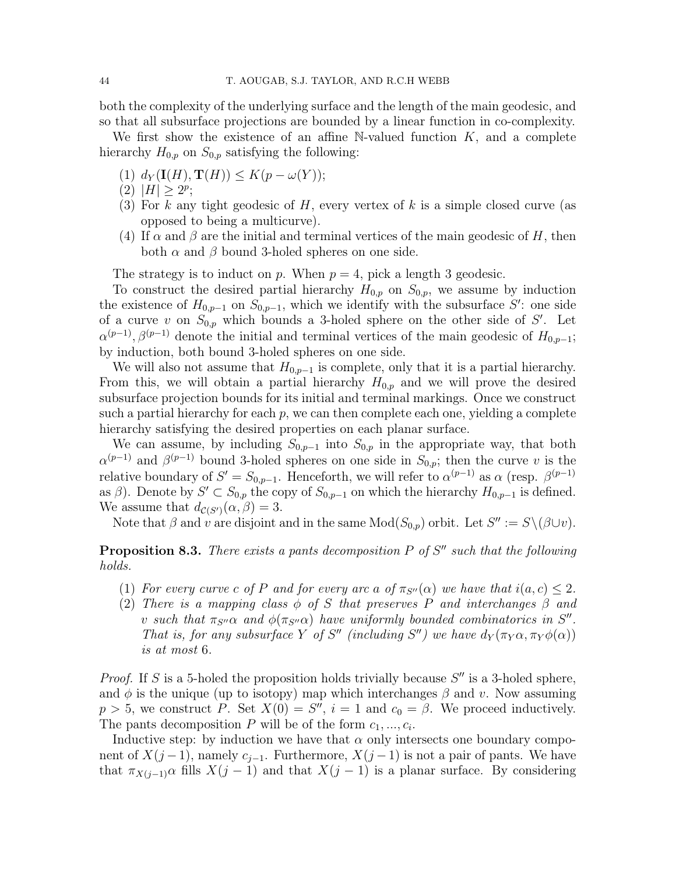both the complexity of the underlying surface and the length of the main geodesic, and so that all subsurface projections are bounded by a linear function in co-complexity.

We first show the existence of an affine N-valued function  $K$ , and a complete hierarchy  $H_{0,p}$  on  $S_{0,p}$  satisfying the following:

- (1)  $d_Y(\mathbf{I}(H), \mathbf{T}(H)) \leq K(p \omega(Y));$
- (2)  $|H| \geq 2^p$ ;
- (3) For k any tight geodesic of H, every vertex of k is a simple closed curve (as opposed to being a multicurve).
- (4) If  $\alpha$  and  $\beta$  are the initial and terminal vertices of the main geodesic of H, then both  $\alpha$  and  $\beta$  bound 3-holed spheres on one side.

The strategy is to induct on p. When  $p = 4$ , pick a length 3 geodesic.

To construct the desired partial hierarchy  $H_{0,p}$  on  $S_{0,p}$ , we assume by induction the existence of  $H_{0,p-1}$  on  $S_{0,p-1}$ , which we identify with the subsurface S': one side of a curve v on  $S_{0,p}$  which bounds a 3-holed sphere on the other side of S'. Let  $\alpha^{(p-1)}$ ,  $\beta^{(p-1)}$  denote the initial and terminal vertices of the main geodesic of  $H_{0,p-1}$ ; by induction, both bound 3-holed spheres on one side.

We will also not assume that  $H_{0,p-1}$  is complete, only that it is a partial hierarchy. From this, we will obtain a partial hierarchy  $H_{0,p}$  and we will prove the desired subsurface projection bounds for its initial and terminal markings. Once we construct such a partial hierarchy for each  $p$ , we can then complete each one, yielding a complete hierarchy satisfying the desired properties on each planar surface.

We can assume, by including  $S_{0,p-1}$  into  $S_{0,p}$  in the appropriate way, that both  $\alpha^{(p-1)}$  and  $\beta^{(p-1)}$  bound 3-holed spheres on one side in  $S_{0,p}$ ; then the curve v is the relative boundary of  $S' = S_{0,p-1}$ . Henceforth, we will refer to  $\alpha^{(p-1)}$  as  $\alpha$  (resp.  $\beta^{(p-1)}$ ) as  $\beta$ ). Denote by  $S' \subset S_{0,p}$  the copy of  $S_{0,p-1}$  on which the hierarchy  $H_{0,p-1}$  is defined. We assume that  $d_{\mathcal{C}(S')}(\alpha, \beta) = 3$ .

Note that  $\beta$  and  $\dot{v}$  are disjoint and in the same  $Mod(S_{0,p})$  orbit. Let  $S'' := S \setminus (\beta \cup v)$ .

**Proposition 8.3.** There exists a pants decomposition  $P$  of  $S''$  such that the following holds.

- (1) For every curve c of P and for every arc a of  $\pi_{S''}(\alpha)$  we have that  $i(a, c) \leq 2$ .
- (2) There is a mapping class  $\phi$  of S that preserves P and interchanges  $\beta$  and v such that  $\pi_{S''}\alpha$  and  $\phi(\pi_{S''}\alpha)$  have uniformly bounded combinatorics in  $S''$ . That is, for any subsurface Y of S'' (including S'') we have  $d_Y(\pi_Y\alpha, \pi_Y\phi(\alpha))$ is at most 6.

*Proof.* If S is a 5-holed the proposition holds trivially because  $S''$  is a 3-holed sphere, and  $\phi$  is the unique (up to isotopy) map which interchanges  $\beta$  and v. Now assuming  $p > 5$ , we construct P. Set  $X(0) = S''$ ,  $i = 1$  and  $c_0 = \beta$ . We proceed inductively. The pants decomposition P will be of the form  $c_1, ..., c_i$ .

Inductive step: by induction we have that  $\alpha$  only intersects one boundary component of  $X(j-1)$ , namely  $c_{j-1}$ . Furthermore,  $X(j-1)$  is not a pair of pants. We have that  $\pi_{X(i-1)}\alpha$  fills  $X(j-1)$  and that  $X(j-1)$  is a planar surface. By considering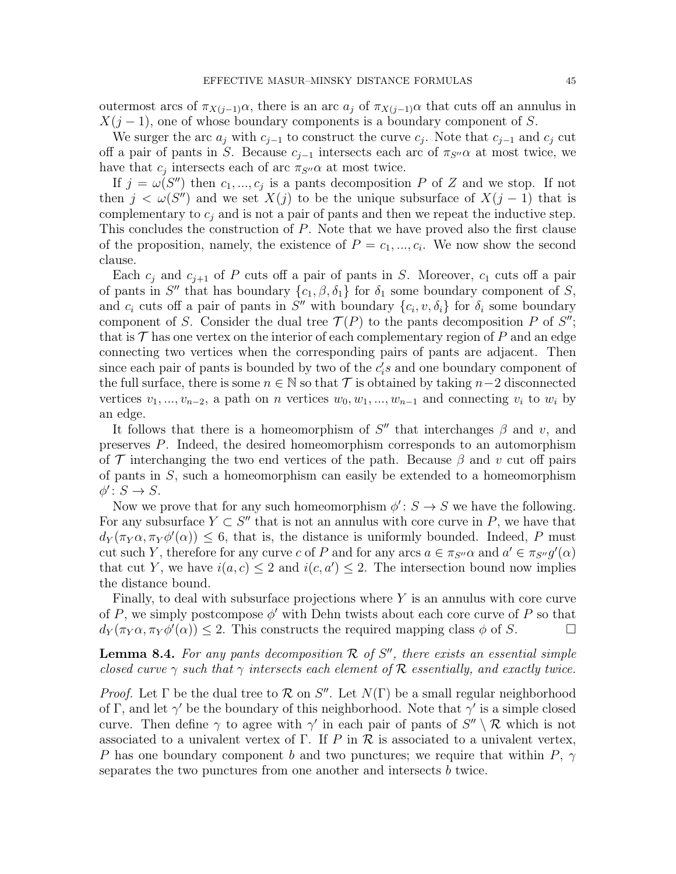outermost arcs of  $\pi_{X(i-1)}\alpha$ , there is an arc  $a_i$  of  $\pi_{X(i-1)}\alpha$  that cuts off an annulus in  $X(j-1)$ , one of whose boundary components is a boundary component of S.

We surger the arc  $a_j$  with  $c_{j-1}$  to construct the curve  $c_j$ . Note that  $c_{j-1}$  and  $c_j$  cut off a pair of pants in S. Because  $c_{i-1}$  intersects each arc of  $\pi_{S''}\alpha$  at most twice, we have that  $c_j$  intersects each of arc  $\pi_{S''}\alpha$  at most twice.

If  $j = \omega(S'')$  then  $c_1, ..., c_j$  is a pants decomposition P of Z and we stop. If not then  $j < \omega(S'')$  and we set  $X(j)$  to be the unique subsurface of  $X(j-1)$  that is complementary to  $c_i$  and is not a pair of pants and then we repeat the inductive step. This concludes the construction of P. Note that we have proved also the first clause of the proposition, namely, the existence of  $P = c_1, ..., c_i$ . We now show the second clause.

Each  $c_i$  and  $c_{i+1}$  of P cuts off a pair of pants in S. Moreover,  $c_1$  cuts off a pair of pants in S'' that has boundary  $\{c_1, \beta, \delta_1\}$  for  $\delta_1$  some boundary component of S, and  $c_i$  cuts of a pair of pants in S'' with boundary  $\{c_i, v, \delta_i\}$  for  $\delta_i$  some boundary component of S. Consider the dual tree  $\mathcal{T}(P)$  to the pants decomposition P of S''; that is  $\mathcal T$  has one vertex on the interior of each complementary region of  $P$  and an edge connecting two vertices when the corresponding pairs of pants are adjacent. Then since each pair of pants is bounded by two of the  $c_i$ 's and one boundary component of the full surface, there is some  $n \in \mathbb{N}$  so that  $\mathcal T$  is obtained by taking  $n-2$  disconnected vertices  $v_1, ..., v_{n-2}$ , a path on n vertices  $w_0, w_1, ..., w_{n-1}$  and connecting  $v_i$  to  $w_i$  by an edge.

It follows that there is a homeomorphism of  $S''$  that interchanges  $\beta$  and v, and preserves P. Indeed, the desired homeomorphism corresponds to an automorphism of T interchanging the two end vertices of the path. Because  $\beta$  and v cut off pairs of pants in  $S$ , such a homeomorphism can easily be extended to a homeomorphism  $\phi' \colon S \to S.$ 

Now we prove that for any such homeomorphism  $\phi' : S \to S$  we have the following. For any subsurface  $Y \subset S''$  that is not an annulus with core curve in P, we have that  $d_Y(\pi_Y\alpha, \pi_Y\phi'(\alpha)) \leq 6$ , that is, the distance is uniformly bounded. Indeed, P must cut such Y, therefore for any curve c of P and for any arcs  $a \in \pi_{S''}\alpha$  and  $a' \in \pi_{S''}g'(\alpha)$ that cut Y, we have  $i(a, c) \leq 2$  and  $i(c, a') \leq 2$ . The intersection bound now implies the distance bound.

Finally, to deal with subsurface projections where  $Y$  is an annulus with core curve of P, we simply postcompose  $\phi'$  with Dehn twists about each core curve of P so that  $d_Y(\pi_Y\alpha, \pi_Y\phi'(\alpha)) \leq 2$ . This constructs the required mapping class  $\phi$  of S.

**Lemma 8.4.** For any pants decomposition  $\mathcal{R}$  of  $S''$ , there exists an essential simple closed curve  $\gamma$  such that  $\gamma$  intersects each element of R essentially, and exactly twice.

Proof. Let  $\Gamma$  be the dual tree to  $\mathcal R$  on  $S''$ . Let  $N(\Gamma)$  be a small regular neighborhood of Γ, and let  $\gamma'$  be the boundary of this neighborhood. Note that  $\gamma'$  is a simple closed curve. Then define  $\gamma$  to agree with  $\gamma'$  in each pair of pants of  $S'' \setminus \mathcal{R}$  which is not associated to a univalent vertex of  $\Gamma$ . If P in  $\mathcal R$  is associated to a univalent vertex, P has one boundary component b and two punctures; we require that within P,  $\gamma$ separates the two punctures from one another and intersects b twice.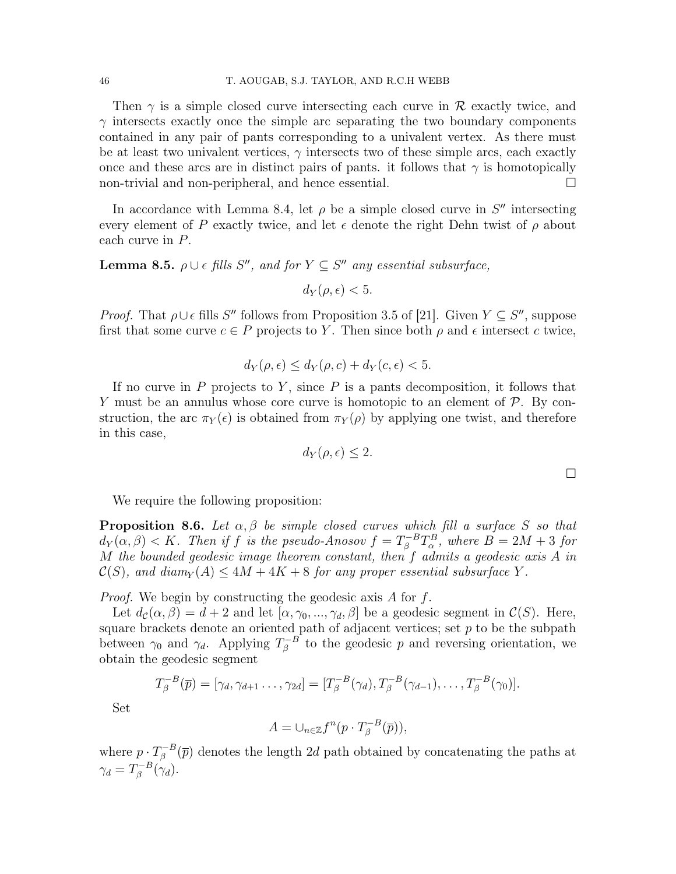Then  $\gamma$  is a simple closed curve intersecting each curve in  $\mathcal R$  exactly twice, and  $\gamma$  intersects exactly once the simple arc separating the two boundary components contained in any pair of pants corresponding to a univalent vertex. As there must be at least two univalent vertices,  $\gamma$  intersects two of these simple arcs, each exactly once and these arcs are in distinct pairs of pants. it follows that  $\gamma$  is homotopically non-trivial and non-peripheral, and hence essential.

In accordance with Lemma 8.4, let  $\rho$  be a simple closed curve in  $S''$  intersecting every element of P exactly twice, and let  $\epsilon$  denote the right Dehn twist of  $\rho$  about each curve in P.

**Lemma 8.5.**  $\rho \cup \epsilon$  fills S'', and for  $Y \subseteq S''$  any essential subsurface,

$$
d_Y(\rho, \epsilon) < 5.
$$

*Proof.* That  $\rho \cup \epsilon$  fills S'' follows from Proposition 3.5 of [21]. Given  $Y \subseteq S''$ , suppose first that some curve  $c \in P$  projects to Y. Then since both  $\rho$  and  $\epsilon$  intersect c twice,

$$
d_Y(\rho, \epsilon) \le d_Y(\rho, c) + d_Y(c, \epsilon) < 5.
$$

If no curve in  $P$  projects to  $Y$ , since  $P$  is a pants decomposition, it follows that Y must be an annulus whose core curve is homotopic to an element of  $P$ . By construction, the arc  $\pi_Y(\epsilon)$  is obtained from  $\pi_Y(\rho)$  by applying one twist, and therefore in this case,

$$
d_Y(\rho, \epsilon) \le 2.
$$

 $\Box$ 

We require the following proposition:

**Proposition 8.6.** Let  $\alpha, \beta$  be simple closed curves which fill a surface S so that  $d_Y(\alpha, \beta) < K$ . Then if f is the pseudo-Anosov  $f = T_\beta^{-B} T_\alpha^B$ , where  $B = 2M + 3$  for M the bounded geodesic image theorem constant, then f admits a geodesic axis A in  $\mathcal{C}(S)$ , and diam<sub>Y</sub>(A)  $\leq 4M + 4K + 8$  for any proper essential subsurface Y.

*Proof.* We begin by constructing the geodesic axis  $A$  for  $f$ .

Let  $d_{\mathcal{C}}(\alpha, \beta) = d + 2$  and let  $[\alpha, \gamma_0, ..., \gamma_d, \beta]$  be a geodesic segment in  $\mathcal{C}(S)$ . Here, square brackets denote an oriented path of adjacent vertices; set  $p$  to be the subpath between  $\gamma_0$  and  $\gamma_d$ . Applying  $T_\beta^{-B}$  $\bar{\beta}^B$  to the geodesic p and reversing orientation, we obtain the geodesic segment

$$
T_{\beta}^{-B}(\overline{p}) = [\gamma_d, \gamma_{d+1} \dots, \gamma_{2d}] = [T_{\beta}^{-B}(\gamma_d), T_{\beta}^{-B}(\gamma_{d-1}), \dots, T_{\beta}^{-B}(\gamma_0)].
$$

Set

$$
A = \cup_{n \in \mathbb{Z}} f^n(p \cdot T_{\beta}^{-B}(\overline{p})),
$$

where  $p \cdot T_{\beta}^{-B}$  $\bar{g}^{-B}(\bar{p})$  denotes the length 2d path obtained by concatenating the paths at  $\gamma_d=T_\beta^{-B}$  $\int_{\beta}^{-B}(\gamma_d).$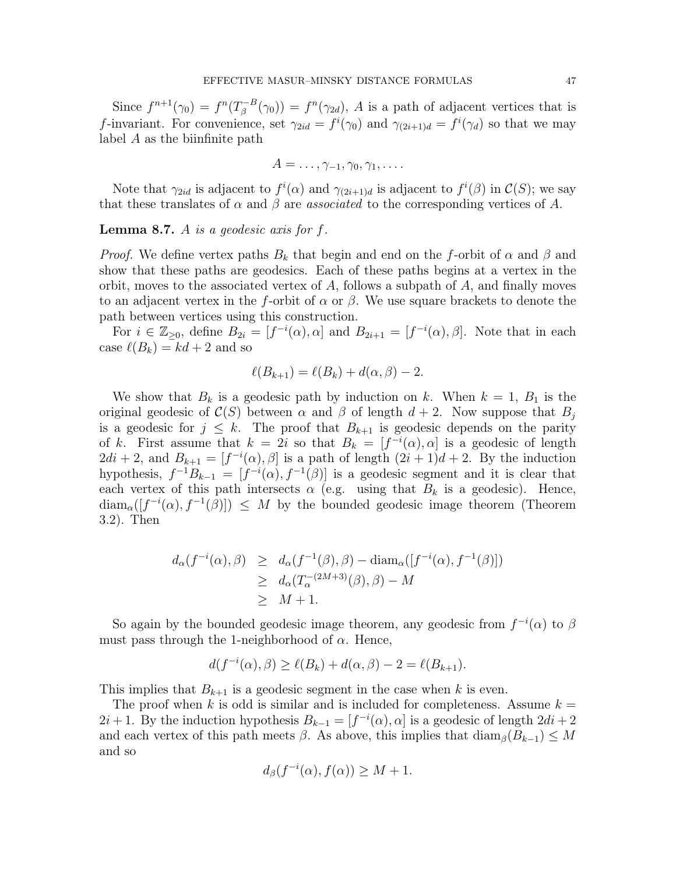Since  $f^{n+1}(\gamma_0) = f^n(T_\beta^{-B})$  $g^{-B}(\gamma_0) = f^{n}(\gamma_{2d}), A$  is a path of adjacent vertices that is f-invariant. For convenience, set  $\gamma_{2id} = f^i(\gamma_0)$  and  $\gamma_{(2i+1)d} = f^i(\gamma_d)$  so that we may label A as the biinfinite path

$$
A=\ldots,\gamma_{-1},\gamma_0,\gamma_1,\ldots.
$$

Note that  $\gamma_{2id}$  is adjacent to  $f^i(\alpha)$  and  $\gamma_{(2i+1)d}$  is adjacent to  $f^i(\beta)$  in  $\mathcal{C}(S)$ ; we say that these translates of  $\alpha$  and  $\beta$  are *associated* to the corresponding vertices of A.

**Lemma 8.7.** A is a geodesic axis for  $f$ .

*Proof.* We define vertex paths  $B_k$  that begin and end on the f-orbit of  $\alpha$  and  $\beta$  and show that these paths are geodesics. Each of these paths begins at a vertex in the orbit, moves to the associated vertex of  $A$ , follows a subpath of  $A$ , and finally moves to an adjacent vertex in the f-orbit of  $\alpha$  or  $\beta$ . We use square brackets to denote the path between vertices using this construction.

For  $i \in \mathbb{Z}_{\geq 0}$ , define  $B_{2i} = [f^{-i}(\alpha), \alpha]$  and  $B_{2i+1} = [f^{-i}(\alpha), \beta]$ . Note that in each case  $\ell(B_k) = kd + 2$  and so

$$
\ell(B_{k+1}) = \ell(B_k) + d(\alpha, \beta) - 2.
$$

We show that  $B_k$  is a geodesic path by induction on k. When  $k = 1, B_1$  is the original geodesic of  $\mathcal{C}(S)$  between  $\alpha$  and  $\beta$  of length  $d+2$ . Now suppose that  $B_j$ is a geodesic for  $j \leq k$ . The proof that  $B_{k+1}$  is geodesic depends on the parity of k. First assume that  $k = 2i$  so that  $B_k = [f^{-i}(\alpha), \alpha]$  is a geodesic of length  $2di + 2$ , and  $B_{k+1} = [f^{-i}(\alpha), \beta]$  is a path of length  $(2i + 1)d + 2$ . By the induction hypothesis,  $f^{-1}B_{k-1} = [f^{-i}(\alpha), f^{-1}(\beta)]$  is a geodesic segment and it is clear that each vertex of this path intersects  $\alpha$  (e.g. using that  $B_k$  is a geodesic). Hence,  $\text{diam}_{\alpha}([f^{-i}(\alpha), f^{-1}(\beta)]) \leq M$  by the bounded geodesic image theorem (Theorem 3.2). Then

$$
d_{\alpha}(f^{-i}(\alpha), \beta) \ge d_{\alpha}(f^{-1}(\beta), \beta) - \text{diam}_{\alpha}([f^{-i}(\alpha), f^{-1}(\beta)])
$$
  
\n
$$
\ge d_{\alpha}(T_{\alpha}^{-(2M+3)}(\beta), \beta) - M
$$
  
\n
$$
\ge M + 1.
$$

So again by the bounded geodesic image theorem, any geodesic from  $f^{-i}(\alpha)$  to  $\beta$ must pass through the 1-neighborhood of  $\alpha$ . Hence,

$$
d(f^{-i}(\alpha), \beta) \ge \ell(B_k) + d(\alpha, \beta) - 2 = \ell(B_{k+1}).
$$

This implies that  $B_{k+1}$  is a geodesic segment in the case when k is even.

The proof when k is odd is similar and is included for completeness. Assume  $k =$  $2i+1$ . By the induction hypothesis  $B_{k-1} = [f^{-i}(\alpha), \alpha]$  is a geodesic of length  $2di + 2$ and each vertex of this path meets  $\beta$ . As above, this implies that  $\text{diam}_{\beta}(B_{k-1}) \leq M$ and so

$$
d_{\beta}(f^{-i}(\alpha), f(\alpha)) \ge M + 1.
$$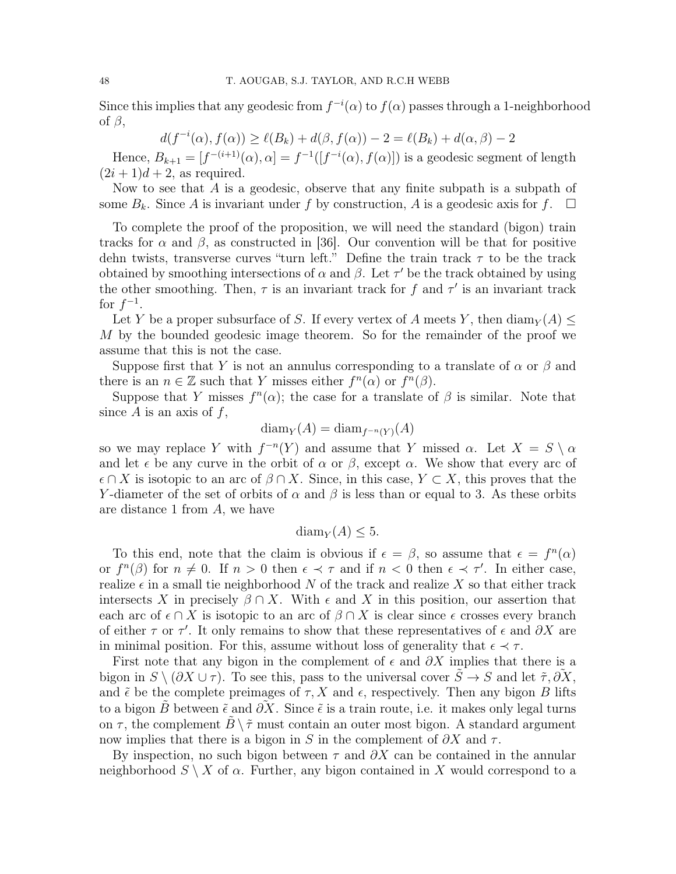Since this implies that any geodesic from  $f^{-i}(\alpha)$  to  $f(\alpha)$  passes through a 1-neighborhood of  $\beta$ ,

$$
d(f^{-i}(\alpha), f(\alpha)) \ge \ell(B_k) + d(\beta, f(\alpha)) - 2 = \ell(B_k) + d(\alpha, \beta) - 2
$$

Hence,  $B_{k+1} = [f^{-(i+1)}(\alpha), \alpha] = f^{-1}([f^{-i}(\alpha), f(\alpha)])$  is a geodesic segment of length  $(2i+1)d+2$ , as required.

Now to see that  $A$  is a geodesic, observe that any finite subpath is a subpath of some  $B_k$ . Since A is invariant under f by construction, A is a geodesic axis for f.  $\Box$ 

To complete the proof of the proposition, we will need the standard (bigon) train tracks for  $\alpha$  and  $\beta$ , as constructed in [36]. Our convention will be that for positive dehn twists, transverse curves "turn left." Define the train track  $\tau$  to be the track obtained by smoothing intersections of  $\alpha$  and  $\beta$ . Let  $\tau'$  be the track obtained by using the other smoothing. Then,  $\tau$  is an invariant track for f and  $\tau'$  is an invariant track for  $f^{-1}$ .

Let Y be a proper subsurface of S. If every vertex of A meets Y, then  $\dim_Y(A)$ M by the bounded geodesic image theorem. So for the remainder of the proof we assume that this is not the case.

Suppose first that Y is not an annulus corresponding to a translate of  $\alpha$  or  $\beta$  and there is an  $n \in \mathbb{Z}$  such that Y misses either  $f^{n}(\alpha)$  or  $f^{n}(\beta)$ .

Suppose that Y misses  $f^{(n)}(x)$ ; the case for a translate of  $\beta$  is similar. Note that since  $A$  is an axis of  $f$ ,

$$
diam_Y(A) = diam_{f^{-n}(Y)}(A)
$$

so we may replace Y with  $f^{-n}(Y)$  and assume that Y missed  $\alpha$ . Let  $X = S \setminus \alpha$ and let  $\epsilon$  be any curve in the orbit of  $\alpha$  or  $\beta$ , except  $\alpha$ . We show that every arc of  $\epsilon \cap X$  is isotopic to an arc of  $\beta \cap X$ . Since, in this case,  $Y \subset X$ , this proves that the Y-diameter of the set of orbits of  $\alpha$  and  $\beta$  is less than or equal to 3. As these orbits are distance 1 from A, we have

$$
\text{diam}_Y(A) \leq 5.
$$

To this end, note that the claim is obvious if  $\epsilon = \beta$ , so assume that  $\epsilon = f^{n}(\alpha)$ or  $f^{n}(\beta)$  for  $n \neq 0$ . If  $n > 0$  then  $\epsilon \prec \tau$  and if  $n < 0$  then  $\epsilon \prec \tau'$ . In either case, realize  $\epsilon$  in a small tie neighborhood N of the track and realize X so that either track intersects X in precisely  $\beta \cap X$ . With  $\epsilon$  and X in this position, our assertion that each arc of  $\epsilon \cap X$  is isotopic to an arc of  $\beta \cap X$  is clear since  $\epsilon$  crosses every branch of either  $\tau$  or  $\tau'$ . It only remains to show that these representatives of  $\epsilon$  and  $\partial X$  are in minimal position. For this, assume without loss of generality that  $\epsilon \prec \tau$ .

First note that any bigon in the complement of  $\epsilon$  and  $\partial X$  implies that there is a bigon in  $S \setminus (\partial X \cup \tau)$ . To see this, pass to the universal cover  $\tilde{S} \to S$  and let  $\tilde{\tau}, \partial X$ , and  $\tilde{\epsilon}$  be the complete preimages of  $\tau$ , X and  $\epsilon$ , respectively. Then any bigon B lifts to a bigon B between  $\tilde{\epsilon}$  and  $\partial X$ . Since  $\tilde{\epsilon}$  is a train route, i.e. it makes only legal turns on  $\tau$ , the complement  $\tilde{B} \setminus \tilde{\tau}$  must contain an outer most bigon. A standard argument now implies that there is a bigon in S in the complement of  $\partial X$  and  $\tau$ .

By inspection, no such bigon between  $\tau$  and  $\partial X$  can be contained in the annular neighborhood  $S \setminus X$  of  $\alpha$ . Further, any bigon contained in X would correspond to a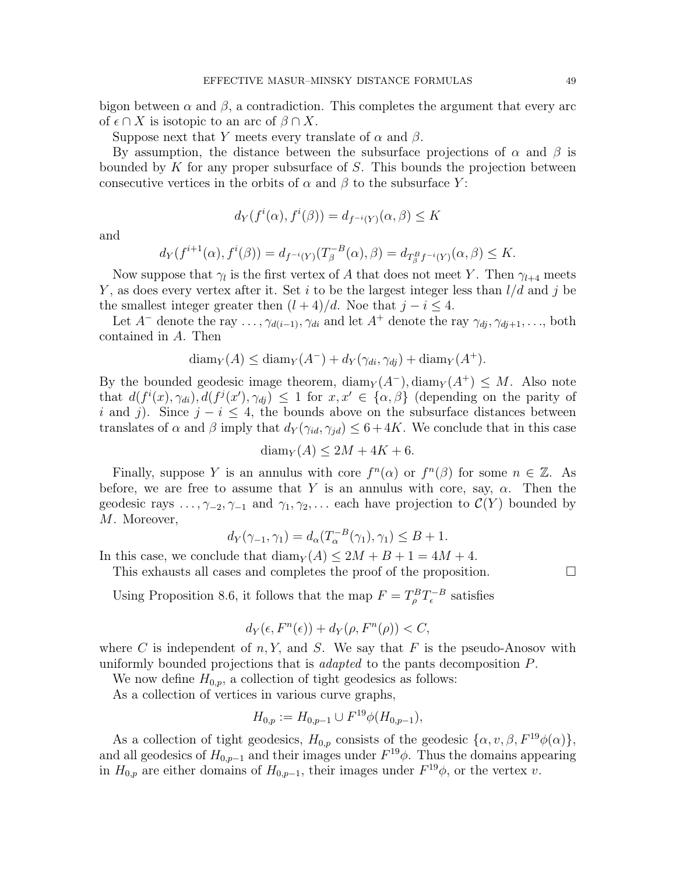bigon between  $\alpha$  and  $\beta$ , a contradiction. This completes the argument that every arc of  $\epsilon \cap X$  is isotopic to an arc of  $\beta \cap X$ .

Suppose next that Y meets every translate of  $\alpha$  and  $\beta$ .

By assumption, the distance between the subsurface projections of  $\alpha$  and  $\beta$  is bounded by K for any proper subsurface of S. This bounds the projection between consecutive vertices in the orbits of  $\alpha$  and  $\beta$  to the subsurface Y:

$$
d_Y(f^i(\alpha), f^i(\beta)) = d_{f^{-i}(Y)}(\alpha, \beta) \le K
$$

and

$$
d_Y(f^{i+1}(\alpha), f^i(\beta)) = d_{f^{-i}(Y)}(T_{\beta}^{-B}(\alpha), \beta) = d_{T_{\beta}^B f^{-i}(Y)}(\alpha, \beta) \le K.
$$

Now suppose that  $\gamma_l$  is the first vertex of A that does not meet Y. Then  $\gamma_{l+4}$  meets Y, as does every vertex after it. Set i to be the largest integer less than  $l/d$  and j be the smallest integer greater then  $(l+4)/d$ . Noe that  $j-i \leq 4$ .

Let  $A^-$  denote the ray  $\ldots, \gamma_{d(i-1)}, \gamma_{di}$  and let  $A^+$  denote the ray  $\gamma_{di}, \gamma_{di+1}, \ldots$ , both contained in A. Then

$$
diam_Y(A) \leq diam_Y(A^-) + d_Y(\gamma_{di}, \gamma_{dj}) + diam_Y(A^+).
$$

By the bounded geodesic image theorem,  $\text{diam}_Y (A^-)$ ,  $\text{diam}_Y (A^+) \leq M$ . Also note that  $d(f^i(x), \gamma_{di}), d(f^j(x'), \gamma_{dj}) \leq 1$  for  $x, x' \in {\alpha, \beta}$  (depending on the parity of i and j). Since  $j - i \leq 4$ , the bounds above on the subsurface distances between translates of  $\alpha$  and  $\beta$  imply that  $d_Y(\gamma_{id}, \gamma_{id}) \leq 6 + 4K$ . We conclude that in this case

$$
diam_Y(A) \le 2M + 4K + 6.
$$

Finally, suppose Y is an annulus with core  $f^{n}(\alpha)$  or  $f^{n}(\beta)$  for some  $n \in \mathbb{Z}$ . As before, we are free to assume that Y is an annulus with core, say,  $\alpha$ . Then the geodesic rays  $\ldots$ ,  $\gamma_{-2}$ ,  $\gamma_{-1}$  and  $\gamma_1$ ,  $\gamma_2$ ,  $\ldots$  each have projection to  $\mathcal{C}(Y)$  bounded by M. Moreover,

$$
d_Y(\gamma_{-1}, \gamma_1) = d_\alpha(T_\alpha^{-B}(\gamma_1), \gamma_1) \le B + 1.
$$

In this case, we conclude that  $\text{diam}_Y(A) \leq 2M + B + 1 = 4M + 4$ .

This exhausts all cases and completes the proof of the proposition.  $\Box$ 

Using Proposition 8.6, it follows that the map  $F = T_{\rho}^{B} T_{\epsilon}^{-B}$  satisfies

$$
d_Y(\epsilon, F^n(\epsilon)) + d_Y(\rho, F^n(\rho)) < C,
$$

where C is independent of n, Y, and S. We say that F is the pseudo-Anosov with uniformly bounded projections that is *adapted* to the pants decomposition P.

We now define  $H_{0,p}$ , a collection of tight geodesics as follows:

As a collection of vertices in various curve graphs,

$$
H_{0,p} := H_{0,p-1} \cup F^{19} \phi(H_{0,p-1}),
$$

As a collection of tight geodesics,  $H_{0,p}$  consists of the geodesic  $\{\alpha, v, \beta, F^{19}\phi(\alpha)\}\,$ and all geodesics of  $H_{0,p-1}$  and their images under  $F^{19}\phi$ . Thus the domains appearing in  $H_{0,p}$  are either domains of  $H_{0,p-1}$ , their images under  $F^{19}\phi$ , or the vertex v.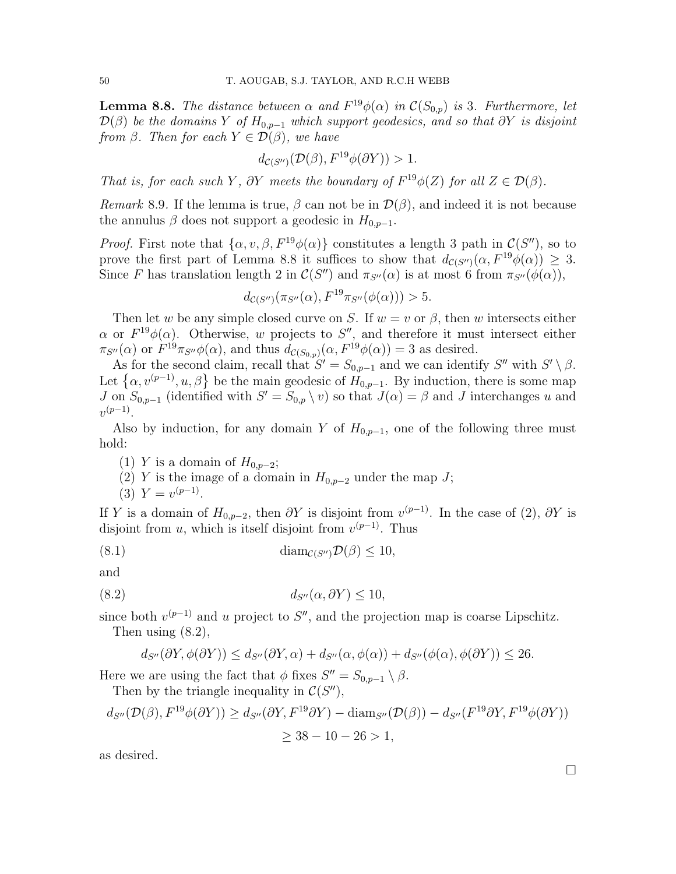**Lemma 8.8.** The distance between  $\alpha$  and  $F^{19}\phi(\alpha)$  in  $\mathcal{C}(S_{0,p})$  is 3. Furthermore, let  $\mathcal{D}(\beta)$  be the domains Y of  $H_{0,p-1}$  which support geodesics, and so that  $\partial Y$  is disjoint from  $\beta$ . Then for each  $Y \in \mathcal{D}(\beta)$ , we have

$$
d_{\mathcal{C}(S'')}(\mathcal{D}(\beta), F^{19}\phi(\partial Y)) > 1.
$$

That is, for each such Y,  $\partial Y$  meets the boundary of  $F^{19}\phi(Z)$  for all  $Z \in \mathcal{D}(\beta)$ .

Remark 8.9. If the lemma is true,  $\beta$  can not be in  $\mathcal{D}(\beta)$ , and indeed it is not because the annulus  $\beta$  does not support a geodesic in  $H_{0,p-1}$ .

*Proof.* First note that  $\{\alpha, v, \beta, F^{19}\phi(\alpha)\}\$ constitutes a length 3 path in  $\mathcal{C}(S'')$ , so to prove the first part of Lemma 8.8 it suffices to show that  $d_{\mathcal{C}(S'')}(\alpha, F^{19}\phi(\alpha)) \geq 3$ . Since F has translation length 2 in  $\mathcal{C}(S'')$  and  $\pi_{S''}(\alpha)$  is at most 6 from  $\pi_{S''}(\phi(\alpha))$ ,

$$
d_{\mathcal{C}(S'')}(\pi_{S''}(\alpha), F^{19}\pi_{S''}(\phi(\alpha))) > 5.
$$

Then let w be any simple closed curve on S. If  $w = v$  or  $\beta$ , then w intersects either  $\alpha$  or  $F^{19}\phi(\alpha)$ . Otherwise, w projects to S'', and therefore it must intersect either  $\pi_{S''}(\alpha)$  or  $F^{19}\pi_{S''}\phi(\alpha)$ , and thus  $d_{\mathcal{C}(S_{0,p})}(\alpha, F^{19}\phi(\alpha)) = 3$  as desired.

As for the second claim, recall that  $S' = S_{0,p-1}$  and we can identify  $S''$  with  $S' \setminus \beta$ . Let  $\{\alpha, v^{(p-1)}, u, \beta\}$  be the main geodesic of  $H_{0,p-1}$ . By induction, there is some map J on  $S_{0,p-1}$  (identified with  $S' = S_{0,p} \setminus v$ ) so that  $J(\alpha) = \beta$  and J interchanges u and  $v^{(p-1)}$ .

Also by induction, for any domain Y of  $H_{0,p-1}$ , one of the following three must hold:

- (1) Y is a domain of  $H_{0,p-2}$ ;
- (2) Y is the image of a domain in  $H_{0,p-2}$  under the map J;

(3) 
$$
Y = v^{(p-1)}
$$
.

If Y is a domain of  $H_{0,p-2}$ , then  $\partial Y$  is disjoint from  $v^{(p-1)}$ . In the case of (2),  $\partial Y$  is disjoint from  $u$ , which is itself disjoint from  $v^{(p-1)}$ . Thus

(8.1) 
$$
\text{diam}_{\mathcal{C}(S'')} \mathcal{D}(\beta) \leq 10,
$$

and

$$
(8.2) \t\t d_{S''}(\alpha, \partial Y) \le 10,
$$

since both  $v^{(p-1)}$  and u project to S'', and the projection map is coarse Lipschitz. Then using  $(8.2)$ ,

$$
d_{S''}(\partial Y, \phi(\partial Y)) \le d_{S''}(\partial Y, \alpha) + d_{S''}(\alpha, \phi(\alpha)) + d_{S''}(\phi(\alpha), \phi(\partial Y)) \le 26.
$$

Here we are using the fact that  $\phi$  fixes  $S'' = S_{0,p-1} \setminus \beta$ .

Then by the triangle inequality in  $C(S'')$ ,

$$
d_{S''}(\mathcal{D}(\beta), F^{19}\phi(\partial Y)) \ge d_{S''}(\partial Y, F^{19}\partial Y) - \text{diam}_{S''}(\mathcal{D}(\beta)) - d_{S''}(F^{19}\partial Y, F^{19}\phi(\partial Y))
$$
  
\n
$$
\ge 38 - 10 - 26 > 1,
$$

as desired.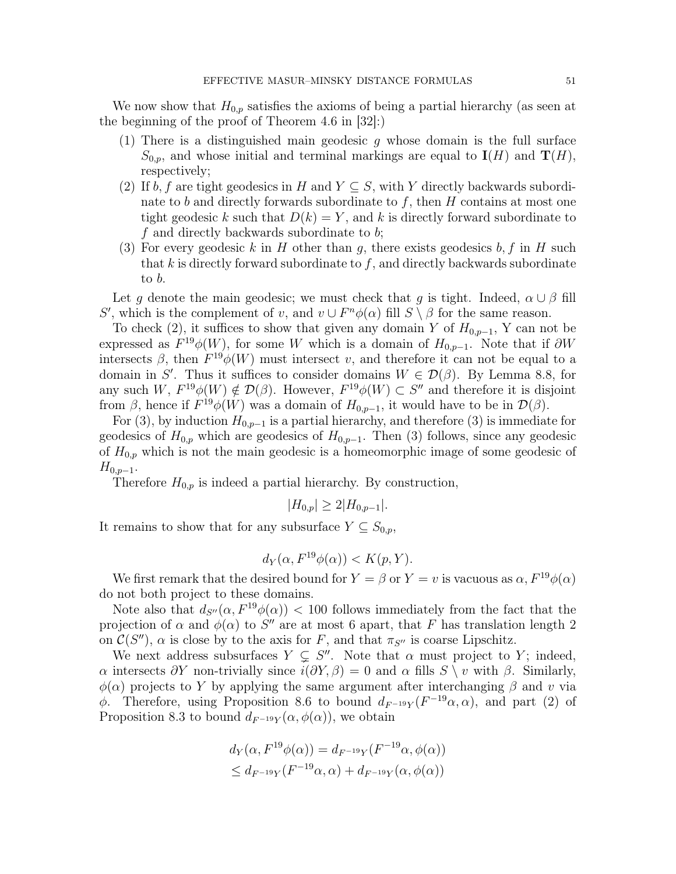We now show that  $H_{0,p}$  satisfies the axioms of being a partial hierarchy (as seen at the beginning of the proof of Theorem 4.6 in [32]:)

- (1) There is a distinguished main geodesic  $g$  whose domain is the full surface  $S_{0,p}$ , and whose initial and terminal markings are equal to  $I(H)$  and  $T(H)$ , respectively;
- (2) If b, f are tight geodesics in H and  $Y \subseteq S$ , with Y directly backwards subordinate to b and directly forwards subordinate to f, then  $H$  contains at most one tight geodesic k such that  $D(k) = Y$ , and k is directly forward subordinate to f and directly backwards subordinate to b;
- (3) For every geodesic k in H other than g, there exists geodesics  $b, f$  in H such that  $k$  is directly forward subordinate to  $f$ , and directly backwards subordinate to b.

Let g denote the main geodesic; we must check that g is tight. Indeed,  $\alpha \cup \beta$  fill S', which is the complement of v, and  $v \cup F<sup>n</sup>\phi(\alpha)$  fill  $S \setminus \beta$  for the same reason.

To check (2), it suffices to show that given any domain Y of  $H_{0,p-1}$ , Y can not be expressed as  $F^{19}\phi(W)$ , for some W which is a domain of  $H_{0,p-1}$ . Note that if  $\partial W$ intersects  $\beta$ , then  $F^{19}\phi(W)$  must intersect v, and therefore it can not be equal to a domain in S'. Thus it suffices to consider domains  $W \in \mathcal{D}(\beta)$ . By Lemma 8.8, for any such  $W, F^{19}\phi(W) \notin \mathcal{D}(\beta)$ . However,  $F^{19}\phi(W) \subset S''$  and therefore it is disjoint from  $\beta$ , hence if  $F^{19}\phi(W)$  was a domain of  $H_{0,p-1}$ , it would have to be in  $\mathcal{D}(\beta)$ .

For (3), by induction  $H_{0,p-1}$  is a partial hierarchy, and therefore (3) is immediate for geodesics of  $H_{0,p}$  which are geodesics of  $H_{0,p-1}$ . Then (3) follows, since any geodesic of  $H_{0,p}$  which is not the main geodesic is a homeomorphic image of some geodesic of  $H_{0,p-1}$ .

Therefore  $H_{0,p}$  is indeed a partial hierarchy. By construction,

$$
|H_{0,p}| \ge 2|H_{0,p-1}|.
$$

It remains to show that for any subsurface  $Y \subseteq S_{0,p}$ ,

$$
d_Y(\alpha, F^{19}\phi(\alpha)) < K(p, Y).
$$

We first remark that the desired bound for  $Y = \beta$  or  $Y = v$  is vacuous as  $\alpha$ ,  $F^{19}\phi(\alpha)$ do not both project to these domains.

Note also that  $d_{S''}(\alpha, F^{19}\phi(\alpha))$  < 100 follows immediately from the fact that the projection of  $\alpha$  and  $\phi(\alpha)$  to S'' are at most 6 apart, that F has translation length 2 on  $\mathcal{C}(S'')$ ,  $\alpha$  is close by to the axis for F, and that  $\pi_{S''}$  is coarse Lipschitz.

We next address subsurfaces  $Y \subsetneq S''$ . Note that  $\alpha$  must project to Y; indeed, α intersects  $\partial Y$  non-trivially since  $i(\partial Y, \beta) = 0$  and α fills  $S \setminus v$  with  $\beta$ . Similarly,  $\phi(\alpha)$  projects to Y by applying the same argument after interchanging  $\beta$  and v via φ. Therefore, using Proposition 8.6 to bound  $d_{F^{-19}Y}(F^{-19}\alpha, \alpha)$ , and part (2) of Proposition 8.3 to bound  $d_{F^{-19}Y}(\alpha, \phi(\alpha))$ , we obtain

$$
d_Y(\alpha, F^{19}\phi(\alpha)) = d_{F^{-19}Y}(F^{-19}\alpha, \phi(\alpha))
$$
  

$$
\leq d_{F^{-19}Y}(F^{-19}\alpha, \alpha) + d_{F^{-19}Y}(\alpha, \phi(\alpha))
$$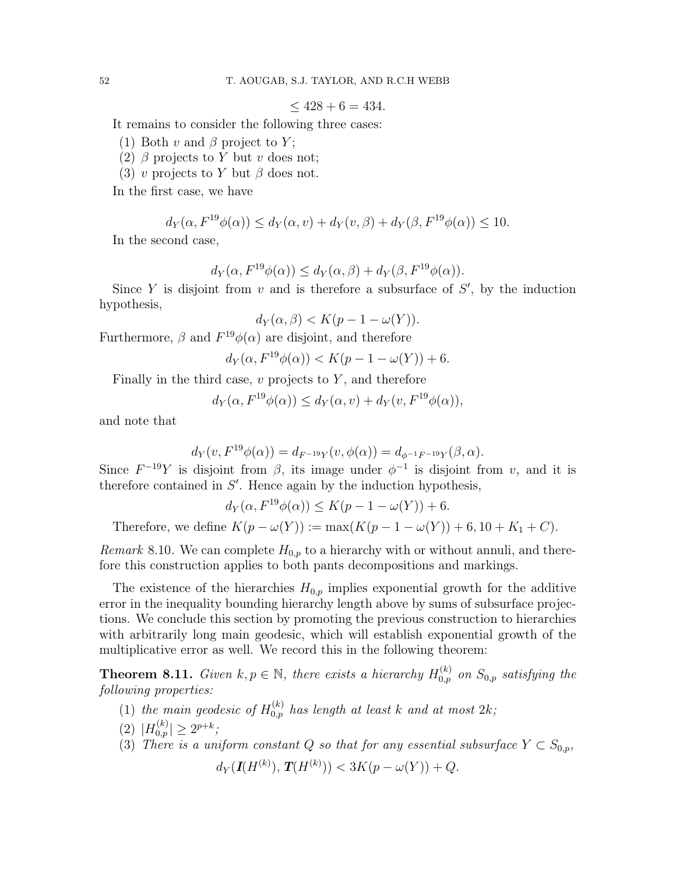$<$  428 + 6 = 434.

It remains to consider the following three cases:

- (1) Both v and  $\beta$  project to Y;
- (2)  $\beta$  projects to Y but v does not;
- (3) v projects to Y but  $\beta$  does not.

In the first case, we have

$$
d_Y(\alpha, F^{19}\phi(\alpha)) \le d_Y(\alpha, v) + d_Y(v, \beta) + d_Y(\beta, F^{19}\phi(\alpha)) \le 10.
$$

In the second case,

$$
d_Y(\alpha, F^{19}\phi(\alpha)) \le d_Y(\alpha, \beta) + d_Y(\beta, F^{19}\phi(\alpha)).
$$

Since Y is disjoint from  $v$  and is therefore a subsurface of  $S'$ , by the induction hypothesis,

$$
d_Y(\alpha, \beta) < K(p - 1 - \omega(Y)).
$$

Furthermore,  $\beta$  and  $F^{19}\phi(\alpha)$  are disjoint, and therefore

$$
d_Y(\alpha, F^{19}\phi(\alpha)) < K(p-1-\omega(Y)) + 6.
$$

Finally in the third case,  $v$  projects to  $Y$ , and therefore

$$
d_Y(\alpha, F^{19}\phi(\alpha)) \le d_Y(\alpha, v) + d_Y(v, F^{19}\phi(\alpha)),
$$

and note that

$$
d_Y(v, F^{19}\phi(\alpha)) = d_{F^{-19}Y}(v, \phi(\alpha)) = d_{\phi^{-1}F^{-19}Y}(\beta, \alpha).
$$

Since  $F^{-19}Y$  is disjoint from  $\beta$ , its image under  $\phi^{-1}$  is disjoint from v, and it is therefore contained in  $S'$ . Hence again by the induction hypothesis,

$$
d_Y(\alpha, F^{19}\phi(\alpha)) \le K(p-1-\omega(Y)) + 6.
$$

Therefore, we define  $K(p - \omega(Y)) := \max(K(p - 1 - \omega(Y)) + 6, 10 + K_1 + C)$ .

*Remark* 8.10. We can complete  $H_{0,p}$  to a hierarchy with or without annuli, and therefore this construction applies to both pants decompositions and markings.

The existence of the hierarchies  $H_{0,p}$  implies exponential growth for the additive error in the inequality bounding hierarchy length above by sums of subsurface projections. We conclude this section by promoting the previous construction to hierarchies with arbitrarily long main geodesic, which will establish exponential growth of the multiplicative error as well. We record this in the following theorem:

**Theorem 8.11.** Given  $k, p \in \mathbb{N}$ , there exists a hierarchy  $H_{0,p}^{(k)}$  on  $S_{0,p}$  satisfying the following properties:

- (1) the main geodesic of  $H_{0,p}^{(k)}$  has length at least k and at most  $2k$ ;
- (2)  $|H_{0,p}^{(k)}| \geq 2^{p+k}$ ;
- (3) There is a uniform constant Q so that for any essential subsurface  $Y \subset S_{0,p}$ ,

$$
d_Y(\mathbf{I}(H^{(k)}), \mathbf{T}(H^{(k)})) < 3K(p - \omega(Y)) + Q.
$$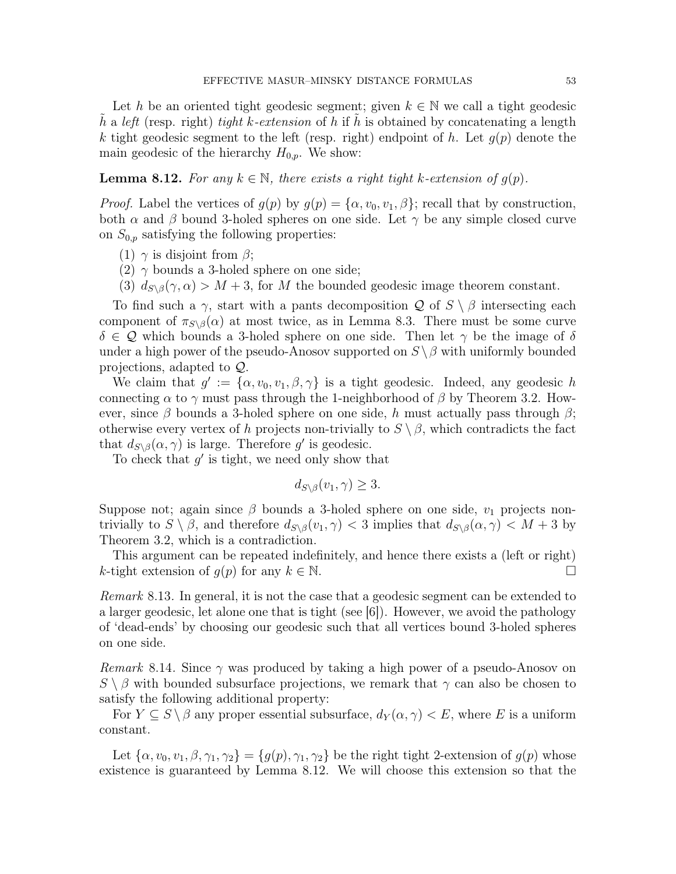Let h be an oriented tight geodesic segment; given  $k \in \mathbb{N}$  we call a tight geodesic h a left (resp. right) tight k-extension of h if h is obtained by concatenating a length k tight geodesic segment to the left (resp. right) endpoint of h. Let  $g(p)$  denote the main geodesic of the hierarchy  $H_{0,p}$ . We show:

**Lemma 8.12.** For any  $k \in \mathbb{N}$ , there exists a right tight k-extension of  $q(p)$ .

*Proof.* Label the vertices of  $g(p)$  by  $g(p) = {\alpha, v_0, v_1, \beta}$ ; recall that by construction, both  $\alpha$  and  $\beta$  bound 3-holed spheres on one side. Let  $\gamma$  be any simple closed curve on  $S_{0,p}$  satisfying the following properties:

- (1)  $\gamma$  is disjoint from  $\beta$ ;
- (2)  $\gamma$  bounds a 3-holed sphere on one side;
- (3)  $d_{S\setminus\beta}(\gamma, \alpha) > M + 3$ , for M the bounded geodesic image theorem constant.

To find such a  $\gamma$ , start with a pants decomposition Q of  $S \setminus \beta$  intersecting each component of  $\pi_{S\setminus\beta}(\alpha)$  at most twice, as in Lemma 8.3. There must be some curve  $\delta \in \mathcal{Q}$  which bounds a 3-holed sphere on one side. Then let  $\gamma$  be the image of  $\delta$ under a high power of the pseudo-Anosov supported on  $S \setminus \beta$  with uniformly bounded projections, adapted to Q.

We claim that  $g' := {\alpha, v_0, v_1, \beta, \gamma}$  is a tight geodesic. Indeed, any geodesic h connecting  $\alpha$  to  $\gamma$  must pass through the 1-neighborhood of  $\beta$  by Theorem 3.2. However, since  $\beta$  bounds a 3-holed sphere on one side, h must actually pass through  $\beta$ ; otherwise every vertex of h projects non-trivially to  $S \setminus \beta$ , which contradicts the fact that  $d_{S \setminus \beta}(\alpha, \gamma)$  is large. Therefore g' is geodesic.

To check that  $g'$  is tight, we need only show that

$$
d_{S \setminus \beta}(v_1, \gamma) \ge 3.
$$

Suppose not; again since  $\beta$  bounds a 3-holed sphere on one side,  $v_1$  projects nontrivially to  $S \setminus \beta$ , and therefore  $d_{S \setminus \beta}(v_1, \gamma) < 3$  implies that  $d_{S \setminus \beta}(\alpha, \gamma) < M + 3$  by Theorem 3.2, which is a contradiction.

This argument can be repeated indefinitely, and hence there exists a (left or right) k-tight extension of  $q(p)$  for any  $k \in \mathbb{N}$ .

Remark 8.13. In general, it is not the case that a geodesic segment can be extended to a larger geodesic, let alone one that is tight (see [6]). However, we avoid the pathology of 'dead-ends' by choosing our geodesic such that all vertices bound 3-holed spheres on one side.

*Remark* 8.14. Since  $\gamma$  was produced by taking a high power of a pseudo-Anosov on  $S \setminus \beta$  with bounded subsurface projections, we remark that  $\gamma$  can also be chosen to satisfy the following additional property:

For  $Y \subseteq S \setminus \beta$  any proper essential subsurface,  $d_Y(\alpha, \gamma) < E$ , where E is a uniform constant.

Let  $\{\alpha, v_0, v_1, \beta, \gamma_1, \gamma_2\} = \{g(p), \gamma_1, \gamma_2\}$  be the right tight 2-extension of  $g(p)$  whose existence is guaranteed by Lemma 8.12. We will choose this extension so that the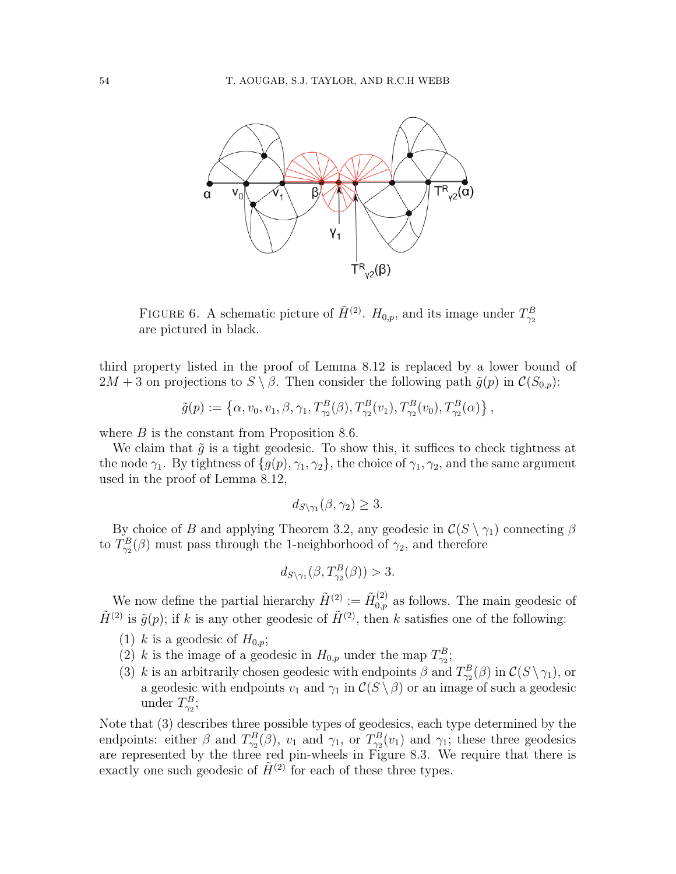

FIGURE 6. A schematic picture of  $\tilde{H}^{(2)}$ .  $H_{0,p}$ , and its image under  $T_{\gamma_2}^B$ are pictured in black.

third property listed in the proof of Lemma 8.12 is replaced by a lower bound of  $2M + 3$  on projections to  $S \setminus \beta$ . Then consider the following path  $\tilde{g}(p)$  in  $\mathcal{C}(S_{0,p})$ :

$$
\tilde{g}(p) := \left\{ \alpha, v_0, v_1, \beta, \gamma_1, T_{\gamma_2}^B(\beta), T_{\gamma_2}^B(v_1), T_{\gamma_2}^B(v_0), T_{\gamma_2}^B(\alpha) \right\},
$$

where  $B$  is the constant from Proposition 8.6.

We claim that  $\tilde{g}$  is a tight geodesic. To show this, it suffices to check tightness at the node  $\gamma_1$ . By tightness of  $\{g(p), \gamma_1, \gamma_2\}$ , the choice of  $\gamma_1, \gamma_2$ , and the same argument used in the proof of Lemma 8.12,

$$
d_{S\setminus \gamma_1}(\beta,\gamma_2)\geq 3.
$$

By choice of B and applying Theorem 3.2, any geodesic in  $\mathcal{C}(S \setminus \gamma_1)$  connecting  $\beta$ to  $T_{\gamma_2}^B(\beta)$  must pass through the 1-neighborhood of  $\gamma_2$ , and therefore

$$
d_{S\setminus\gamma_1}(\beta,T^B_{\gamma_2}(\beta))>3.
$$

We now define the partial hierarchy  $\tilde{H}^{(2)} := \tilde{H}_{0,p}^{(2)}$  as follows. The main geodesic of  $\tilde{H}^{(2)}$  is  $\tilde{g}(p)$ ; if k is any other geodesic of  $\tilde{H}^{(2)}$ , then k satisfies one of the following:

- (1) k is a geodesic of  $H_{0,p}$ ;
- (2) k is the image of a geodesic in  $H_{0,p}$  under the map  $T_{\gamma_2}^B$ ;
- (3) k is an arbitrarily chosen geodesic with endpoints  $\beta$  and  $T_{\gamma_2}^B(\beta)$  in  $\mathcal{C}(S \setminus \gamma_1)$ , or a geodesic with endpoints  $v_1$  and  $\gamma_1$  in  $\mathcal{C}(S \setminus \beta)$  or an image of such a geodesic under  $T_{\gamma_2}^B$ ;

Note that (3) describes three possible types of geodesics, each type determined by the endpoints: either  $\beta$  and  $T_{\gamma_2}^B(\beta)$ ,  $v_1$  and  $\gamma_1$ , or  $T_{\gamma_2}^B(v_1)$  and  $\gamma_1$ ; these three geodesics are represented by the three red pin-wheels in Figure 8.3. We require that there is exactly one such geodesic of  $\tilde{H}^{(2)}$  for each of these three types.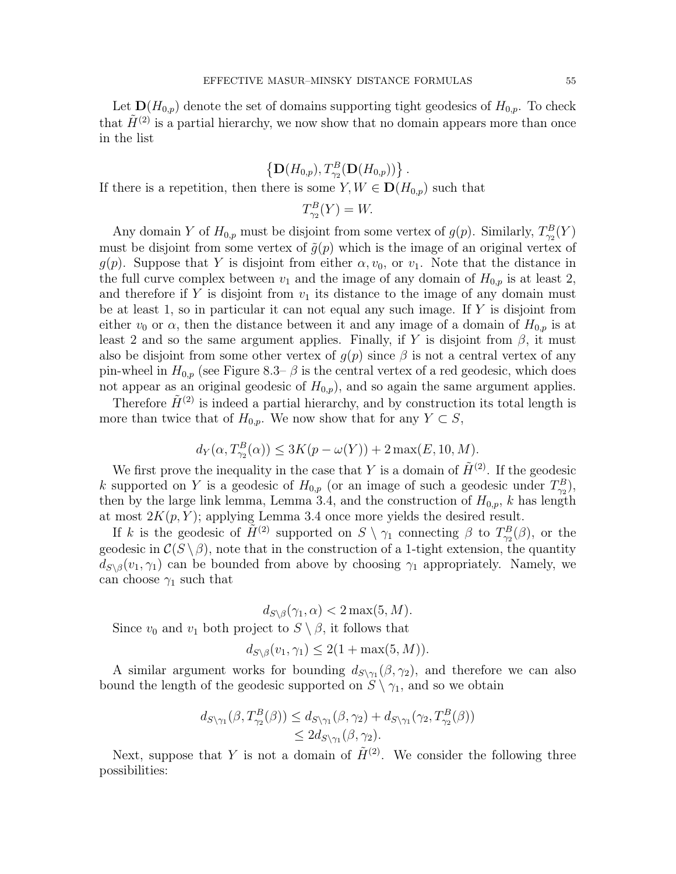Let  $\mathbf{D}(H_{0,p})$  denote the set of domains supporting tight geodesics of  $H_{0,p}$ . To check that  $\tilde{H}^{(2)}$  is a partial hierarchy, we now show that no domain appears more than once in the list

 $\{ {\bf D}(H_{0,p}), T_{\gamma_2}^B({\bf D}(H_{0,p}))\}$ . If there is a repetition, then there is some  $Y, W \in D(H_{0,p})$  such that

$$
T_{\gamma_2}^B(Y) = W.
$$

Any domain Y of  $H_{0,p}$  must be disjoint from some vertex of  $g(p)$ . Similarly,  $T_{\gamma_2}^B(Y)$ must be disjoint from some vertex of  $\tilde{g}(p)$  which is the image of an original vertex of  $g(p)$ . Suppose that Y is disjoint from either  $\alpha, v_0$ , or  $v_1$ . Note that the distance in the full curve complex between  $v_1$  and the image of any domain of  $H_{0,p}$  is at least 2, and therefore if Y is disjoint from  $v_1$  its distance to the image of any domain must be at least 1, so in particular it can not equal any such image. If  $Y$  is disjoint from either  $v_0$  or  $\alpha$ , then the distance between it and any image of a domain of  $H_{0,p}$  is at least 2 and so the same argument applies. Finally, if Y is disjoint from  $\beta$ , it must also be disjoint from some other vertex of  $g(p)$  since  $\beta$  is not a central vertex of any pin-wheel in  $H_{0,p}$  (see Figure 8.3–  $\beta$  is the central vertex of a red geodesic, which does not appear as an original geodesic of  $H_{0,p}$ , and so again the same argument applies.

Therefore  $\tilde{H}^{(2)}$  is indeed a partial hierarchy, and by construction its total length is more than twice that of  $H_{0,p}$ . We now show that for any  $Y \subset S$ ,

$$
d_Y(\alpha, T_{\gamma_2}^B(\alpha)) \le 3K(p - \omega(Y)) + 2\max(E, 10, M).
$$

We first prove the inequality in the case that Y is a domain of  $\tilde{H}^{(2)}$ . If the geodesic k supported on Y is a geodesic of  $H_{0,p}$  (or an image of such a geodesic under  $T_{\gamma_2}^B$ ), then by the large link lemma, Lemma 3.4, and the construction of  $H_{0,p}$ , k has length at most  $2K(p, Y)$ ; applying Lemma 3.4 once more yields the desired result.

If k is the geodesic of  $\tilde{H}^{(2)}$  supported on  $S \setminus \gamma_1$  connecting  $\beta$  to  $T_{\gamma_2}^B(\beta)$ , or the geodesic in  $C(S \setminus \beta)$ , note that in the construction of a 1-tight extension, the quantity  $d_{S\setminus\beta}(v_1, \gamma_1)$  can be bounded from above by choosing  $\gamma_1$  appropriately. Namely, we can choose  $\gamma_1$  such that

 $d_{S\setminus\beta}(\gamma_1,\alpha) < 2 \max(5,M).$ Since  $v_0$  and  $v_1$  both project to  $S \setminus \beta$ , it follows that

$$
d_{S \setminus \beta}(v_1, \gamma_1) \le 2(1 + \max(5, M)).
$$

A similar argument works for bounding  $d_{S\setminus\gamma_1}(\beta,\gamma_2)$ , and therefore we can also bound the length of the geodesic supported on  $S \setminus \gamma_1$ , and so we obtain

$$
d_{S\setminus\gamma_1}(\beta, T_{\gamma_2}^B(\beta)) \leq d_{S\setminus\gamma_1}(\beta, \gamma_2) + d_{S\setminus\gamma_1}(\gamma_2, T_{\gamma_2}^B(\beta))
$$
  
\n
$$
\leq 2d_{S\setminus\gamma_1}(\beta, \gamma_2).
$$

Next, suppose that Y is not a domain of  $\tilde{H}^{(2)}$ . We consider the following three possibilities: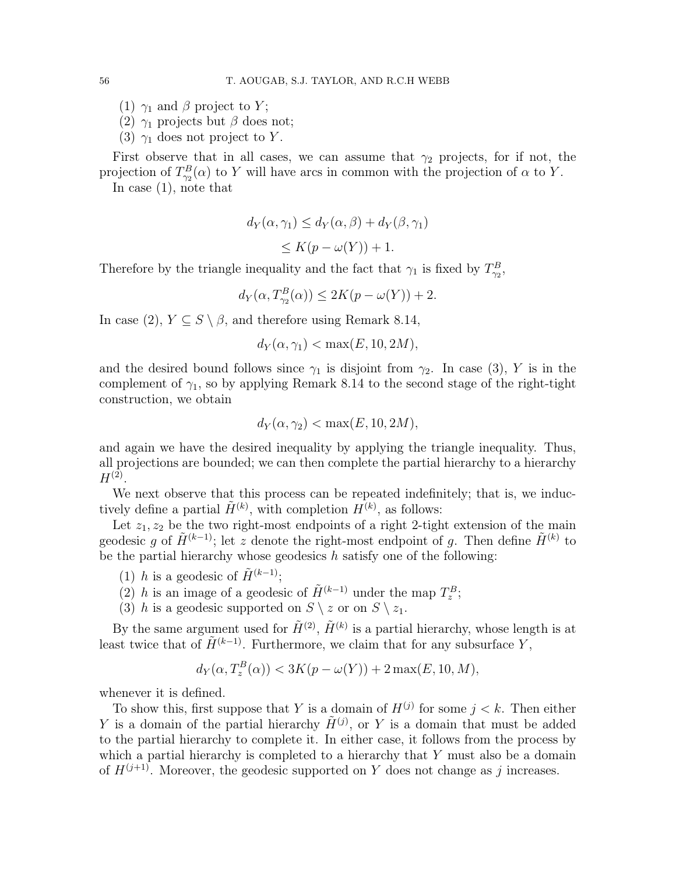- (1)  $\gamma_1$  and  $\beta$  project to Y;
- (2)  $\gamma_1$  projects but  $\beta$  does not;
- (3)  $\gamma_1$  does not project to Y.

First observe that in all cases, we can assume that  $\gamma_2$  projects, for if not, the projection of  $T_{\gamma_2}^B(\alpha)$  to Y will have arcs in common with the projection of  $\alpha$  to Y. In case (1), note that

$$
d_Y(\alpha, \gamma_1) \le d_Y(\alpha, \beta) + d_Y(\beta, \gamma_1)
$$
  
\n
$$
\le K(p - \omega(Y)) + 1.
$$

Therefore by the triangle inequality and the fact that  $\gamma_1$  is fixed by  $T_{\gamma_2}^B$ ,

$$
d_Y(\alpha, T_{\gamma_2}^B(\alpha)) \le 2K(p - \omega(Y)) + 2.
$$

In case  $(2)$ ,  $Y \subseteq S \setminus \beta$ , and therefore using Remark 8.14,

$$
d_Y(\alpha, \gamma_1) < \max(E, 10, 2M),
$$

and the desired bound follows since  $\gamma_1$  is disjoint from  $\gamma_2$ . In case (3), Y is in the complement of  $\gamma_1$ , so by applying Remark 8.14 to the second stage of the right-tight construction, we obtain

$$
d_Y(\alpha, \gamma_2) < \max(E, 10, 2M),
$$

and again we have the desired inequality by applying the triangle inequality. Thus, all projections are bounded; we can then complete the partial hierarchy to a hierarchy  $H^{(2)}$ .

We next observe that this process can be repeated indefinitely; that is, we inductively define a partial  $\tilde{H}^{(k)}$ , with completion  $H^{(k)}$ , as follows:

Let  $z_1, z_2$  be the two right-most endpoints of a right 2-tight extension of the main geodesic g of  $\tilde{H}^{(k-1)}$ ; let z denote the right-most endpoint of g. Then define  $\tilde{H}^{(k)}$  to be the partial hierarchy whose geodesics  $h$  satisfy one of the following:

- (1) h is a geodesic of  $\tilde{H}^{(k-1)}$ ;
- (2) h is an image of a geodesic of  $\tilde{H}^{(k-1)}$  under the map  $T_z^B$ ;
- (3) h is a geodesic supported on  $S \setminus z$  or on  $S \setminus z_1$ .

By the same argument used for  $\tilde{H}^{(2)}$ ,  $\tilde{H}^{(k)}$  is a partial hierarchy, whose length is at least twice that of  $\tilde{H}^{(k-1)}$ . Furthermore, we claim that for any subsurface Y,

$$
d_Y(\alpha, T_z^B(\alpha)) < 3K(p - \omega(Y)) + 2\max(E, 10, M),
$$

whenever it is defined.

To show this, first suppose that Y is a domain of  $H^{(j)}$  for some  $j < k$ . Then either Y is a domain of the partial hierarchy  $\tilde{H}^{(j)}$ , or Y is a domain that must be added to the partial hierarchy to complete it. In either case, it follows from the process by which a partial hierarchy is completed to a hierarchy that  $Y$  must also be a domain of  $H^{(j+1)}$ . Moreover, the geodesic supported on Y does not change as j increases.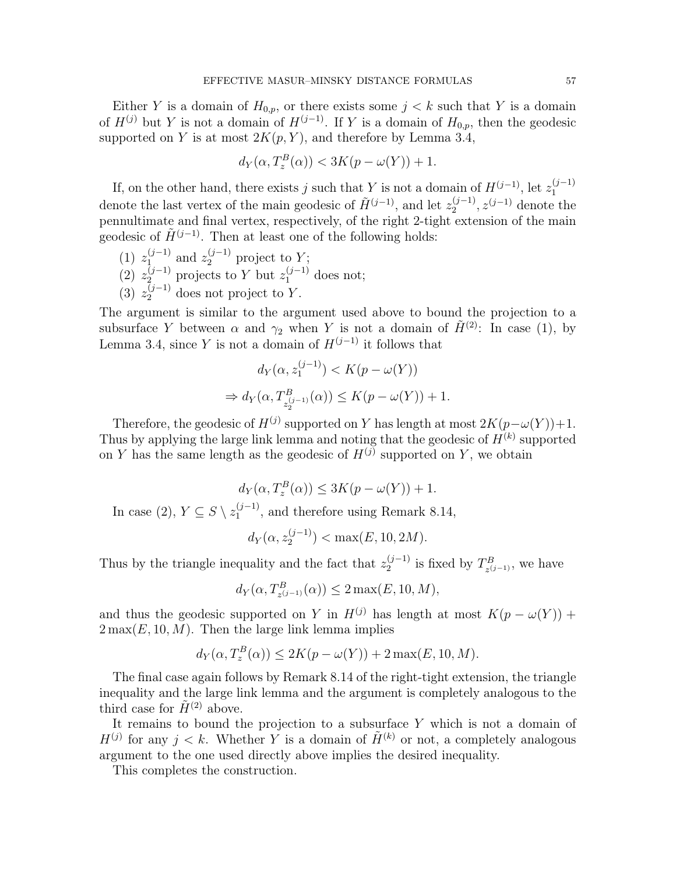Either Y is a domain of  $H_{0,p}$ , or there exists some  $j < k$  such that Y is a domain of  $H^{(j)}$  but Y is not a domain of  $H^{(j-1)}$ . If Y is a domain of  $H_{0,p}$ , then the geodesic supported on Y is at most  $2K(p, Y)$ , and therefore by Lemma 3.4,

$$
d_Y(\alpha, T_z^B(\alpha)) < 3K(p - \omega(Y)) + 1.
$$

If, on the other hand, there exists j such that Y is not a domain of  $H^{(j-1)}$ , let  $z_1^{(j-1)}$ 11, on the other hand, there exists f such that f is not a domain of  $H^{\circ}$ , let  $z_1$  denote the last vertex of the main geodesic of  $\tilde{H}^{(j-1)}$ , and let  $z_2^{(j-1)}$ ,  $z^{(j-1)}$  denote  $z^{(j-1)}$ ,  $z^{(j-1)}$  denote the pennultimate and final vertex, respectively, of the right 2-tight extension of the main geodesic of  $\tilde{H}^{(j-1)}$ . Then at least one of the following holds:

- $(1)$   $z_1^{(j-1)}$  $\mathcal{L}_1^{(j-1)}$  and  $z_2^{(j-1)}$  project to Y;
- (2)  $z_2^{(j-1)}$  projects to Y but  $z_1^{(j-1)}$  does not;
- (3)  $z_2^{(j-1)}$  does not project to Y.

The argument is similar to the argument used above to bound the projection to a subsurface Y between  $\alpha$  and  $\gamma_2$  when Y is not a domain of  $\tilde{H}^{(2)}$ : In case (1), by Lemma 3.4, since Y is not a domain of  $H^{(j-1)}$  it follows that

$$
d_Y(\alpha, z_1^{(j-1)}) < K(p - \omega(Y))
$$
\n
$$
\Rightarrow d_Y(\alpha, T^B_{z_2^{(j-1)}}(\alpha)) \le K(p - \omega(Y)) + 1.
$$

Therefore, the geodesic of  $H^{(j)}$  supported on Y has length at most  $2K(p-\omega(Y))+1$ . Thus by applying the large link lemma and noting that the geodesic of  $H^{(k)}$  supported on Y has the same length as the geodesic of  $H^{(j)}$  supported on Y, we obtain

$$
d_Y(\alpha, T_z^B(\alpha)) \le 3K(p - \omega(Y)) + 1.
$$

In case (2),  $Y \subseteq S \setminus z_1^{(j-1)}$  $1^{(J-1)}$ , and therefore using Remark 8.14,

$$
d_Y(\alpha, z_2^{(j-1)}) < \max(E, 10, 2M).
$$

Thus by the triangle inequality and the fact that  $z_2^{(j-1)}$  $\frac{(j-1)}{2}$  is fixed by  $T_{z^{(j)}}^B$  $\chi^B_{z^{(j-1)}},$  we have

$$
d_Y(\alpha, T^B_{z^{(j-1)}}(\alpha)) \le 2 \max(E, 10, M),
$$

and thus the geodesic supported on Y in  $H^{(j)}$  has length at most  $K(p - \omega(Y))$  +  $2\max(E, 10, M)$ . Then the large link lemma implies

$$
d_Y(\alpha, T_z^B(\alpha)) \le 2K(p - \omega(Y)) + 2\max(E, 10, M).
$$

The final case again follows by Remark 8.14 of the right-tight extension, the triangle inequality and the large link lemma and the argument is completely analogous to the third case for  $\tilde{H}^{(2)}$  above.

It remains to bound the projection to a subsurface  $Y$  which is not a domain of  $H^{(j)}$  for any  $j < k$ . Whether Y is a domain of  $\tilde{H}^{(k)}$  or not, a completely analogous argument to the one used directly above implies the desired inequality.

This completes the construction.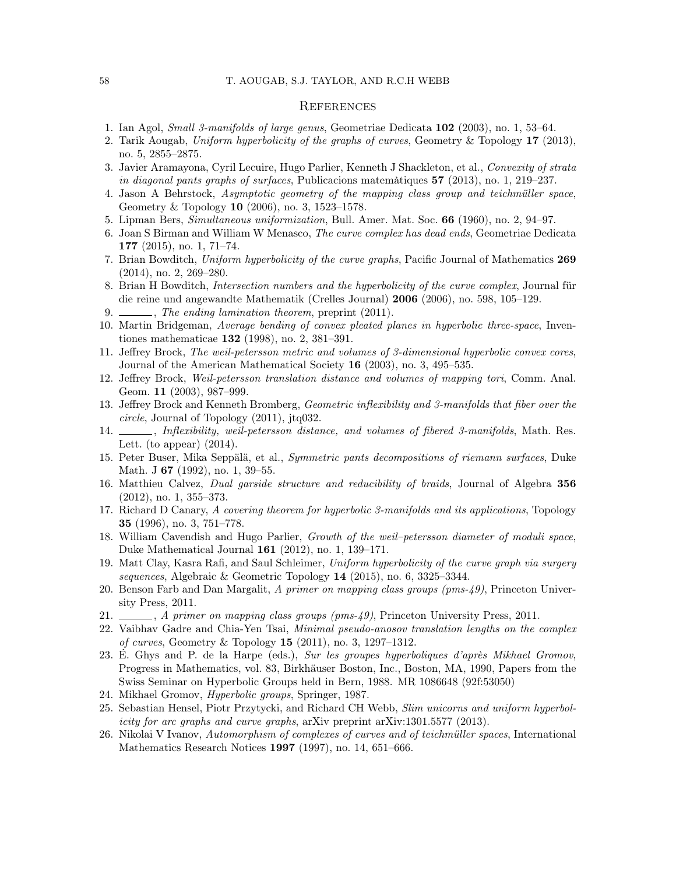#### **REFERENCES**

- 1. Ian Agol, Small 3-manifolds of large genus, Geometriae Dedicata 102 (2003), no. 1, 53–64.
- 2. Tarik Aougab, Uniform hyperbolicity of the graphs of curves, Geometry & Topology 17 (2013), no. 5, 2855–2875.
- 3. Javier Aramayona, Cyril Lecuire, Hugo Parlier, Kenneth J Shackleton, et al., Convexity of strata in diagonal pants graphs of surfaces, Publicacions matemàtiques  $57$  (2013), no. 1, 219–237.
- 4. Jason A Behrstock, Asymptotic geometry of the mapping class group and teichmüller space, Geometry & Topology 10 (2006), no. 3, 1523–1578.
- 5. Lipman Bers, Simultaneous uniformization, Bull. Amer. Mat. Soc. 66 (1960), no. 2, 94–97.
- 6. Joan S Birman and William W Menasco, The curve complex has dead ends, Geometriae Dedicata 177 (2015), no. 1, 71–74.
- 7. Brian Bowditch, Uniform hyperbolicity of the curve graphs, Pacific Journal of Mathematics 269 (2014), no. 2, 269–280.
- 8. Brian H Bowditch, Intersection numbers and the hyperbolicity of the curve complex, Journal für die reine und angewandte Mathematik (Crelles Journal) 2006 (2006), no. 598, 105–129.
- 9.  $\frac{1}{201}$ , The ending lamination theorem, preprint (2011).
- 10. Martin Bridgeman, Average bending of convex pleated planes in hyperbolic three-space, Inventiones mathematicae 132 (1998), no. 2, 381–391.
- 11. Jeffrey Brock, The weil-petersson metric and volumes of 3-dimensional hyperbolic convex cores, Journal of the American Mathematical Society 16 (2003), no. 3, 495–535.
- 12. Jeffrey Brock, Weil-petersson translation distance and volumes of mapping tori, Comm. Anal. Geom. 11 (2003), 987–999.
- 13. Jeffrey Brock and Kenneth Bromberg, Geometric inflexibility and 3-manifolds that fiber over the circle, Journal of Topology (2011), jtq032.
- 14.  $\Box$ , Inflexibility, weil-petersson distance, and volumes of fibered 3-manifolds, Math. Res. Lett. (to appear)  $(2014)$ .
- 15. Peter Buser, Mika Seppälä, et al., Symmetric pants decompositions of riemann surfaces, Duke Math. J **67** (1992), no. 1, 39–55.
- 16. Matthieu Calvez, Dual garside structure and reducibility of braids, Journal of Algebra 356 (2012), no. 1, 355–373.
- 17. Richard D Canary, A covering theorem for hyperbolic 3-manifolds and its applications, Topology 35 (1996), no. 3, 751–778.
- 18. William Cavendish and Hugo Parlier, Growth of the weil–petersson diameter of moduli space, Duke Mathematical Journal 161 (2012), no. 1, 139–171.
- 19. Matt Clay, Kasra Rafi, and Saul Schleimer, Uniform hyperbolicity of the curve graph via surgery sequences, Algebraic & Geometric Topology 14 (2015), no. 6, 3325–3344.
- 20. Benson Farb and Dan Margalit, A primer on mapping class groups (pms-49), Princeton University Press, 2011.
- 21.  $\_\_\_\_\$ , A primer on mapping class groups (pms-49), Princeton University Press, 2011.
- 22. Vaibhav Gadre and Chia-Yen Tsai, *Minimal pseudo-anosov translation lengths on the complex* of curves, Geometry & Topology 15 (2011), no. 3, 1297–1312.
- 23. É. Ghys and P. de la Harpe (eds.), Sur les groupes hyperboliques d'après Mikhael Gromov, Progress in Mathematics, vol. 83, Birkhäuser Boston, Inc., Boston, MA, 1990, Papers from the Swiss Seminar on Hyperbolic Groups held in Bern, 1988. MR 1086648 (92f:53050)
- 24. Mikhael Gromov, Hyperbolic groups, Springer, 1987.
- 25. Sebastian Hensel, Piotr Przytycki, and Richard CH Webb, Slim unicorns and uniform hyperbolicity for arc graphs and curve graphs, arXiv preprint arXiv:1301.5577 (2013).
- 26. Nikolai V Ivanov, Automorphism of complexes of curves and of teichmüller spaces, International Mathematics Research Notices 1997 (1997), no. 14, 651–666.